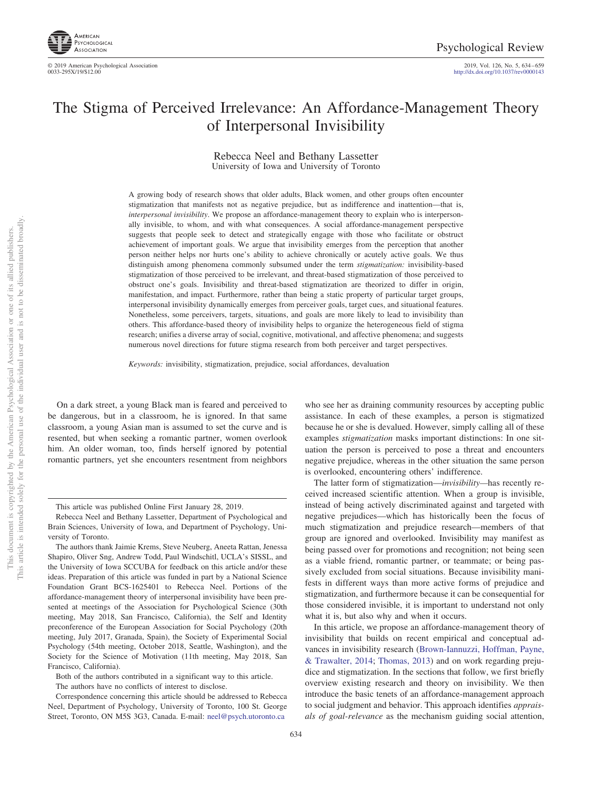

2019, Vol. 126, No. 5, 634-659<br>http://dx.doi.org[/10.1037/rev0000143](http://dx.doi.org/10.1037/rev0000143)

# The Stigma of Perceived Irrelevance: An Affordance-Management Theory of Interpersonal Invisibility

Rebecca Neel and Bethany Lassetter University of Iowa and University of Toronto

A growing body of research shows that older adults, Black women, and other groups often encounter stigmatization that manifests not as negative prejudice, but as indifference and inattention—that is, *interpersonal invisibility*. We propose an affordance-management theory to explain who is interpersonally invisible, to whom, and with what consequences. A social affordance-management perspective suggests that people seek to detect and strategically engage with those who facilitate or obstruct achievement of important goals. We argue that invisibility emerges from the perception that another person neither helps nor hurts one's ability to achieve chronically or acutely active goals. We thus distinguish among phenomena commonly subsumed under the term *stigmatization:* invisibility-based stigmatization of those perceived to be irrelevant, and threat-based stigmatization of those perceived to obstruct one's goals. Invisibility and threat-based stigmatization are theorized to differ in origin, manifestation, and impact. Furthermore, rather than being a static property of particular target groups, interpersonal invisibility dynamically emerges from perceiver goals, target cues, and situational features. Nonetheless, some perceivers, targets, situations, and goals are more likely to lead to invisibility than others. This affordance-based theory of invisibility helps to organize the heterogeneous field of stigma research; unifies a diverse array of social, cognitive, motivational, and affective phenomena; and suggests numerous novel directions for future stigma research from both perceiver and target perspectives.

*Keywords:* invisibility, stigmatization, prejudice, social affordances, devaluation

On a dark street, a young Black man is feared and perceived to be dangerous, but in a classroom, he is ignored. In that same classroom, a young Asian man is assumed to set the curve and is resented, but when seeking a romantic partner, women overlook him. An older woman, too, finds herself ignored by potential romantic partners, yet she encounters resentment from neighbors

who see her as draining community resources by accepting public assistance. In each of these examples, a person is stigmatized because he or she is devalued. However, simply calling all of these examples *stigmatization* masks important distinctions: In one situation the person is perceived to pose a threat and encounters negative prejudice, whereas in the other situation the same person is overlooked, encountering others' indifference.

The latter form of stigmatization—*invisibility—*has recently received increased scientific attention. When a group is invisible, instead of being actively discriminated against and targeted with negative prejudices—which has historically been the focus of much stigmatization and prejudice research—members of that group are ignored and overlooked. Invisibility may manifest as being passed over for promotions and recognition; not being seen as a viable friend, romantic partner, or teammate; or being passively excluded from social situations. Because invisibility manifests in different ways than more active forms of prejudice and stigmatization, and furthermore because it can be consequential for those considered invisible, it is important to understand not only what it is, but also why and when it occurs.

In this article, we propose an affordance-management theory of invisibility that builds on recent empirical and conceptual advances in invisibility research [\(Brown-Iannuzzi, Hoffman, Payne,](#page-17-0) [& Trawalter, 2014;](#page-17-0) [Thomas, 2013\)](#page-24-0) and on work regarding prejudice and stigmatization. In the sections that follow, we first briefly overview existing research and theory on invisibility. We then introduce the basic tenets of an affordance-management approach to social judgment and behavior. This approach identifies *appraisals of goal-relevance* as the mechanism guiding social attention,

This article was published Online First January 28, 2019.

Rebecca Neel and Bethany Lassetter, Department of Psychological and Brain Sciences, University of Iowa, and Department of Psychology, University of Toronto.

The authors thank Jaimie Krems, Steve Neuberg, Aneeta Rattan, Jenessa Shapiro, Oliver Sng, Andrew Todd, Paul Windschitl, UCLA's SISSL, and the University of Iowa SCCUBA for feedback on this article and/or these ideas. Preparation of this article was funded in part by a National Science Foundation Grant BCS-1625401 to Rebecca Neel. Portions of the affordance-management theory of interpersonal invisibility have been presented at meetings of the Association for Psychological Science (30th meeting, May 2018, San Francisco, California), the Self and Identity preconference of the European Association for Social Psychology (20th meeting, July 2017, Granada, Spain), the Society of Experimental Social Psychology (54th meeting, October 2018, Seattle, Washington), and the Society for the Science of Motivation (11th meeting, May 2018, San Francisco, California).

Both of the authors contributed in a significant way to this article. The authors have no conflicts of interest to disclose.

Correspondence concerning this article should be addressed to Rebecca Neel, Department of Psychology, University of Toronto, 100 St. George Street, Toronto, ON M5S 3G3, Canada. E-mail: [neel@psych.utoronto.ca](mailto:neel@psych.utoronto.ca)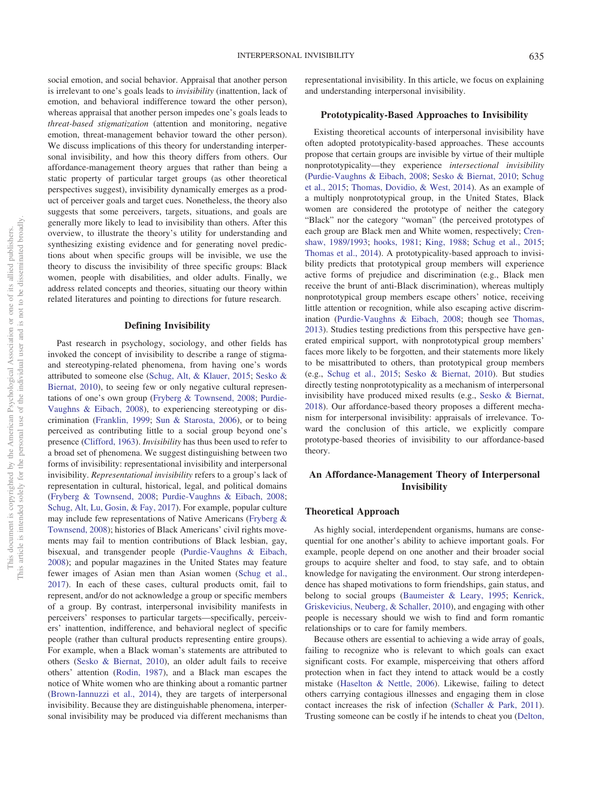social emotion, and social behavior. Appraisal that another person is irrelevant to one's goals leads to *invisibility* (inattention, lack of emotion, and behavioral indifference toward the other person), whereas appraisal that another person impedes one's goals leads to *threat-based stigmatization* (attention and monitoring, negative emotion, threat-management behavior toward the other person). We discuss implications of this theory for understanding interpersonal invisibility, and how this theory differs from others. Our affordance-management theory argues that rather than being a static property of particular target groups (as other theoretical perspectives suggest), invisibility dynamically emerges as a product of perceiver goals and target cues. Nonetheless, the theory also suggests that some perceivers, targets, situations, and goals are generally more likely to lead to invisibility than others. After this overview, to illustrate the theory's utility for understanding and synthesizing existing evidence and for generating novel predictions about when specific groups will be invisible, we use the theory to discuss the invisibility of three specific groups: Black women, people with disabilities, and older adults. Finally, we address related concepts and theories, situating our theory within related literatures and pointing to directions for future research.

#### **Defining Invisibility**

Past research in psychology, sociology, and other fields has invoked the concept of invisibility to describe a range of stigmaand stereotyping-related phenomena, from having one's words attributed to someone else [\(Schug, Alt, & Klauer, 2015;](#page-24-1) [Sesko &](#page-24-2) [Biernat, 2010\)](#page-24-2), to seeing few or only negative cultural representations of one's own group [\(Fryberg & Townsend, 2008;](#page-19-0) [Purdie-](#page-23-0)[Vaughns & Eibach, 2008\)](#page-23-0), to experiencing stereotyping or discrimination [\(Franklin, 1999;](#page-19-1) [Sun & Starosta, 2006\)](#page-24-3), or to being perceived as contributing little to a social group beyond one's presence [\(Clifford, 1963\)](#page-18-0). *Invisibility* has thus been used to refer to a broad set of phenomena. We suggest distinguishing between two forms of invisibility: representational invisibility and interpersonal invisibility. *Representational invisibility* refers to a group's lack of representation in cultural, historical, legal, and political domains [\(Fryberg & Townsend, 2008;](#page-19-0) [Purdie-Vaughns & Eibach, 2008;](#page-23-0) [Schug, Alt, Lu, Gosin, & Fay, 2017\)](#page-24-4). For example, popular culture may include few representations of Native Americans [\(Fryberg &](#page-19-0) [Townsend, 2008\)](#page-19-0); histories of Black Americans' civil rights movements may fail to mention contributions of Black lesbian, gay, bisexual, and transgender people [\(Purdie-Vaughns & Eibach,](#page-23-0) [2008\)](#page-23-0); and popular magazines in the United States may feature fewer images of Asian men than Asian women [\(Schug et al.,](#page-24-4) [2017\)](#page-24-4). In each of these cases, cultural products omit, fail to represent, and/or do not acknowledge a group or specific members of a group. By contrast, interpersonal invisibility manifests in perceivers' responses to particular targets—specifically, perceivers' inattention, indifference, and behavioral neglect of specific people (rather than cultural products representing entire groups). For example, when a Black woman's statements are attributed to others [\(Sesko & Biernat, 2010\)](#page-24-2), an older adult fails to receive others' attention [\(Rodin, 1987\)](#page-23-1), and a Black man escapes the notice of White women who are thinking about a romantic partner [\(Brown-Iannuzzi et al., 2014\)](#page-17-0), they are targets of interpersonal invisibility. Because they are distinguishable phenomena, interpersonal invisibility may be produced via different mechanisms than representational invisibility. In this article, we focus on explaining and understanding interpersonal invisibility.

#### **Prototypicality-Based Approaches to Invisibility**

Existing theoretical accounts of interpersonal invisibility have often adopted prototypicality-based approaches. These accounts propose that certain groups are invisible by virtue of their multiple nonprototypicality—they experience *intersectional invisibility* [\(Purdie-Vaughns & Eibach, 2008;](#page-23-0) [Sesko & Biernat, 2010;](#page-24-2) [Schug](#page-24-1) [et al., 2015;](#page-24-1) [Thomas, Dovidio, & West, 2014\)](#page-24-5). As an example of a multiply nonprototypical group, in the United States, Black women are considered the prototype of neither the category "Black" nor the category "woman" (the perceived prototypes of each group are Black men and White women, respectively; [Cren](#page-18-1)[shaw, 1989/1993;](#page-18-1) [hooks, 1981;](#page-20-0) [King, 1988;](#page-21-0) [Schug et al., 2015;](#page-24-1) [Thomas et al., 2014\)](#page-24-5). A prototypicality-based approach to invisibility predicts that prototypical group members will experience active forms of prejudice and discrimination (e.g., Black men receive the brunt of anti-Black discrimination), whereas multiply nonprototypical group members escape others' notice, receiving little attention or recognition, while also escaping active discrimination [\(Purdie-Vaughns & Eibach, 2008;](#page-23-0) though see [Thomas,](#page-24-0) [2013\)](#page-24-0). Studies testing predictions from this perspective have generated empirical support, with nonprototypical group members' faces more likely to be forgotten, and their statements more likely to be misattributed to others, than prototypical group members (e.g., [Schug et al., 2015;](#page-24-1) [Sesko & Biernat, 2010\)](#page-24-2). But studies directly testing nonprototypicality as a mechanism of interpersonal invisibility have produced mixed results (e.g., [Sesko & Biernat,](#page-24-6) [2018\)](#page-24-6). Our affordance-based theory proposes a different mechanism for interpersonal invisibility: appraisals of irrelevance. Toward the conclusion of this article, we explicitly compare prototype-based theories of invisibility to our affordance-based theory.

# **An Affordance-Management Theory of Interpersonal Invisibility**

#### **Theoretical Approach**

As highly social, interdependent organisms, humans are consequential for one another's ability to achieve important goals. For example, people depend on one another and their broader social groups to acquire shelter and food, to stay safe, and to obtain knowledge for navigating the environment. Our strong interdependence has shaped motivations to form friendships, gain status, and belong to social groups [\(Baumeister & Leary, 1995;](#page-17-1) [Kenrick,](#page-21-1) [Griskevicius, Neuberg, & Schaller, 2010\)](#page-21-1), and engaging with other people is necessary should we wish to find and form romantic relationships or to care for family members.

Because others are essential to achieving a wide array of goals, failing to recognize who is relevant to which goals can exact significant costs. For example, misperceiving that others afford protection when in fact they intend to attack would be a costly mistake [\(Haselton & Nettle, 2006\)](#page-20-1). Likewise, failing to detect others carrying contagious illnesses and engaging them in close contact increases the risk of infection [\(Schaller & Park, 2011\)](#page-24-7). Trusting someone can be costly if he intends to cheat you [\(Delton,](#page-18-2)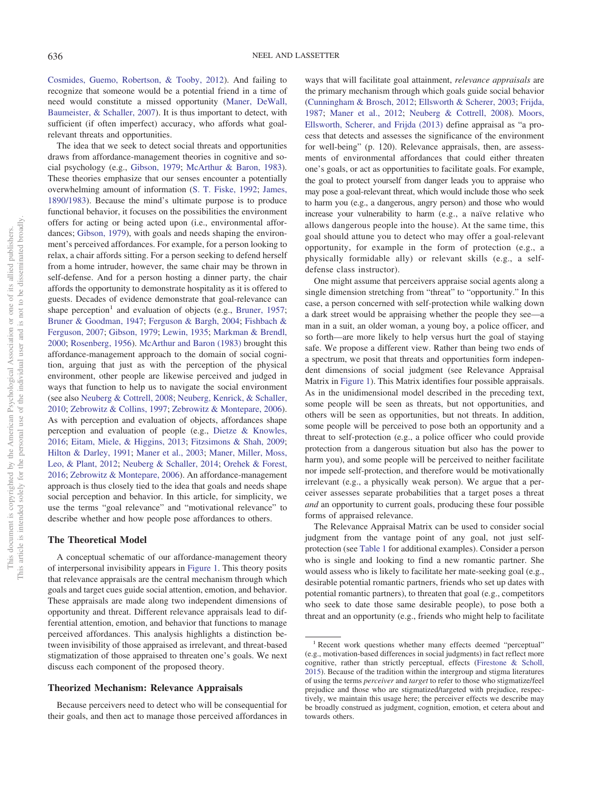[Cosmides, Guemo, Robertson, & Tooby, 2012\)](#page-18-2). And failing to recognize that someone would be a potential friend in a time of need would constitute a missed opportunity [\(Maner, DeWall,](#page-22-0) [Baumeister, & Schaller, 2007\)](#page-22-0). It is thus important to detect, with sufficient (if often imperfect) accuracy, who affords what goalrelevant threats and opportunities.

The idea that we seek to detect social threats and opportunities draws from affordance-management theories in cognitive and social psychology (e.g., [Gibson, 1979;](#page-20-2) [McArthur & Baron, 1983\)](#page-22-1). These theories emphasize that our senses encounter a potentially overwhelming amount of information [\(S. T. Fiske, 1992;](#page-19-2) [James,](#page-20-3) [1890/1983\)](#page-20-3). Because the mind's ultimate purpose is to produce functional behavior, it focuses on the possibilities the environment offers for acting or being acted upon (i.e., environmental affordances; [Gibson, 1979\)](#page-20-2), with goals and needs shaping the environment's perceived affordances. For example, for a person looking to relax, a chair affords sitting. For a person seeking to defend herself from a home intruder, however, the same chair may be thrown in self-defense. And for a person hosting a dinner party, the chair affords the opportunity to demonstrate hospitality as it is offered to guests. Decades of evidence demonstrate that goal-relevance can shape perception<sup>1</sup> and evaluation of objects (e.g., [Bruner, 1957;](#page-17-2) [Bruner & Goodman, 1947;](#page-17-3) [Ferguson & Bargh, 2004;](#page-19-3) [Fishbach &](#page-19-4) [Ferguson, 2007;](#page-19-4) [Gibson, 1979;](#page-20-2) [Lewin, 1935;](#page-21-2) [Markman & Brendl,](#page-22-2) [2000;](#page-22-2) [Rosenberg, 1956\)](#page-23-2). [McArthur and Baron \(1983\)](#page-22-1) brought this affordance-management approach to the domain of social cognition, arguing that just as with the perception of the physical environment, other people are likewise perceived and judged in ways that function to help us to navigate the social environment (see also [Neuberg & Cottrell, 2008;](#page-23-3) [Neuberg, Kenrick, & Schaller,](#page-23-4) [2010;](#page-23-4) [Zebrowitz & Collins, 1997;](#page-25-0) [Zebrowitz & Montepare, 2006\)](#page-25-1). As with perception and evaluation of objects, affordances shape perception and evaluation of people (e.g., [Dietze & Knowles,](#page-18-3) [2016;](#page-18-3) [Eitam, Miele, & Higgins, 2013;](#page-19-5) [Fitzsimons & Shah, 2009;](#page-19-6) [Hilton & Darley, 1991;](#page-20-4) [Maner et al., 2003;](#page-22-3) [Maner, Miller, Moss,](#page-22-4) [Leo, & Plant, 2012;](#page-22-4) [Neuberg & Schaller, 2014;](#page-23-5) [Orehek & Forest,](#page-23-6) [2016;](#page-23-6) [Zebrowitz & Montepare, 2006\)](#page-25-1). An affordance-management approach is thus closely tied to the idea that goals and needs shape social perception and behavior. In this article, for simplicity, we use the terms "goal relevance" and "motivational relevance" to describe whether and how people pose affordances to others.

#### **The Theoretical Model**

A conceptual schematic of our affordance-management theory of interpersonal invisibility appears in [Figure 1.](#page-3-0) This theory posits that relevance appraisals are the central mechanism through which goals and target cues guide social attention, emotion, and behavior. These appraisals are made along two independent dimensions of opportunity and threat. Different relevance appraisals lead to differential attention, emotion, and behavior that functions to manage perceived affordances. This analysis highlights a distinction between invisibility of those appraised as irrelevant, and threat-based stigmatization of those appraised to threaten one's goals. We next discuss each component of the proposed theory.

#### **Theorized Mechanism: Relevance Appraisals**

Because perceivers need to detect who will be consequential for their goals, and then act to manage those perceived affordances in

ways that will facilitate goal attainment, *relevance appraisals* are the primary mechanism through which goals guide social behavior [\(Cunningham & Brosch, 2012;](#page-18-4) [Ellsworth & Scherer, 2003;](#page-19-7) [Frijda,](#page-19-8) [1987;](#page-19-8) [Maner et al., 2012;](#page-22-4) [Neuberg & Cottrell, 2008\)](#page-23-3). [Moors,](#page-22-5) [Ellsworth, Scherer, and Frijda \(2013\)](#page-22-5) define appraisal as "a process that detects and assesses the significance of the environment for well-being" (p. 120). Relevance appraisals, then, are assessments of environmental affordances that could either threaten one's goals, or act as opportunities to facilitate goals. For example, the goal to protect yourself from danger leads you to appraise who may pose a goal-relevant threat, which would include those who seek to harm you (e.g., a dangerous, angry person) and those who would increase your vulnerability to harm (e.g., a naïve relative who allows dangerous people into the house). At the same time, this goal should attune you to detect who may offer a goal-relevant opportunity, for example in the form of protection (e.g., a physically formidable ally) or relevant skills (e.g., a selfdefense class instructor).

One might assume that perceivers appraise social agents along a single dimension stretching from "threat" to "opportunity." In this case, a person concerned with self-protection while walking down a dark street would be appraising whether the people they see—a man in a suit, an older woman, a young boy, a police officer, and so forth—are more likely to help versus hurt the goal of staying safe. We propose a different view. Rather than being two ends of a spectrum, we posit that threats and opportunities form independent dimensions of social judgment (see Relevance Appraisal Matrix in [Figure 1\)](#page-3-0). This Matrix identifies four possible appraisals. As in the unidimensional model described in the preceding text, some people will be seen as threats, but not opportunities, and others will be seen as opportunities, but not threats. In addition, some people will be perceived to pose both an opportunity and a threat to self-protection (e.g., a police officer who could provide protection from a dangerous situation but also has the power to harm you), and some people will be perceived to neither facilitate nor impede self-protection, and therefore would be motivationally irrelevant (e.g., a physically weak person). We argue that a perceiver assesses separate probabilities that a target poses a threat *and* an opportunity to current goals, producing these four possible forms of appraised relevance.

The Relevance Appraisal Matrix can be used to consider social judgment from the vantage point of any goal, not just selfprotection (see [Table 1](#page-4-0) for additional examples). Consider a person who is single and looking to find a new romantic partner. She would assess who is likely to facilitate her mate-seeking goal (e.g., desirable potential romantic partners, friends who set up dates with potential romantic partners), to threaten that goal (e.g., competitors who seek to date those same desirable people), to pose both a threat and an opportunity (e.g., friends who might help to facilitate

<sup>&</sup>lt;sup>1</sup> Recent work questions whether many effects deemed "perceptual" (e.g., motivation-based differences in social judgments) in fact reflect more cognitive, rather than strictly perceptual, effects [\(Firestone & Scholl,](#page-19-9) [2015\)](#page-19-9). Because of the tradition within the intergroup and stigma literatures of using the terms *perceiver* and *target* to refer to those who stigmatize/feel prejudice and those who are stigmatized/targeted with prejudice, respectively, we maintain this usage here; the perceiver effects we describe may be broadly construed as judgment, cognition, emotion, et cetera about and towards others.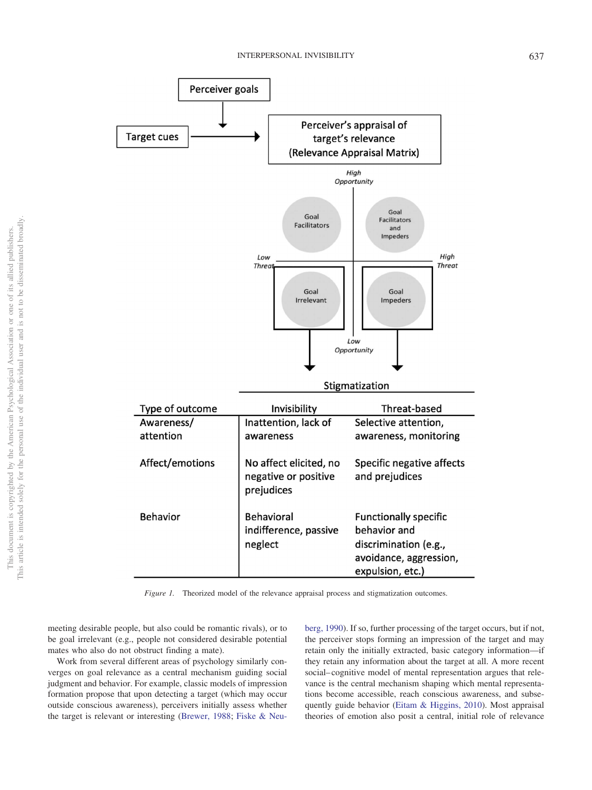

<span id="page-3-0"></span>*Figure 1.* Theorized model of the relevance appraisal process and stigmatization outcomes.

meeting desirable people, but also could be romantic rivals), or to be goal irrelevant (e.g., people not considered desirable potential mates who also do not obstruct finding a mate).

Work from several different areas of psychology similarly converges on goal relevance as a central mechanism guiding social judgment and behavior. For example, classic models of impression formation propose that upon detecting a target (which may occur outside conscious awareness), perceivers initially assess whether the target is relevant or interesting [\(Brewer, 1988;](#page-17-4) [Fiske & Neu-](#page-19-10) [berg, 1990\)](#page-19-10). If so, further processing of the target occurs, but if not, the perceiver stops forming an impression of the target and may retain only the initially extracted, basic category information—if they retain any information about the target at all. A more recent social– cognitive model of mental representation argues that relevance is the central mechanism shaping which mental representations become accessible, reach conscious awareness, and subsequently guide behavior [\(Eitam & Higgins, 2010\)](#page-19-11). Most appraisal theories of emotion also posit a central, initial role of relevance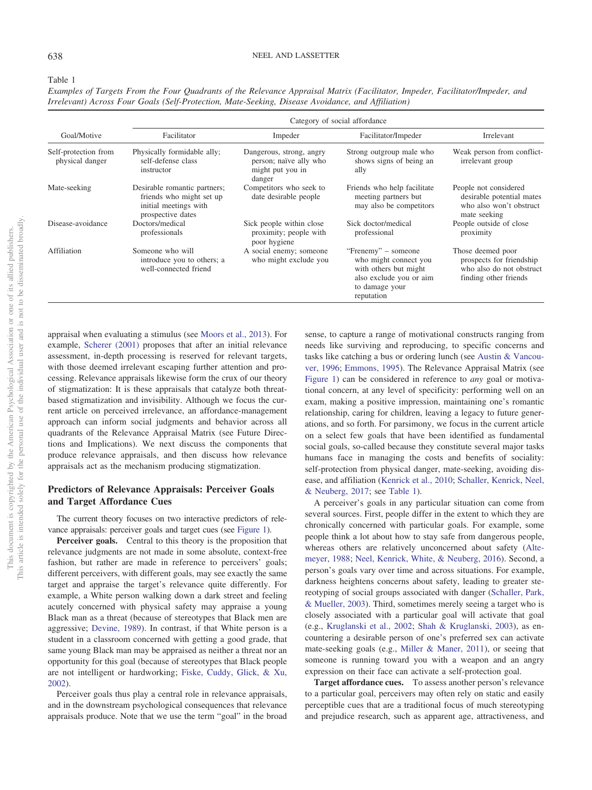<span id="page-4-0"></span>Table 1

| Goal/Motive                             | Category of social affordance                                                                          |                                                                                  |                                                                                                                                  |                                                                                                    |
|-----------------------------------------|--------------------------------------------------------------------------------------------------------|----------------------------------------------------------------------------------|----------------------------------------------------------------------------------------------------------------------------------|----------------------------------------------------------------------------------------------------|
|                                         | Facilitator                                                                                            | Impeder                                                                          | Facilitator/Impeder                                                                                                              | Irrelevant                                                                                         |
| Self-protection from<br>physical danger | Physically formidable ally;<br>self-defense class<br>instructor                                        | Dangerous, strong, angry<br>person; naïve ally who<br>might put you in<br>danger | Strong outgroup male who<br>shows signs of being an<br>ally                                                                      | Weak person from conflict-<br>irrelevant group                                                     |
| Mate-seeking                            | Desirable romantic partners;<br>friends who might set up<br>initial meetings with<br>prospective dates | Competitors who seek to<br>date desirable people                                 | Friends who help facilitate<br>meeting partners but<br>may also be competitors                                                   | People not considered<br>desirable potential mates<br>who also won't obstruct<br>mate seeking      |
| Disease-avoidance                       | Doctors/medical<br>professionals                                                                       | Sick people within close<br>proximity; people with<br>poor hygiene               | Sick doctor/medical<br>professional                                                                                              | People outside of close<br>proximity                                                               |
| Affiliation                             | Someone who will<br>introduce you to others; a<br>well-connected friend                                | A social enemy; someone<br>who might exclude you                                 | "Frenemy" – someone<br>who might connect you<br>with others but might<br>also exclude you or aim<br>to damage your<br>reputation | Those deemed poor<br>prospects for friendship<br>who also do not obstruct<br>finding other friends |

*Examples of Targets From the Four Quadrants of the Relevance Appraisal Matrix (Facilitator, Impeder, Facilitator/Impeder, and Irrelevant) Across Four Goals (Self-Protection, Mate-Seeking, Disease Avoidance, and Affiliation)*

appraisal when evaluating a stimulus (see [Moors et al., 2013\)](#page-22-5). For example, [Scherer \(2001\)](#page-24-8) proposes that after an initial relevance assessment, in-depth processing is reserved for relevant targets, with those deemed irrelevant escaping further attention and processing. Relevance appraisals likewise form the crux of our theory of stigmatization: It is these appraisals that catalyze both threatbased stigmatization and invisibility. Although we focus the current article on perceived irrelevance, an affordance-management approach can inform social judgments and behavior across all quadrants of the Relevance Appraisal Matrix (see Future Directions and Implications). We next discuss the components that produce relevance appraisals, and then discuss how relevance appraisals act as the mechanism producing stigmatization.

# **Predictors of Relevance Appraisals: Perceiver Goals and Target Affordance Cues**

The current theory focuses on two interactive predictors of relevance appraisals: perceiver goals and target cues (see [Figure 1\)](#page-3-0).

**Perceiver goals.** Central to this theory is the proposition that relevance judgments are not made in some absolute, context-free fashion, but rather are made in reference to perceivers' goals; different perceivers, with different goals, may see exactly the same target and appraise the target's relevance quite differently. For example, a White person walking down a dark street and feeling acutely concerned with physical safety may appraise a young Black man as a threat (because of stereotypes that Black men are aggressive; [Devine, 1989\)](#page-18-5). In contrast, if that White person is a student in a classroom concerned with getting a good grade, that same young Black man may be appraised as neither a threat nor an opportunity for this goal (because of stereotypes that Black people are not intelligent or hardworking; [Fiske, Cuddy, Glick, & Xu,](#page-19-12) [2002\)](#page-19-12).

Perceiver goals thus play a central role in relevance appraisals, and in the downstream psychological consequences that relevance appraisals produce. Note that we use the term "goal" in the broad

sense, to capture a range of motivational constructs ranging from needs like surviving and reproducing, to specific concerns and tasks like catching a bus or ordering lunch (see [Austin & Vancou](#page-17-5)[ver, 1996;](#page-17-5) [Emmons, 1995\)](#page-19-13). The Relevance Appraisal Matrix (see [Figure 1\)](#page-3-0) can be considered in reference to *any* goal or motivational concern, at any level of specificity: performing well on an exam, making a positive impression, maintaining one's romantic relationship, caring for children, leaving a legacy to future generations, and so forth. For parsimony, we focus in the current article on a select few goals that have been identified as fundamental social goals, so-called because they constitute several major tasks humans face in managing the costs and benefits of sociality: self-protection from physical danger, mate-seeking, avoiding disease, and affiliation [\(Kenrick et al., 2010;](#page-21-1) [Schaller, Kenrick, Neel,](#page-24-9) [& Neuberg, 2017;](#page-24-9) see [Table 1\)](#page-4-0).

A perceiver's goals in any particular situation can come from several sources. First, people differ in the extent to which they are chronically concerned with particular goals. For example, some people think a lot about how to stay safe from dangerous people, whereas others are relatively unconcerned about safety [\(Alte](#page-17-6)[meyer, 1988;](#page-17-6) [Neel, Kenrick, White, & Neuberg, 2016\)](#page-22-6). Second, a person's goals vary over time and across situations. For example, darkness heightens concerns about safety, leading to greater stereotyping of social groups associated with danger [\(Schaller, Park,](#page-24-10) [& Mueller, 2003\)](#page-24-10). Third, sometimes merely seeing a target who is closely associated with a particular goal will activate that goal (e.g., [Kruglanski et al., 2002;](#page-21-3) [Shah & Kruglanski, 2003\)](#page-24-11), as encountering a desirable person of one's preferred sex can activate mate-seeking goals (e.g., [Miller & Maner, 2011\)](#page-22-7), or seeing that someone is running toward you with a weapon and an angry expression on their face can activate a self-protection goal.

**Target affordance cues.** To assess another person's relevance to a particular goal, perceivers may often rely on static and easily perceptible cues that are a traditional focus of much stereotyping and prejudice research, such as apparent age, attractiveness, and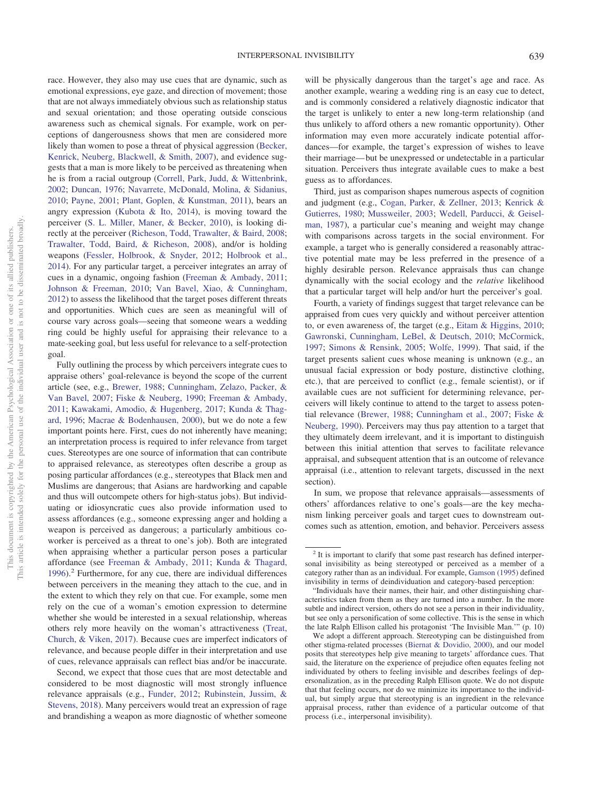race. However, they also may use cues that are dynamic, such as emotional expressions, eye gaze, and direction of movement; those that are not always immediately obvious such as relationship status and sexual orientation; and those operating outside conscious awareness such as chemical signals. For example, work on perceptions of dangerousness shows that men are considered more likely than women to pose a threat of physical aggression [\(Becker,](#page-17-7) [Kenrick, Neuberg, Blackwell, & Smith, 2007\)](#page-17-7), and evidence suggests that a man is more likely to be perceived as threatening when he is from a racial outgroup [\(Correll, Park, Judd, & Wittenbrink,](#page-18-6) [2002;](#page-18-6) [Duncan, 1976;](#page-19-14) [Navarrete, McDonald, Molina, & Sidanius,](#page-22-8) [2010;](#page-22-8) [Payne, 2001;](#page-23-7) [Plant, Goplen, & Kunstman, 2011\)](#page-23-8), bears an angry expression [\(Kubota & Ito, 2014\)](#page-21-4), is moving toward the perceiver [\(S. L. Miller, Maner, & Becker, 2010\)](#page-22-9), is looking directly at the perceiver [\(Richeson, Todd, Trawalter, & Baird, 2008;](#page-23-9) [Trawalter, Todd, Baird, & Richeson, 2008\)](#page-25-2), and/or is holding weapons [\(Fessler, Holbrook, & Snyder, 2012;](#page-19-15) [Holbrook et al.,](#page-20-5) [2014\)](#page-20-5). For any particular target, a perceiver integrates an array of cues in a dynamic, ongoing fashion [\(Freeman & Ambady, 2011;](#page-19-16) [Johnson & Freeman, 2010;](#page-20-6) [Van Bavel, Xiao, & Cunningham,](#page-25-3) [2012\)](#page-25-3) to assess the likelihood that the target poses different threats and opportunities. Which cues are seen as meaningful will of course vary across goals—seeing that someone wears a wedding ring could be highly useful for appraising their relevance to a mate-seeking goal, but less useful for relevance to a self-protection goal.

Fully outlining the process by which perceivers integrate cues to appraise others' goal-relevance is beyond the scope of the current article (see, e.g., [Brewer, 1988;](#page-17-4) [Cunningham, Zelazo, Packer, &](#page-18-7) [Van Bavel, 2007;](#page-18-7) [Fiske & Neuberg, 1990;](#page-19-10) [Freeman & Ambady,](#page-19-16) [2011;](#page-19-16) [Kawakami, Amodio, & Hugenberg, 2017;](#page-21-5) [Kunda & Thag](#page-21-6)[ard, 1996;](#page-21-6) [Macrae & Bodenhausen, 2000\)](#page-22-10), but we do note a few important points here. First, cues do not inherently have meaning; an interpretation process is required to infer relevance from target cues. Stereotypes are one source of information that can contribute to appraised relevance, as stereotypes often describe a group as posing particular affordances (e.g., stereotypes that Black men and Muslims are dangerous; that Asians are hardworking and capable and thus will outcompete others for high-status jobs). But individuating or idiosyncratic cues also provide information used to assess affordances (e.g., someone expressing anger and holding a weapon is perceived as dangerous; a particularly ambitious coworker is perceived as a threat to one's job). Both are integrated when appraising whether a particular person poses a particular affordance (see [Freeman & Ambady, 2011;](#page-19-16) [Kunda & Thagard,](#page-21-6)  $1996$ .<sup>2</sup> Furthermore, for any cue, there are individual differences between perceivers in the meaning they attach to the cue, and in the extent to which they rely on that cue. For example, some men rely on the cue of a woman's emotion expression to determine whether she would be interested in a sexual relationship, whereas others rely more heavily on the woman's attractiveness [\(Treat,](#page-25-4) [Church, & Viken, 2017\)](#page-25-4). Because cues are imperfect indicators of relevance, and because people differ in their interpretation and use of cues, relevance appraisals can reflect bias and/or be inaccurate.

will be physically dangerous than the target's age and race. As another example, wearing a wedding ring is an easy cue to detect, and is commonly considered a relatively diagnostic indicator that the target is unlikely to enter a new long-term relationship (and thus unlikely to afford others a new romantic opportunity). Other information may even more accurately indicate potential affordances—for example, the target's expression of wishes to leave their marriage— but be unexpressed or undetectable in a particular situation. Perceivers thus integrate available cues to make a best guess as to affordances.

Third, just as comparison shapes numerous aspects of cognition and judgment (e.g., [Cogan, Parker, & Zellner, 2013;](#page-18-8) [Kenrick &](#page-21-7) [Gutierres, 1980;](#page-21-7) [Mussweiler, 2003;](#page-22-11) [Wedell, Parducci, & Geisel](#page-25-5)[man, 1987\)](#page-25-5), a particular cue's meaning and weight may change with comparisons across targets in the social environment. For example, a target who is generally considered a reasonably attractive potential mate may be less preferred in the presence of a highly desirable person. Relevance appraisals thus can change dynamically with the social ecology and the *relative* likelihood that a particular target will help and/or hurt the perceiver's goal.

Fourth, a variety of findings suggest that target relevance can be appraised from cues very quickly and without perceiver attention to, or even awareness of, the target (e.g., [Eitam & Higgins, 2010;](#page-19-11) [Gawronski, Cunningham, LeBel, & Deutsch, 2010;](#page-20-8) [McCormick,](#page-22-12) [1997;](#page-22-12) [Simons & Rensink, 2005;](#page-24-12) [Wolfe, 1999\)](#page-25-6). That said, if the target presents salient cues whose meaning is unknown (e.g., an unusual facial expression or body posture, distinctive clothing, etc.), that are perceived to conflict (e.g., female scientist), or if available cues are not sufficient for determining relevance, perceivers will likely continue to attend to the target to assess potential relevance [\(Brewer, 1988;](#page-17-4) [Cunningham et al., 2007;](#page-18-7) [Fiske &](#page-19-10) [Neuberg, 1990\)](#page-19-10). Perceivers may thus pay attention to a target that they ultimately deem irrelevant, and it is important to distinguish between this initial attention that serves to facilitate relevance appraisal, and subsequent attention that is an outcome of relevance appraisal (i.e., attention to relevant targets, discussed in the next section).

In sum, we propose that relevance appraisals—assessments of others' affordances relative to one's goals—are the key mechanism linking perceiver goals and target cues to downstream outcomes such as attention, emotion, and behavior. Perceivers assess

Second, we expect that those cues that are most detectable and considered to be most diagnostic will most strongly influence relevance appraisals (e.g., [Funder, 2012;](#page-20-7) [Rubinstein, Jussim, &](#page-23-10) [Stevens, 2018\)](#page-23-10). Many perceivers would treat an expression of rage and brandishing a weapon as more diagnostic of whether someone

<sup>&</sup>lt;sup>2</sup> It is important to clarify that some past research has defined interpersonal invisibility as being stereotyped or perceived as a member of a category rather than as an individual. For example, [Gamson \(1995\)](#page-20-9) defined invisibility in terms of deindividuation and category-based perception:

<sup>&</sup>quot;Individuals have their names, their hair, and other distinguishing characteristics taken from them as they are turned into a number. In the more subtle and indirect version, others do not see a person in their individuality, but see only a personification of some collective. This is the sense in which the late Ralph Ellison called his protagonist 'The Invisible Man.'" (p. 10)

We adopt a different approach. Stereotyping can be distinguished from other stigma-related processes [\(Biernat & Dovidio, 2000\)](#page-17-8), and our model posits that stereotypes help give meaning to targets' affordance cues. That said, the literature on the experience of prejudice often equates feeling not individuated by others to feeling invisible and describes feelings of depersonalization, as in the preceding Ralph Ellison quote. We do not dispute that that feeling occurs, nor do we minimize its importance to the individual, but simply argue that stereotyping is an ingredient in the relevance appraisal process, rather than evidence of a particular outcome of that process (i.e., interpersonal invisibility).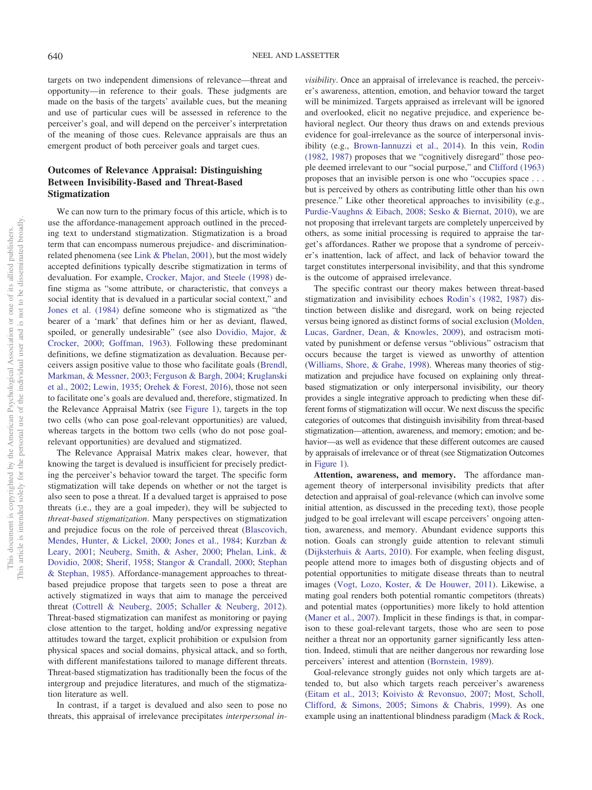targets on two independent dimensions of relevance—threat and opportunity—in reference to their goals. These judgments are made on the basis of the targets' available cues, but the meaning and use of particular cues will be assessed in reference to the perceiver's goal, and will depend on the perceiver's interpretation of the meaning of those cues. Relevance appraisals are thus an emergent product of both perceiver goals and target cues.

# **Outcomes of Relevance Appraisal: Distinguishing Between Invisibility-Based and Threat-Based Stigmatization**

We can now turn to the primary focus of this article, which is to use the affordance-management approach outlined in the preceding text to understand stigmatization. Stigmatization is a broad term that can encompass numerous prejudice- and discriminationrelated phenomena (see [Link & Phelan, 2001\)](#page-22-13), but the most widely accepted definitions typically describe stigmatization in terms of devaluation. For example, [Crocker, Major, and Steele \(1998\)](#page-18-9) define stigma as "some attribute, or characteristic, that conveys a social identity that is devalued in a particular social context," and [Jones et al. \(1984\)](#page-21-8) define someone who is stigmatized as "the bearer of a 'mark' that defines him or her as deviant, flawed, spoiled, or generally undesirable" (see also [Dovidio, Major, &](#page-19-17) [Crocker, 2000;](#page-19-17) [Goffman, 1963\)](#page-20-10). Following these predominant definitions, we define stigmatization as devaluation. Because perceivers assign positive value to those who facilitate goals [\(Brendl,](#page-17-9) [Markman, & Messner, 2003;](#page-17-9) [Ferguson & Bargh, 2004;](#page-19-3) [Kruglanski](#page-21-3) [et al., 2002;](#page-21-3) [Lewin, 1935;](#page-21-2) [Orehek & Forest, 2016\)](#page-23-6), those not seen to facilitate one's goals are devalued and, therefore, stigmatized. In the Relevance Appraisal Matrix (see [Figure 1\)](#page-3-0), targets in the top two cells (who can pose goal-relevant opportunities) are valued, whereas targets in the bottom two cells (who do not pose goalrelevant opportunities) are devalued and stigmatized.

The Relevance Appraisal Matrix makes clear, however, that knowing the target is devalued is insufficient for precisely predicting the perceiver's behavior toward the target. The specific form stigmatization will take depends on whether or not the target is also seen to pose a threat. If a devalued target is appraised to pose threats (i.e., they are a goal impeder), they will be subjected to *threat-based stigmatization*. Many perspectives on stigmatization and prejudice focus on the role of perceived threat [\(Blascovich,](#page-17-10) [Mendes, Hunter, & Lickel, 2000;](#page-17-10) [Jones et al., 1984;](#page-21-8) [Kurzban &](#page-21-9) [Leary, 2001;](#page-21-9) [Neuberg, Smith, & Asher, 2000;](#page-23-11) [Phelan, Link, &](#page-23-12) [Dovidio, 2008;](#page-23-12) [Sherif, 1958;](#page-24-13) [Stangor & Crandall, 2000;](#page-24-14) [Stephan](#page-24-15) [& Stephan, 1985\)](#page-24-15). Affordance-management approaches to threatbased prejudice propose that targets seen to pose a threat are actively stigmatized in ways that aim to manage the perceived threat [\(Cottrell & Neuberg, 2005;](#page-18-10) [Schaller & Neuberg, 2012\)](#page-24-16). Threat-based stigmatization can manifest as monitoring or paying close attention to the target, holding and/or expressing negative attitudes toward the target, explicit prohibition or expulsion from physical spaces and social domains, physical attack, and so forth, with different manifestations tailored to manage different threats. Threat-based stigmatization has traditionally been the focus of the intergroup and prejudice literatures, and much of the stigmatization literature as well.

In contrast, if a target is devalued and also seen to pose no threats, this appraisal of irrelevance precipitates *interpersonal in-*

*visibility*. Once an appraisal of irrelevance is reached, the perceiver's awareness, attention, emotion, and behavior toward the target will be minimized. Targets appraised as irrelevant will be ignored and overlooked, elicit no negative prejudice, and experience behavioral neglect. Our theory thus draws on and extends previous evidence for goal-irrelevance as the source of interpersonal invisibility (e.g., [Brown-Iannuzzi et al., 2014\)](#page-17-0). In this vein, [Rodin](#page-23-13) [\(1982,](#page-23-13) [1987\)](#page-23-1) proposes that we "cognitively disregard" those people deemed irrelevant to our "social purpose," and [Clifford \(1963\)](#page-18-0) proposes that an invisible person is one who "occupies space . . . but is perceived by others as contributing little other than his own presence." Like other theoretical approaches to invisibility (e.g., [Purdie-Vaughns & Eibach, 2008;](#page-23-0) [Sesko & Biernat, 2010\)](#page-24-2), we are not proposing that irrelevant targets are completely unperceived by others, as some initial processing is required to appraise the target's affordances. Rather we propose that a syndrome of perceiver's inattention, lack of affect, and lack of behavior toward the target constitutes interpersonal invisibility, and that this syndrome is the outcome of appraised irrelevance.

The specific contrast our theory makes between threat-based stigmatization and invisibility echoes [Rodin's \(1982,](#page-23-13) [1987\)](#page-23-1) distinction between dislike and disregard, work on being rejected versus being ignored as distinct forms of social exclusion [\(Molden,](#page-22-14) [Lucas, Gardner, Dean, & Knowles, 2009\)](#page-22-14), and ostracism motivated by punishment or defense versus "oblivious" ostracism that occurs because the target is viewed as unworthy of attention [\(Williams, Shore, & Grahe, 1998\)](#page-25-7). Whereas many theories of stigmatization and prejudice have focused on explaining only threatbased stigmatization or only interpersonal invisibility, our theory provides a single integrative approach to predicting when these different forms of stigmatization will occur. We next discuss the specific categories of outcomes that distinguish invisibility from threat-based stigmatization—attention, awareness, and memory; emotion; and behavior—as well as evidence that these different outcomes are caused by appraisals of irrelevance or of threat (see Stigmatization Outcomes in [Figure 1\)](#page-3-0).

**Attention, awareness, and memory.** The affordance management theory of interpersonal invisibility predicts that after detection and appraisal of goal-relevance (which can involve some initial attention, as discussed in the preceding text), those people judged to be goal irrelevant will escape perceivers' ongoing attention, awareness, and memory. Abundant evidence supports this notion. Goals can strongly guide attention to relevant stimuli [\(Dijksterhuis & Aarts, 2010\)](#page-18-11). For example, when feeling disgust, people attend more to images both of disgusting objects and of potential opportunities to mitigate disease threats than to neutral images [\(Vogt, Lozo, Koster, & De Houwer, 2011\)](#page-25-8). Likewise, a mating goal renders both potential romantic competitors (threats) and potential mates (opportunities) more likely to hold attention [\(Maner et al., 2007\)](#page-22-0). Implicit in these findings is that, in comparison to these goal-relevant targets, those who are seen to pose neither a threat nor an opportunity garner significantly less attention. Indeed, stimuli that are neither dangerous nor rewarding lose perceivers' interest and attention [\(Bornstein, 1989\)](#page-17-11).

Goal-relevance strongly guides not only which targets are attended to, but also which targets reach perceiver's awareness [\(Eitam et al., 2013;](#page-19-5) [Koivisto & Revonsuo, 2007;](#page-21-10) [Most, Scholl,](#page-22-15) [Clifford, & Simons, 2005;](#page-22-15) [Simons & Chabris, 1999\)](#page-24-17). As one example using an inattentional blindness paradigm [\(Mack & Rock,](#page-22-16)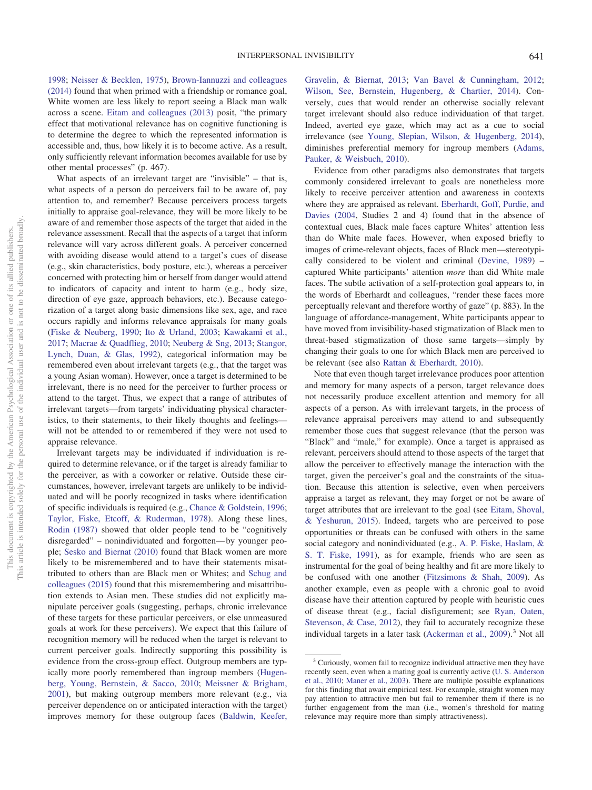[1998;](#page-22-16) [Neisser & Becklen, 1975\)](#page-22-17), [Brown-Iannuzzi and colleagues](#page-17-0) [\(2014\)](#page-17-0) found that when primed with a friendship or romance goal, White women are less likely to report seeing a Black man walk across a scene. [Eitam and colleagues \(2013\)](#page-19-5) posit, "the primary effect that motivational relevance has on cognitive functioning is to determine the degree to which the represented information is accessible and, thus, how likely it is to become active. As a result, only sufficiently relevant information becomes available for use by other mental processes" (p. 467).

What aspects of an irrelevant target are "invisible" – that is, what aspects of a person do perceivers fail to be aware of, pay attention to, and remember? Because perceivers process targets initially to appraise goal-relevance, they will be more likely to be aware of and remember those aspects of the target that aided in the relevance assessment. Recall that the aspects of a target that inform relevance will vary across different goals. A perceiver concerned with avoiding disease would attend to a target's cues of disease (e.g., skin characteristics, body posture, etc.), whereas a perceiver concerned with protecting him or herself from danger would attend to indicators of capacity and intent to harm (e.g., body size, direction of eye gaze, approach behaviors, etc.). Because categorization of a target along basic dimensions like sex, age, and race occurs rapidly and informs relevance appraisals for many goals [\(Fiske & Neuberg, 1990;](#page-19-10) [Ito & Urland, 2003;](#page-20-11) [Kawakami et al.,](#page-21-5) [2017;](#page-21-5) [Macrae & Quadflieg, 2010;](#page-22-18) [Neuberg & Sng, 2013;](#page-23-14) [Stangor,](#page-24-18) [Lynch, Duan, & Glas, 1992\)](#page-24-18), categorical information may be remembered even about irrelevant targets (e.g., that the target was a young Asian woman). However, once a target is determined to be irrelevant, there is no need for the perceiver to further process or attend to the target. Thus, we expect that a range of attributes of irrelevant targets—from targets' individuating physical characteristics, to their statements, to their likely thoughts and feelings will not be attended to or remembered if they were not used to appraise relevance.

Irrelevant targets may be individuated if individuation is required to determine relevance, or if the target is already familiar to the perceiver, as with a coworker or relative. Outside these circumstances, however, irrelevant targets are unlikely to be individuated and will be poorly recognized in tasks where identification of specific individuals is required (e.g., [Chance & Goldstein, 1996;](#page-18-12) [Taylor, Fiske, Etcoff, & Ruderman, 1978\)](#page-24-19). Along these lines, [Rodin \(1987\)](#page-23-1) showed that older people tend to be "cognitively disregarded" – nonindividuated and forgotten— by younger people; [Sesko and Biernat \(2010\)](#page-24-2) found that Black women are more likely to be misremembered and to have their statements misattributed to others than are Black men or Whites; and [Schug and](#page-24-1) [colleagues \(2015\)](#page-24-1) found that this misremembering and misattribution extends to Asian men. These studies did not explicitly manipulate perceiver goals (suggesting, perhaps, chronic irrelevance of these targets for these particular perceivers, or else unmeasured goals at work for these perceivers). We expect that this failure of recognition memory will be reduced when the target is relevant to current perceiver goals. Indirectly supporting this possibility is evidence from the cross-group effect. Outgroup members are typically more poorly remembered than ingroup members [\(Hugen](#page-20-12)[berg, Young, Bernstein, & Sacco, 2010;](#page-20-12) [Meissner & Brigham,](#page-22-19) [2001\)](#page-22-19), but making outgroup members more relevant (e.g., via perceiver dependence on or anticipated interaction with the target) improves memory for these outgroup faces [\(Baldwin, Keefer,](#page-17-12)

[Gravelin, & Biernat, 2013;](#page-17-12) [Van Bavel & Cunningham, 2012;](#page-25-9) [Wilson, See, Bernstein, Hugenberg, & Chartier, 2014\)](#page-25-10). Conversely, cues that would render an otherwise socially relevant target irrelevant should also reduce individuation of that target. Indeed, averted eye gaze, which may act as a cue to social irrelevance (see [Young, Slepian, Wilson, & Hugenberg, 2014\)](#page-25-11), diminishes preferential memory for ingroup members [\(Adams,](#page-17-13) [Pauker, & Weisbuch, 2010\)](#page-17-13).

Evidence from other paradigms also demonstrates that targets commonly considered irrelevant to goals are nonetheless more likely to receive perceiver attention and awareness in contexts where they are appraised as relevant. [Eberhardt, Goff, Purdie, and](#page-19-18) [Davies \(2004,](#page-19-18) Studies 2 and 4) found that in the absence of contextual cues, Black male faces capture Whites' attention less than do White male faces. However, when exposed briefly to images of crime-relevant objects, faces of Black men—stereotypically considered to be violent and criminal [\(Devine, 1989\)](#page-18-5) – captured White participants' attention *more* than did White male faces. The subtle activation of a self-protection goal appears to, in the words of Eberhardt and colleagues, "render these faces more perceptually relevant and therefore worthy of gaze" (p. 883). In the language of affordance-management, White participants appear to have moved from invisibility-based stigmatization of Black men to threat-based stigmatization of those same targets—simply by changing their goals to one for which Black men are perceived to be relevant (see also [Rattan & Eberhardt, 2010\)](#page-23-15).

Note that even though target irrelevance produces poor attention and memory for many aspects of a person, target relevance does not necessarily produce excellent attention and memory for all aspects of a person. As with irrelevant targets, in the process of relevance appraisal perceivers may attend to and subsequently remember those cues that suggest relevance (that the person was "Black" and "male," for example). Once a target is appraised as relevant, perceivers should attend to those aspects of the target that allow the perceiver to effectively manage the interaction with the target, given the perceiver's goal and the constraints of the situation. Because this attention is selective, even when perceivers appraise a target as relevant, they may forget or not be aware of target attributes that are irrelevant to the goal (see [Eitam, Shoval,](#page-19-19) [& Yeshurun, 2015\)](#page-19-19). Indeed, targets who are perceived to pose opportunities or threats can be confused with others in the same social category and nonindividuated (e.g., [A. P. Fiske, Haslam, &](#page-19-20) [S. T. Fiske, 1991\)](#page-19-20), as for example, friends who are seen as instrumental for the goal of being healthy and fit are more likely to be confused with one another [\(Fitzsimons & Shah, 2009\)](#page-19-6). As another example, even as people with a chronic goal to avoid disease have their attention captured by people with heuristic cues of disease threat (e.g., facial disfigurement; see [Ryan, Oaten,](#page-24-20) [Stevenson, & Case, 2012\)](#page-24-20), they fail to accurately recognize these individual targets in a later task [\(Ackerman et al., 2009\)](#page-17-14).<sup>3</sup> Not all

<sup>&</sup>lt;sup>3</sup> Curiously, women fail to recognize individual attractive men they have recently seen, even when a mating goal is currently active [\(U. S. Anderson](#page-17-15) [et al., 2010;](#page-17-15) [Maner et al., 2003\)](#page-22-3). There are multiple possible explanations for this finding that await empirical test. For example, straight women may pay attention to attractive men but fail to remember them if there is no further engagement from the man (i.e., women's threshold for mating relevance may require more than simply attractiveness).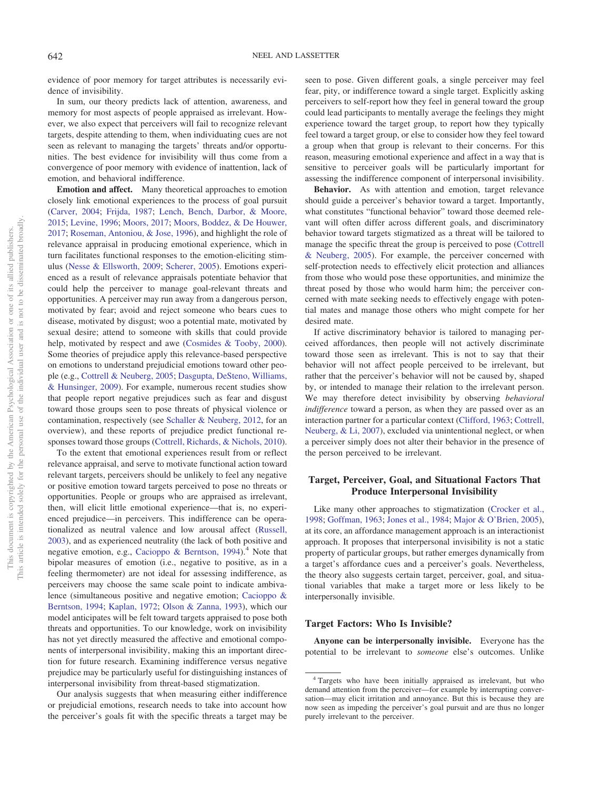evidence of poor memory for target attributes is necessarily evidence of invisibility.

In sum, our theory predicts lack of attention, awareness, and memory for most aspects of people appraised as irrelevant. However, we also expect that perceivers will fail to recognize relevant targets, despite attending to them, when individuating cues are not seen as relevant to managing the targets' threats and/or opportunities. The best evidence for invisibility will thus come from a convergence of poor memory with evidence of inattention, lack of emotion, and behavioral indifference.

**Emotion and affect.** Many theoretical approaches to emotion closely link emotional experiences to the process of goal pursuit [\(Carver, 2004;](#page-18-13) [Frijda, 1987;](#page-19-8) [Lench, Bench, Darbor, & Moore,](#page-21-11) [2015;](#page-21-11) [Levine, 1996;](#page-21-12) [Moors, 2017;](#page-22-20) [Moors, Boddez, & De Houwer,](#page-22-21) [2017;](#page-22-21) [Roseman, Antoniou, & Jose, 1996\)](#page-23-16), and highlight the role of relevance appraisal in producing emotional experience, which in turn facilitates functional responses to the emotion-eliciting stimulus [\(Nesse & Ellsworth, 2009;](#page-23-17) [Scherer, 2005\)](#page-24-21). Emotions experienced as a result of relevance appraisals potentiate behavior that could help the perceiver to manage goal-relevant threats and opportunities. A perceiver may run away from a dangerous person, motivated by fear; avoid and reject someone who bears cues to disease, motivated by disgust; woo a potential mate, motivated by sexual desire; attend to someone with skills that could provide help, motivated by respect and awe [\(Cosmides & Tooby, 2000\)](#page-18-14). Some theories of prejudice apply this relevance-based perspective on emotions to understand prejudicial emotions toward other people (e.g., [Cottrell & Neuberg, 2005;](#page-18-10) [Dasgupta, DeSteno, Williams,](#page-18-15) [& Hunsinger, 2009\)](#page-18-15). For example, numerous recent studies show that people report negative prejudices such as fear and disgust toward those groups seen to pose threats of physical violence or contamination, respectively (see [Schaller & Neuberg, 2012,](#page-24-16) for an overview), and these reports of prejudice predict functional responses toward those groups [\(Cottrell, Richards, & Nichols, 2010\)](#page-18-16).

To the extent that emotional experiences result from or reflect relevance appraisal, and serve to motivate functional action toward relevant targets, perceivers should be unlikely to feel any negative or positive emotion toward targets perceived to pose no threats or opportunities. People or groups who are appraised as irrelevant, then, will elicit little emotional experience—that is, no experienced prejudice—in perceivers. This indifference can be operationalized as neutral valence and low arousal affect [\(Russell,](#page-24-22) [2003\)](#page-24-22), and as experienced neutrality (the lack of both positive and negative emotion, e.g., [Cacioppo & Berntson, 1994\)](#page-18-17).<sup>4</sup> Note that bipolar measures of emotion (i.e., negative to positive, as in a feeling thermometer) are not ideal for assessing indifference, as perceivers may choose the same scale point to indicate ambivalence (simultaneous positive and negative emotion; [Cacioppo &](#page-18-17) [Berntson, 1994;](#page-18-17) [Kaplan, 1972;](#page-21-13) [Olson & Zanna, 1993\)](#page-23-18), which our model anticipates will be felt toward targets appraised to pose both threats and opportunities. To our knowledge, work on invisibility has not yet directly measured the affective and emotional components of interpersonal invisibility, making this an important direction for future research. Examining indifference versus negative prejudice may be particularly useful for distinguishing instances of interpersonal invisibility from threat-based stigmatization.

Our analysis suggests that when measuring either indifference or prejudicial emotions, research needs to take into account how the perceiver's goals fit with the specific threats a target may be seen to pose. Given different goals, a single perceiver may feel fear, pity, or indifference toward a single target. Explicitly asking perceivers to self-report how they feel in general toward the group could lead participants to mentally average the feelings they might experience toward the target group, to report how they typically feel toward a target group, or else to consider how they feel toward a group when that group is relevant to their concerns. For this reason, measuring emotional experience and affect in a way that is sensitive to perceiver goals will be particularly important for assessing the indifference component of interpersonal invisibility.

**Behavior.** As with attention and emotion, target relevance should guide a perceiver's behavior toward a target. Importantly, what constitutes "functional behavior" toward those deemed relevant will often differ across different goals, and discriminatory behavior toward targets stigmatized as a threat will be tailored to manage the specific threat the group is perceived to pose [\(Cottrell](#page-18-10) [& Neuberg, 2005\)](#page-18-10). For example, the perceiver concerned with self-protection needs to effectively elicit protection and alliances from those who would pose these opportunities, and minimize the threat posed by those who would harm him; the perceiver concerned with mate seeking needs to effectively engage with potential mates and manage those others who might compete for her desired mate.

If active discriminatory behavior is tailored to managing perceived affordances, then people will not actively discriminate toward those seen as irrelevant. This is not to say that their behavior will not affect people perceived to be irrelevant, but rather that the perceiver's behavior will not be caused by, shaped by, or intended to manage their relation to the irrelevant person. We may therefore detect invisibility by observing *behavioral indifference* toward a person, as when they are passed over as an interaction partner for a particular context [\(Clifford, 1963;](#page-18-0) [Cottrell,](#page-18-18) [Neuberg, & Li, 2007\)](#page-18-18), excluded via unintentional neglect, or when a perceiver simply does not alter their behavior in the presence of the person perceived to be irrelevant.

# **Target, Perceiver, Goal, and Situational Factors That Produce Interpersonal Invisibility**

Like many other approaches to stigmatization [\(Crocker et al.,](#page-18-9) [1998;](#page-18-9) [Goffman, 1963;](#page-20-10) [Jones et al., 1984;](#page-21-8) [Major & O'Brien, 2005\)](#page-22-22), at its core, an affordance management approach is an interactionist approach. It proposes that interpersonal invisibility is not a static property of particular groups, but rather emerges dynamically from a target's affordance cues and a perceiver's goals. Nevertheless, the theory also suggests certain target, perceiver, goal, and situational variables that make a target more or less likely to be interpersonally invisible.

#### **Target Factors: Who Is Invisible?**

**Anyone can be interpersonally invisible.** Everyone has the potential to be irrelevant to *someone* else's outcomes. Unlike

<sup>4</sup> Targets who have been initially appraised as irrelevant, but who demand attention from the perceiver—for example by interrupting conversation—may elicit irritation and annoyance. But this is because they are now seen as impeding the perceiver's goal pursuit and are thus no longer purely irrelevant to the perceiver.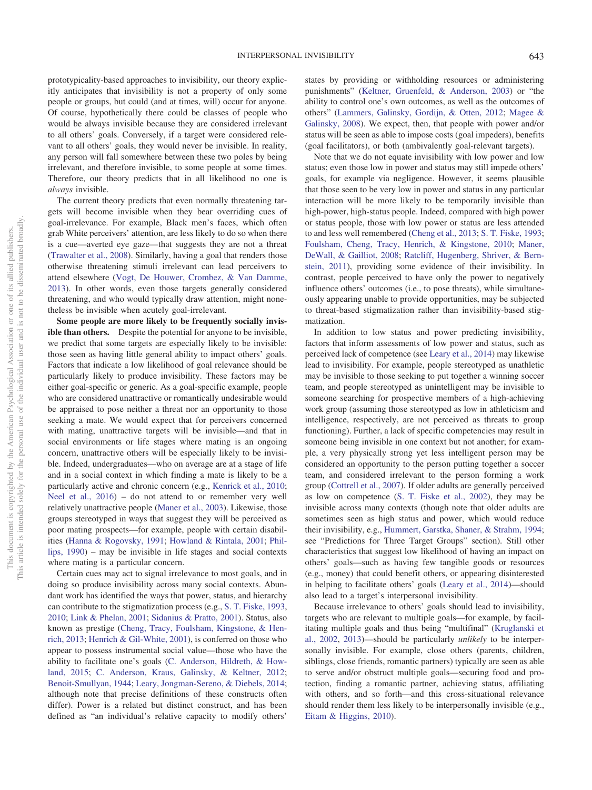prototypicality-based approaches to invisibility, our theory explicitly anticipates that invisibility is not a property of only some people or groups, but could (and at times, will) occur for anyone. Of course, hypothetically there could be classes of people who would be always invisible because they are considered irrelevant to all others' goals. Conversely, if a target were considered relevant to all others' goals, they would never be invisible. In reality, any person will fall somewhere between these two poles by being irrelevant, and therefore invisible, to some people at some times. Therefore, our theory predicts that in all likelihood no one is *always* invisible.

The current theory predicts that even normally threatening targets will become invisible when they bear overriding cues of goal-irrelevance. For example, Black men's faces, which often grab White perceivers' attention, are less likely to do so when there is a cue—averted eye gaze—that suggests they are not a threat [\(Trawalter et al., 2008\)](#page-25-2). Similarly, having a goal that renders those otherwise threatening stimuli irrelevant can lead perceivers to attend elsewhere [\(Vogt, De Houwer, Crombez, & Van Damme,](#page-25-12) [2013\)](#page-25-12). In other words, even those targets generally considered threatening, and who would typically draw attention, might nonetheless be invisible when acutely goal-irrelevant.

**Some people are more likely to be frequently socially invisible than others.** Despite the potential for anyone to be invisible, we predict that some targets are especially likely to be invisible: those seen as having little general ability to impact others' goals. Factors that indicate a low likelihood of goal relevance should be particularly likely to produce invisibility. These factors may be either goal-specific or generic. As a goal-specific example, people who are considered unattractive or romantically undesirable would be appraised to pose neither a threat nor an opportunity to those seeking a mate. We would expect that for perceivers concerned with mating, unattractive targets will be invisible—and that in social environments or life stages where mating is an ongoing concern, unattractive others will be especially likely to be invisible. Indeed, undergraduates—who on average are at a stage of life and in a social context in which finding a mate is likely to be a particularly active and chronic concern (e.g., [Kenrick et al., 2010;](#page-21-1) [Neel et al., 2016\)](#page-22-6) – do not attend to or remember very well relatively unattractive people [\(Maner et al., 2003\)](#page-22-3). Likewise, those groups stereotyped in ways that suggest they will be perceived as poor mating prospects—for example, people with certain disabilities [\(Hanna & Rogovsky, 1991;](#page-20-13) [Howland & Rintala, 2001;](#page-20-14) [Phil](#page-23-19)[lips, 1990\)](#page-23-19) – may be invisible in life stages and social contexts where mating is a particular concern.

Certain cues may act to signal irrelevance to most goals, and in doing so produce invisibility across many social contexts. Abundant work has identified the ways that power, status, and hierarchy can contribute to the stigmatization process (e.g., [S. T. Fiske, 1993,](#page-19-21) [2010;](#page-19-22) [Link & Phelan, 2001;](#page-22-13) [Sidanius & Pratto, 2001\)](#page-24-23). Status, also known as prestige [\(Cheng, Tracy, Foulsham, Kingstone, & Hen](#page-18-19)[rich, 2013;](#page-18-19) [Henrich & Gil-White, 2001\)](#page-20-15), is conferred on those who appear to possess instrumental social value—those who have the ability to facilitate one's goals [\(C. Anderson, Hildreth, & How](#page-17-16)[land, 2015;](#page-17-16) [C. Anderson, Kraus, Galinsky, & Keltner, 2012;](#page-17-17) [Benoit-Smullyan, 1944;](#page-17-18) [Leary, Jongman-Sereno, & Diebels, 2014;](#page-21-14) although note that precise definitions of these constructs often differ). Power is a related but distinct construct, and has been defined as "an individual's relative capacity to modify others'

states by providing or withholding resources or administering punishments" [\(Keltner, Gruenfeld, & Anderson, 2003\)](#page-21-15) or "the ability to control one's own outcomes, as well as the outcomes of others" [\(Lammers, Galinsky, Gordijn, & Otten, 2012;](#page-21-16) [Magee &](#page-22-23) [Galinsky, 2008\)](#page-22-23). We expect, then, that people with power and/or status will be seen as able to impose costs (goal impeders), benefits (goal facilitators), or both (ambivalently goal-relevant targets).

Note that we do not equate invisibility with low power and low status; even those low in power and status may still impede others' goals, for example via negligence. However, it seems plausible that those seen to be very low in power and status in any particular interaction will be more likely to be temporarily invisible than high-power, high-status people. Indeed, compared with high power or status people, those with low power or status are less attended to and less well remembered [\(Cheng et al., 2013;](#page-18-19) [S. T. Fiske, 1993;](#page-19-21) [Foulsham, Cheng, Tracy, Henrich, & Kingstone, 2010;](#page-19-23) [Maner,](#page-22-24) [DeWall, & Gailliot, 2008;](#page-22-24) [Ratcliff, Hugenberg, Shriver, & Bern](#page-23-20)[stein, 2011\)](#page-23-20), providing some evidence of their invisibility. In contrast, people perceived to have only the power to negatively influence others' outcomes (i.e., to pose threats), while simultaneously appearing unable to provide opportunities, may be subjected to threat-based stigmatization rather than invisibility-based stigmatization.

In addition to low status and power predicting invisibility, factors that inform assessments of low power and status, such as perceived lack of competence (see [Leary et al., 2014\)](#page-21-14) may likewise lead to invisibility. For example, people stereotyped as unathletic may be invisible to those seeking to put together a winning soccer team, and people stereotyped as unintelligent may be invisible to someone searching for prospective members of a high-achieving work group (assuming those stereotyped as low in athleticism and intelligence, respectively, are not perceived as threats to group functioning). Further, a lack of specific competencies may result in someone being invisible in one context but not another; for example, a very physically strong yet less intelligent person may be considered an opportunity to the person putting together a soccer team, and considered irrelevant to the person forming a work group [\(Cottrell et al., 2007\)](#page-18-18). If older adults are generally perceived as low on competence [\(S. T. Fiske et al., 2002\)](#page-19-12), they may be invisible across many contexts (though note that older adults are sometimes seen as high status and power, which would reduce their invisibility, e.g., [Hummert, Garstka, Shaner, & Strahm, 1994;](#page-20-16) see "Predictions for Three Target Groups" section). Still other characteristics that suggest low likelihood of having an impact on others' goals—such as having few tangible goods or resources (e.g., money) that could benefit others, or appearing disinterested in helping to facilitate others' goals [\(Leary et al., 2014\)](#page-21-14)—should also lead to a target's interpersonal invisibility.

Because irrelevance to others' goals should lead to invisibility, targets who are relevant to multiple goals—for example, by facilitating multiple goals and thus being "multifinal" [\(Kruglanski et](#page-21-3) [al., 2002,](#page-21-3) [2013\)](#page-21-17)—should be particularly *unlikely* to be interpersonally invisible. For example, close others (parents, children, siblings, close friends, romantic partners) typically are seen as able to serve and/or obstruct multiple goals—securing food and protection, finding a romantic partner, achieving status, affiliating with others, and so forth—and this cross-situational relevance should render them less likely to be interpersonally invisible (e.g., [Eitam & Higgins, 2010\)](#page-19-11).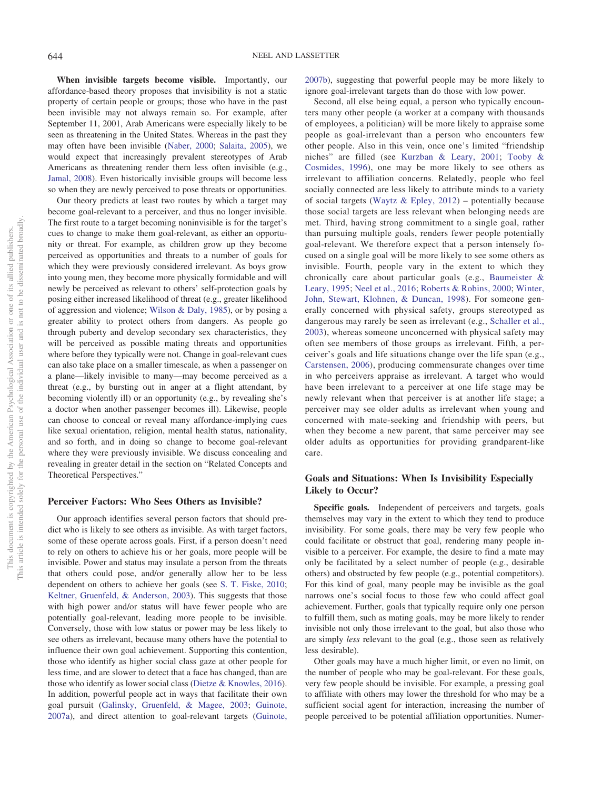**When invisible targets become visible.** Importantly, our affordance-based theory proposes that invisibility is not a static property of certain people or groups; those who have in the past been invisible may not always remain so. For example, after September 11, 2001, Arab Americans were especially likely to be seen as threatening in the United States. Whereas in the past they may often have been invisible [\(Naber, 2000;](#page-22-25) [Salaita, 2005\)](#page-24-24), we would expect that increasingly prevalent stereotypes of Arab Americans as threatening render them less often invisible (e.g., [Jamal, 2008\)](#page-20-17). Even historically invisible groups will become less so when they are newly perceived to pose threats or opportunities.

Our theory predicts at least two routes by which a target may become goal-relevant to a perceiver, and thus no longer invisible. The first route to a target becoming noninvisible is for the target's cues to change to make them goal-relevant, as either an opportunity or threat. For example, as children grow up they become perceived as opportunities and threats to a number of goals for which they were previously considered irrelevant. As boys grow into young men, they become more physically formidable and will newly be perceived as relevant to others' self-protection goals by posing either increased likelihood of threat (e.g., greater likelihood of aggression and violence; [Wilson & Daly, 1985\)](#page-25-13), or by posing a greater ability to protect others from dangers. As people go through puberty and develop secondary sex characteristics, they will be perceived as possible mating threats and opportunities where before they typically were not. Change in goal-relevant cues can also take place on a smaller timescale, as when a passenger on a plane—likely invisible to many—may become perceived as a threat (e.g., by bursting out in anger at a flight attendant, by becoming violently ill) or an opportunity (e.g., by revealing she's a doctor when another passenger becomes ill). Likewise, people can choose to conceal or reveal many affordance-implying cues like sexual orientation, religion, mental health status, nationality, and so forth, and in doing so change to become goal-relevant where they were previously invisible. We discuss concealing and revealing in greater detail in the section on "Related Concepts and Theoretical Perspectives."

#### **Perceiver Factors: Who Sees Others as Invisible?**

Our approach identifies several person factors that should predict who is likely to see others as invisible. As with target factors, some of these operate across goals. First, if a person doesn't need to rely on others to achieve his or her goals, more people will be invisible. Power and status may insulate a person from the threats that others could pose, and/or generally allow her to be less dependent on others to achieve her goals (see [S. T. Fiske, 2010;](#page-19-22) [Keltner, Gruenfeld, & Anderson, 2003\)](#page-21-15). This suggests that those with high power and/or status will have fewer people who are potentially goal-relevant, leading more people to be invisible. Conversely, those with low status or power may be less likely to see others as irrelevant, because many others have the potential to influence their own goal achievement. Supporting this contention, those who identify as higher social class gaze at other people for less time, and are slower to detect that a face has changed, than are those who identify as lower social class [\(Dietze & Knowles, 2016\)](#page-18-3). In addition, powerful people act in ways that facilitate their own goal pursuit [\(Galinsky, Gruenfeld, & Magee, 2003;](#page-20-18) [Guinote,](#page-20-19) [2007a\)](#page-20-19), and direct attention to goal-relevant targets [\(Guinote,](#page-20-20)

[2007b\)](#page-20-20), suggesting that powerful people may be more likely to ignore goal-irrelevant targets than do those with low power.

Second, all else being equal, a person who typically encounters many other people (a worker at a company with thousands of employees, a politician) will be more likely to appraise some people as goal-irrelevant than a person who encounters few other people. Also in this vein, once one's limited "friendship niches" are filled (see [Kurzban & Leary, 2001;](#page-21-9) [Tooby &](#page-25-14) [Cosmides, 1996\)](#page-25-14), one may be more likely to see others as irrelevant to affiliation concerns. Relatedly, people who feel socially connected are less likely to attribute minds to a variety of social targets (Waytz & Epley,  $2012$ ) – potentially because those social targets are less relevant when belonging needs are met. Third, having strong commitment to a single goal, rather than pursuing multiple goals, renders fewer people potentially goal-relevant. We therefore expect that a person intensely focused on a single goal will be more likely to see some others as invisible. Fourth, people vary in the extent to which they chronically care about particular goals (e.g., [Baumeister &](#page-17-1) [Leary, 1995;](#page-17-1) [Neel et al., 2016;](#page-22-6) [Roberts & Robins, 2000;](#page-23-21) [Winter,](#page-25-16) [John, Stewart, Klohnen, & Duncan, 1998\)](#page-25-16). For someone generally concerned with physical safety, groups stereotyped as dangerous may rarely be seen as irrelevant (e.g., [Schaller et al.,](#page-24-10) [2003\)](#page-24-10), whereas someone unconcerned with physical safety may often see members of those groups as irrelevant. Fifth, a perceiver's goals and life situations change over the life span (e.g., [Carstensen, 2006\)](#page-18-20), producing commensurate changes over time in who perceivers appraise as irrelevant. A target who would have been irrelevant to a perceiver at one life stage may be newly relevant when that perceiver is at another life stage; a perceiver may see older adults as irrelevant when young and concerned with mate-seeking and friendship with peers, but when they become a new parent, that same perceiver may see older adults as opportunities for providing grandparent-like care.

# **Goals and Situations: When Is Invisibility Especially Likely to Occur?**

**Specific goals.** Independent of perceivers and targets, goals themselves may vary in the extent to which they tend to produce invisibility. For some goals, there may be very few people who could facilitate or obstruct that goal, rendering many people invisible to a perceiver. For example, the desire to find a mate may only be facilitated by a select number of people (e.g., desirable others) and obstructed by few people (e.g., potential competitors). For this kind of goal, many people may be invisible as the goal narrows one's social focus to those few who could affect goal achievement. Further, goals that typically require only one person to fulfill them, such as mating goals, may be more likely to render invisible not only those irrelevant to the goal, but also those who are simply *less* relevant to the goal (e.g., those seen as relatively less desirable).

Other goals may have a much higher limit, or even no limit, on the number of people who may be goal-relevant. For these goals, very few people should be invisible. For example, a pressing goal to affiliate with others may lower the threshold for who may be a sufficient social agent for interaction, increasing the number of people perceived to be potential affiliation opportunities. Numer-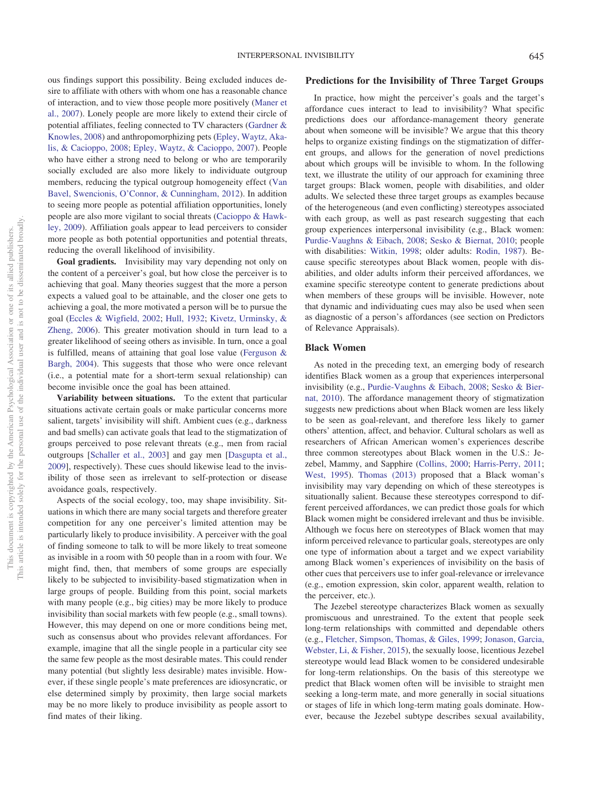# **Predictions for the Invisibility of Three Target Groups**

ous findings support this possibility. Being excluded induces desire to affiliate with others with whom one has a reasonable chance of interaction, and to view those people more positively [\(Maner et](#page-22-0) [al., 2007\)](#page-22-0). Lonely people are more likely to extend their circle of potential affiliates, feeling connected to TV characters [\(Gardner &](#page-20-21) [Knowles, 2008\)](#page-20-21) and anthropomorphizing pets [\(Epley, Waytz, Aka](#page-19-24)[lis, & Cacioppo, 2008;](#page-19-24) [Epley, Waytz, & Cacioppo, 2007\)](#page-19-25). People who have either a strong need to belong or who are temporarily socially excluded are also more likely to individuate outgroup members, reducing the typical outgroup homogeneity effect [\(Van](#page-25-17) [Bavel, Swencionis, O'Connor, & Cunningham, 2012\)](#page-25-17). In addition to seeing more people as potential affiliation opportunities, lonely people are also more vigilant to social threats [\(Cacioppo & Hawk](#page-18-21)[ley, 2009\)](#page-18-21). Affiliation goals appear to lead perceivers to consider more people as both potential opportunities and potential threats, reducing the overall likelihood of invisibility.

**Goal gradients.** Invisibility may vary depending not only on the content of a perceiver's goal, but how close the perceiver is to achieving that goal. Many theories suggest that the more a person expects a valued goal to be attainable, and the closer one gets to achieving a goal, the more motivated a person will be to pursue the goal [\(Eccles & Wigfield, 2002;](#page-19-26) [Hull, 1932;](#page-20-22) [Kivetz, Urminsky, &](#page-21-18) [Zheng, 2006\)](#page-21-18). This greater motivation should in turn lead to a greater likelihood of seeing others as invisible. In turn, once a goal is fulfilled, means of attaining that goal lose value [\(Ferguson &](#page-19-3) [Bargh, 2004\)](#page-19-3). This suggests that those who were once relevant (i.e., a potential mate for a short-term sexual relationship) can become invisible once the goal has been attained.

**Variability between situations.** To the extent that particular situations activate certain goals or make particular concerns more salient, targets' invisibility will shift. Ambient cues (e.g., darkness and bad smells) can activate goals that lead to the stigmatization of groups perceived to pose relevant threats (e.g., men from racial outgroups [\[Schaller et al., 2003\]](#page-24-10) and gay men [\[Dasgupta et al.,](#page-18-15) [2009\]](#page-18-15), respectively). These cues should likewise lead to the invisibility of those seen as irrelevant to self-protection or disease avoidance goals, respectively.

Aspects of the social ecology, too, may shape invisibility. Situations in which there are many social targets and therefore greater competition for any one perceiver's limited attention may be particularly likely to produce invisibility. A perceiver with the goal of finding someone to talk to will be more likely to treat someone as invisible in a room with 50 people than in a room with four. We might find, then, that members of some groups are especially likely to be subjected to invisibility-based stigmatization when in large groups of people. Building from this point, social markets with many people (e.g., big cities) may be more likely to produce invisibility than social markets with few people (e.g., small towns). However, this may depend on one or more conditions being met, such as consensus about who provides relevant affordances. For example, imagine that all the single people in a particular city see the same few people as the most desirable mates. This could render many potential (but slightly less desirable) mates invisible. However, if these single people's mate preferences are idiosyncratic, or else determined simply by proximity, then large social markets may be no more likely to produce invisibility as people assort to find mates of their liking.

In practice, how might the perceiver's goals and the target's affordance cues interact to lead to invisibility? What specific predictions does our affordance-management theory generate about when someone will be invisible? We argue that this theory helps to organize existing findings on the stigmatization of different groups, and allows for the generation of novel predictions about which groups will be invisible to whom. In the following text, we illustrate the utility of our approach for examining three target groups: Black women, people with disabilities, and older adults. We selected these three target groups as examples because of the heterogeneous (and even conflicting) stereotypes associated with each group, as well as past research suggesting that each group experiences interpersonal invisibility (e.g., Black women: [Purdie-Vaughns & Eibach, 2008;](#page-23-0) [Sesko & Biernat, 2010;](#page-24-2) people with disabilities: [Witkin, 1998;](#page-25-18) older adults: [Rodin, 1987\)](#page-23-1). Because specific stereotypes about Black women, people with disabilities, and older adults inform their perceived affordances, we examine specific stereotype content to generate predictions about when members of these groups will be invisible. However, note that dynamic and individuating cues may also be used when seen as diagnostic of a person's affordances (see section on Predictors of Relevance Appraisals).

### **Black Women**

As noted in the preceding text, an emerging body of research identifies Black women as a group that experiences interpersonal invisibility (e.g., [Purdie-Vaughns & Eibach, 2008;](#page-23-0) [Sesko & Bier](#page-24-2)[nat, 2010\)](#page-24-2). The affordance management theory of stigmatization suggests new predictions about when Black women are less likely to be seen as goal-relevant, and therefore less likely to garner others' attention, affect, and behavior. Cultural scholars as well as researchers of African American women's experiences describe three common stereotypes about Black women in the U.S.: Jezebel, Mammy, and Sapphire [\(Collins, 2000;](#page-18-22) [Harris-Perry, 2011;](#page-20-23) [West, 1995\)](#page-25-19). [Thomas \(2013\)](#page-24-0) proposed that a Black woman's invisibility may vary depending on which of these stereotypes is situationally salient. Because these stereotypes correspond to different perceived affordances, we can predict those goals for which Black women might be considered irrelevant and thus be invisible. Although we focus here on stereotypes of Black women that may inform perceived relevance to particular goals, stereotypes are only one type of information about a target and we expect variability among Black women's experiences of invisibility on the basis of other cues that perceivers use to infer goal-relevance or irrelevance (e.g., emotion expression, skin color, apparent wealth, relation to the perceiver, etc.).

The Jezebel stereotype characterizes Black women as sexually promiscuous and unrestrained. To the extent that people seek long-term relationships with committed and dependable others (e.g., [Fletcher, Simpson, Thomas, & Giles, 1999;](#page-19-27) [Jonason, Garcia,](#page-20-24) [Webster, Li, & Fisher, 2015\)](#page-20-24), the sexually loose, licentious Jezebel stereotype would lead Black women to be considered undesirable for long-term relationships. On the basis of this stereotype we predict that Black women often will be invisible to straight men seeking a long-term mate, and more generally in social situations or stages of life in which long-term mating goals dominate. However, because the Jezebel subtype describes sexual availability,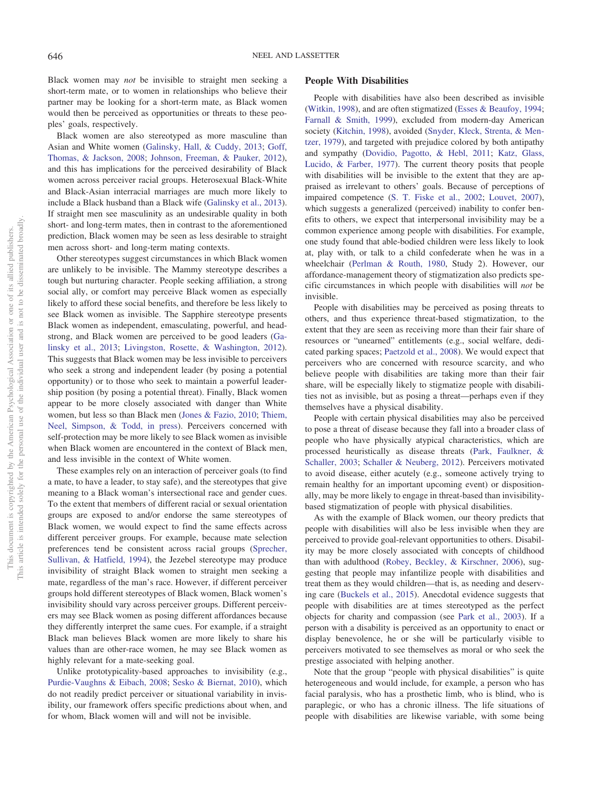Black women may *not* be invisible to straight men seeking a short-term mate, or to women in relationships who believe their partner may be looking for a short-term mate, as Black women would then be perceived as opportunities or threats to these peoples' goals, respectively.

Black women are also stereotyped as more masculine than Asian and White women [\(Galinsky, Hall, & Cuddy, 2013;](#page-20-25) [Goff,](#page-20-26) [Thomas, & Jackson, 2008;](#page-20-26) [Johnson, Freeman, & Pauker, 2012\)](#page-20-27), and this has implications for the perceived desirability of Black women across perceiver racial groups. Heterosexual Black-White and Black-Asian interracial marriages are much more likely to include a Black husband than a Black wife [\(Galinsky et al., 2013\)](#page-20-25). If straight men see masculinity as an undesirable quality in both short- and long-term mates, then in contrast to the aforementioned prediction, Black women may be seen as less desirable to straight men across short- and long-term mating contexts.

Other stereotypes suggest circumstances in which Black women are unlikely to be invisible. The Mammy stereotype describes a tough but nurturing character. People seeking affiliation, a strong social ally, or comfort may perceive Black women as especially likely to afford these social benefits, and therefore be less likely to see Black women as invisible. The Sapphire stereotype presents Black women as independent, emasculating, powerful, and headstrong, and Black women are perceived to be good leaders [\(Ga](#page-20-25)[linsky et al., 2013;](#page-20-25) [Livingston, Rosette, & Washington, 2012\)](#page-22-26). This suggests that Black women may be less invisible to perceivers who seek a strong and independent leader (by posing a potential opportunity) or to those who seek to maintain a powerful leadership position (by posing a potential threat). Finally, Black women appear to be more closely associated with danger than White women, but less so than Black men [\(Jones & Fazio, 2010;](#page-20-28) [Thiem,](#page-24-25) [Neel, Simpson, & Todd, in press\)](#page-24-25). Perceivers concerned with self-protection may be more likely to see Black women as invisible when Black women are encountered in the context of Black men, and less invisible in the context of White women.

These examples rely on an interaction of perceiver goals (to find a mate, to have a leader, to stay safe), and the stereotypes that give meaning to a Black woman's intersectional race and gender cues. To the extent that members of different racial or sexual orientation groups are exposed to and/or endorse the same stereotypes of Black women, we would expect to find the same effects across different perceiver groups. For example, because mate selection preferences tend be consistent across racial groups [\(Sprecher,](#page-24-26) [Sullivan, & Hatfield, 1994\)](#page-24-26), the Jezebel stereotype may produce invisibility of straight Black women to straight men seeking a mate, regardless of the man's race. However, if different perceiver groups hold different stereotypes of Black women, Black women's invisibility should vary across perceiver groups. Different perceivers may see Black women as posing different affordances because they differently interpret the same cues. For example, if a straight Black man believes Black women are more likely to share his values than are other-race women, he may see Black women as highly relevant for a mate-seeking goal.

Unlike prototypicality-based approaches to invisibility (e.g., [Purdie-Vaughns & Eibach, 2008;](#page-23-0) [Sesko & Biernat, 2010\)](#page-24-2), which do not readily predict perceiver or situational variability in invisibility, our framework offers specific predictions about when, and for whom, Black women will and will not be invisible.

#### **People With Disabilities**

People with disabilities have also been described as invisible [\(Witkin, 1998\)](#page-25-18), and are often stigmatized [\(Esses & Beaufoy, 1994;](#page-19-28) [Farnall & Smith, 1999\)](#page-19-29), excluded from modern-day American society [\(Kitchin, 1998\)](#page-21-19), avoided [\(Snyder, Kleck, Strenta, & Men](#page-24-27)[tzer, 1979\)](#page-24-27), and targeted with prejudice colored by both antipathy and sympathy [\(Dovidio, Pagotto, & Hebl, 2011;](#page-19-30) [Katz, Glass,](#page-21-20) [Lucido, & Farber, 1977\)](#page-21-20). The current theory posits that people with disabilities will be invisible to the extent that they are appraised as irrelevant to others' goals. Because of perceptions of impaired competence [\(S. T. Fiske et al., 2002;](#page-19-12) [Louvet, 2007\)](#page-22-27), which suggests a generalized (perceived) inability to confer benefits to others, we expect that interpersonal invisibility may be a common experience among people with disabilities. For example, one study found that able-bodied children were less likely to look at, play with, or talk to a child confederate when he was in a wheelchair [\(Perlman & Routh, 1980,](#page-23-22) Study 2). However, our affordance-management theory of stigmatization also predicts specific circumstances in which people with disabilities will *not* be invisible.

People with disabilities may be perceived as posing threats to others, and thus experience threat-based stigmatization, to the extent that they are seen as receiving more than their fair share of resources or "unearned" entitlements (e.g., social welfare, dedicated parking spaces; [Paetzold et al., 2008\)](#page-23-23). We would expect that perceivers who are concerned with resource scarcity, and who believe people with disabilities are taking more than their fair share, will be especially likely to stigmatize people with disabilities not as invisible, but as posing a threat—perhaps even if they themselves have a physical disability.

People with certain physical disabilities may also be perceived to pose a threat of disease because they fall into a broader class of people who have physically atypical characteristics, which are processed heuristically as disease threats [\(Park, Faulkner, &](#page-23-24) [Schaller, 2003;](#page-23-24) [Schaller & Neuberg, 2012\)](#page-24-16). Perceivers motivated to avoid disease, either acutely (e.g., someone actively trying to remain healthy for an important upcoming event) or dispositionally, may be more likely to engage in threat-based than invisibilitybased stigmatization of people with physical disabilities.

As with the example of Black women, our theory predicts that people with disabilities will also be less invisible when they are perceived to provide goal-relevant opportunities to others. Disability may be more closely associated with concepts of childhood than with adulthood [\(Robey, Beckley, & Kirschner, 2006\)](#page-23-25), suggesting that people may infantilize people with disabilities and treat them as they would children—that is, as needing and deserving care [\(Buckels et al., 2015\)](#page-18-23). Anecdotal evidence suggests that people with disabilities are at times stereotyped as the perfect objects for charity and compassion (see [Park et al., 2003\)](#page-23-24). If a person with a disability is perceived as an opportunity to enact or display benevolence, he or she will be particularly visible to perceivers motivated to see themselves as moral or who seek the prestige associated with helping another.

Note that the group "people with physical disabilities" is quite heterogeneous and would include, for example, a person who has facial paralysis, who has a prosthetic limb, who is blind, who is paraplegic, or who has a chronic illness. The life situations of people with disabilities are likewise variable, with some being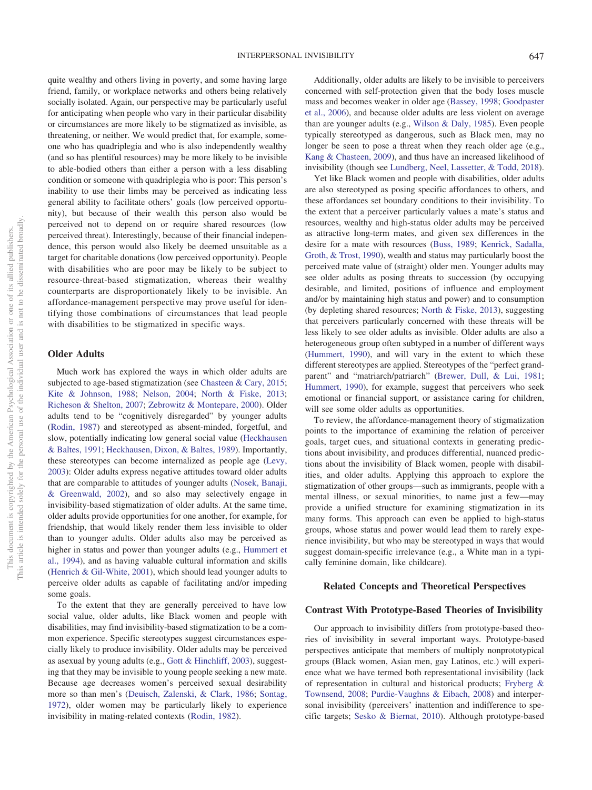friend, family, or workplace networks and others being relatively socially isolated. Again, our perspective may be particularly useful for anticipating when people who vary in their particular disability or circumstances are more likely to be stigmatized as invisible, as threatening, or neither. We would predict that, for example, someone who has quadriplegia and who is also independently wealthy (and so has plentiful resources) may be more likely to be invisible to able-bodied others than either a person with a less disabling condition or someone with quadriplegia who is poor: This person's inability to use their limbs may be perceived as indicating less general ability to facilitate others' goals (low perceived opportunity), but because of their wealth this person also would be perceived not to depend on or require shared resources (low perceived threat). Interestingly, because of their financial independence, this person would also likely be deemed unsuitable as a target for charitable donations (low perceived opportunity). People with disabilities who are poor may be likely to be subject to resource-threat-based stigmatization, whereas their wealthy counterparts are disproportionately likely to be invisible. An affordance-management perspective may prove useful for identifying those combinations of circumstances that lead people with disabilities to be stigmatized in specific ways.

quite wealthy and others living in poverty, and some having large

# **Older Adults**

Much work has explored the ways in which older adults are subjected to age-based stigmatization (see [Chasteen & Cary, 2015;](#page-18-24) [Kite & Johnson, 1988;](#page-21-21) [Nelson, 2004;](#page-23-26) [North & Fiske, 2013;](#page-23-27) [Richeson & Shelton, 2007;](#page-23-28) [Zebrowitz & Montepare, 2000\)](#page-25-20). Older adults tend to be "cognitively disregarded" by younger adults [\(Rodin, 1987\)](#page-23-1) and stereotyped as absent-minded, forgetful, and slow, potentially indicating low general social value [\(Heckhausen](#page-20-29) [& Baltes, 1991;](#page-20-29) [Heckhausen, Dixon, & Baltes, 1989\)](#page-20-30). Importantly, these stereotypes can become internalized as people age [\(Levy,](#page-21-22) [2003\)](#page-21-22): Older adults express negative attitudes toward older adults that are comparable to attitudes of younger adults [\(Nosek, Banaji,](#page-23-29) [& Greenwald, 2002\)](#page-23-29), and so also may selectively engage in invisibility-based stigmatization of older adults. At the same time, older adults provide opportunities for one another, for example, for friendship, that would likely render them less invisible to older than to younger adults. Older adults also may be perceived as higher in status and power than younger adults (e.g., [Hummert et](#page-20-16) [al., 1994\)](#page-20-16), and as having valuable cultural information and skills [\(Henrich & Gil-White, 2001\)](#page-20-15), which should lead younger adults to perceive older adults as capable of facilitating and/or impeding some goals.

To the extent that they are generally perceived to have low social value, older adults, like Black women and people with disabilities, may find invisibility-based stigmatization to be a common experience. Specific stereotypes suggest circumstances especially likely to produce invisibility. Older adults may be perceived as asexual by young adults (e.g., [Gott & Hinchliff, 2003\)](#page-20-31), suggesting that they may be invisible to young people seeking a new mate. Because age decreases women's perceived sexual desirability more so than men's [\(Deuisch, Zalenski, & Clark, 1986;](#page-18-25) [Sontag,](#page-24-28) [1972\)](#page-24-28), older women may be particularly likely to experience invisibility in mating-related contexts [\(Rodin, 1982\)](#page-23-13).

Additionally, older adults are likely to be invisible to perceivers concerned with self-protection given that the body loses muscle mass and becomes weaker in older age [\(Bassey, 1998;](#page-17-19) [Goodpaster](#page-20-32) [et al., 2006\)](#page-20-32), and because older adults are less violent on average than are younger adults (e.g., [Wilson & Daly, 1985\)](#page-25-13). Even people typically stereotyped as dangerous, such as Black men, may no longer be seen to pose a threat when they reach older age (e.g., [Kang & Chasteen, 2009\)](#page-21-23), and thus have an increased likelihood of invisibility (though see [Lundberg, Neel, Lassetter, & Todd, 2018\)](#page-22-28).

Yet like Black women and people with disabilities, older adults are also stereotyped as posing specific affordances to others, and these affordances set boundary conditions to their invisibility. To the extent that a perceiver particularly values a mate's status and resources, wealthy and high-status older adults may be perceived as attractive long-term mates, and given sex differences in the desire for a mate with resources [\(Buss, 1989;](#page-18-26) [Kenrick, Sadalla,](#page-21-24) [Groth, & Trost, 1990\)](#page-21-24), wealth and status may particularly boost the perceived mate value of (straight) older men. Younger adults may see older adults as posing threats to succession (by occupying desirable, and limited, positions of influence and employment and/or by maintaining high status and power) and to consumption (by depleting shared resources; [North & Fiske, 2013\)](#page-23-27), suggesting that perceivers particularly concerned with these threats will be less likely to see older adults as invisible. Older adults are also a heterogeneous group often subtyped in a number of different ways [\(Hummert, 1990\)](#page-20-33), and will vary in the extent to which these different stereotypes are applied. Stereotypes of the "perfect grandparent" and "matriarch/patriarch" [\(Brewer, Dull, & Lui, 1981;](#page-17-20) [Hummert, 1990\)](#page-20-33), for example, suggest that perceivers who seek emotional or financial support, or assistance caring for children, will see some older adults as opportunities.

To review, the affordance-management theory of stigmatization points to the importance of examining the relation of perceiver goals, target cues, and situational contexts in generating predictions about invisibility, and produces differential, nuanced predictions about the invisibility of Black women, people with disabilities, and older adults. Applying this approach to explore the stigmatization of other groups—such as immigrants, people with a mental illness, or sexual minorities, to name just a few—may provide a unified structure for examining stigmatization in its many forms. This approach can even be applied to high-status groups, whose status and power would lead them to rarely experience invisibility, but who may be stereotyped in ways that would suggest domain-specific irrelevance (e.g., a White man in a typically feminine domain, like childcare).

#### **Related Concepts and Theoretical Perspectives**

#### **Contrast With Prototype-Based Theories of Invisibility**

Our approach to invisibility differs from prototype-based theories of invisibility in several important ways. Prototype-based perspectives anticipate that members of multiply nonprototypical groups (Black women, Asian men, gay Latinos, etc.) will experience what we have termed both representational invisibility (lack of representation in cultural and historical products; [Fryberg &](#page-19-0) [Townsend, 2008;](#page-19-0) [Purdie-Vaughns & Eibach, 2008\)](#page-23-0) and interpersonal invisibility (perceivers' inattention and indifference to specific targets; [Sesko & Biernat, 2010\)](#page-24-2). Although prototype-based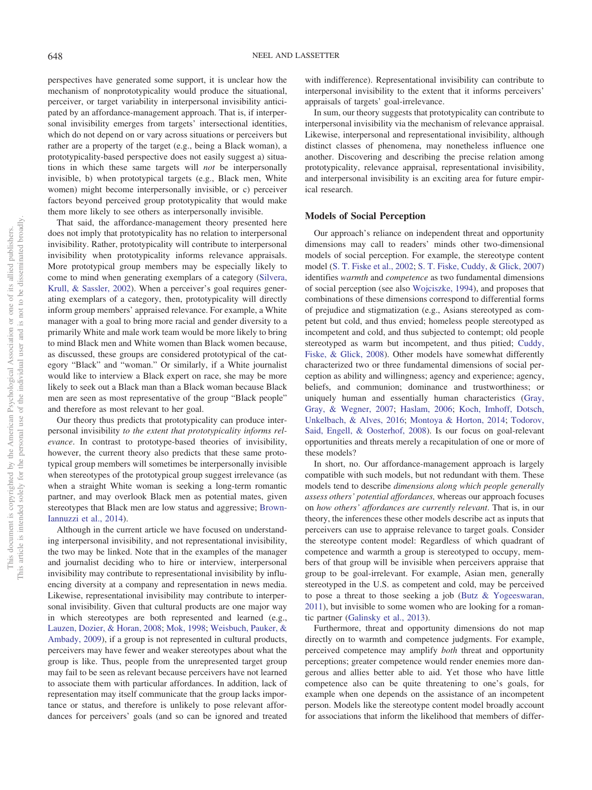perspectives have generated some support, it is unclear how the mechanism of nonprototypicality would produce the situational, perceiver, or target variability in interpersonal invisibility anticipated by an affordance-management approach. That is, if interpersonal invisibility emerges from targets' intersectional identities, which do not depend on or vary across situations or perceivers but rather are a property of the target (e.g., being a Black woman), a prototypicality-based perspective does not easily suggest a) situations in which these same targets will *not* be interpersonally invisible, b) when prototypical targets (e.g., Black men, White women) might become interpersonally invisible, or c) perceiver factors beyond perceived group prototypicality that would make them more likely to see others as interpersonally invisible.

That said, the affordance-management theory presented here does not imply that prototypicality has no relation to interpersonal invisibility. Rather, prototypicality will contribute to interpersonal invisibility when prototypicality informs relevance appraisals. More prototypical group members may be especially likely to come to mind when generating exemplars of a category [\(Silvera,](#page-24-29) [Krull, & Sassler, 2002\)](#page-24-29). When a perceiver's goal requires generating exemplars of a category, then, prototypicality will directly inform group members' appraised relevance. For example, a White manager with a goal to bring more racial and gender diversity to a primarily White and male work team would be more likely to bring to mind Black men and White women than Black women because, as discussed, these groups are considered prototypical of the category "Black" and "woman." Or similarly, if a White journalist would like to interview a Black expert on race, she may be more likely to seek out a Black man than a Black woman because Black men are seen as most representative of the group "Black people" and therefore as most relevant to her goal.

Our theory thus predicts that prototypicality can produce interpersonal invisibility *to the extent that prototypicality informs relevance*. In contrast to prototype-based theories of invisibility, however, the current theory also predicts that these same prototypical group members will sometimes be interpersonally invisible when stereotypes of the prototypical group suggest irrelevance (as when a straight White woman is seeking a long-term romantic partner, and may overlook Black men as potential mates, given stereotypes that Black men are low status and aggressive; [Brown-](#page-17-0)[Iannuzzi et al., 2014\)](#page-17-0).

Although in the current article we have focused on understanding interpersonal invisibility, and not representational invisibility, the two may be linked. Note that in the examples of the manager and journalist deciding who to hire or interview, interpersonal invisibility may contribute to representational invisibility by influencing diversity at a company and representation in news media. Likewise, representational invisibility may contribute to interpersonal invisibility. Given that cultural products are one major way in which stereotypes are both represented and learned (e.g., [Lauzen, Dozier, & Horan, 2008;](#page-21-25) [Mok, 1998;](#page-22-29) [Weisbuch, Pauker, &](#page-25-21) [Ambady, 2009\)](#page-25-21), if a group is not represented in cultural products, perceivers may have fewer and weaker stereotypes about what the group is like. Thus, people from the unrepresented target group may fail to be seen as relevant because perceivers have not learned to associate them with particular affordances. In addition, lack of representation may itself communicate that the group lacks importance or status, and therefore is unlikely to pose relevant affordances for perceivers' goals (and so can be ignored and treated with indifference). Representational invisibility can contribute to interpersonal invisibility to the extent that it informs perceivers' appraisals of targets' goal-irrelevance.

In sum, our theory suggests that prototypicality can contribute to interpersonal invisibility via the mechanism of relevance appraisal. Likewise, interpersonal and representational invisibility, although distinct classes of phenomena, may nonetheless influence one another. Discovering and describing the precise relation among prototypicality, relevance appraisal, representational invisibility, and interpersonal invisibility is an exciting area for future empirical research.

#### **Models of Social Perception**

Our approach's reliance on independent threat and opportunity dimensions may call to readers' minds other two-dimensional models of social perception. For example, the stereotype content model [\(S. T. Fiske et al., 2002;](#page-19-12) [S. T. Fiske, Cuddy, & Glick, 2007\)](#page-19-31) identifies *warmth* and *competence* as two fundamental dimensions of social perception (see also [Wojciszke, 1994\)](#page-25-22), and proposes that combinations of these dimensions correspond to differential forms of prejudice and stigmatization (e.g., Asians stereotyped as competent but cold, and thus envied; homeless people stereotyped as incompetent and cold, and thus subjected to contempt; old people stereotyped as warm but incompetent, and thus pitied; [Cuddy,](#page-18-27) [Fiske, & Glick, 2008\)](#page-18-27). Other models have somewhat differently characterized two or three fundamental dimensions of social perception as ability and willingness; agency and experience; agency, beliefs, and communion; dominance and trustworthiness; or uniquely human and essentially human characteristics [\(Gray,](#page-20-34) [Gray, & Wegner, 2007;](#page-20-34) [Haslam, 2006;](#page-20-35) [Koch, Imhoff, Dotsch,](#page-21-26) [Unkelbach, & Alves, 2016;](#page-21-26) [Montoya & Horton, 2014;](#page-22-30) [Todorov,](#page-24-30) [Said, Engell, & Oosterhof, 2008\)](#page-24-30). Is our focus on goal-relevant opportunities and threats merely a recapitulation of one or more of these models?

In short, no. Our affordance-management approach is largely compatible with such models, but not redundant with them. These models tend to describe *dimensions along which people generally assess others' potential affordances,* whereas our approach focuses on *how others' affordances are currently relevant*. That is, in our theory, the inferences these other models describe act as inputs that perceivers can use to appraise relevance to target goals. Consider the stereotype content model: Regardless of which quadrant of competence and warmth a group is stereotyped to occupy, members of that group will be invisible when perceivers appraise that group to be goal-irrelevant. For example, Asian men, generally stereotyped in the U.S. as competent and cold, may be perceived to pose a threat to those seeking a job [\(Butz & Yogeeswaran,](#page-18-28) [2011\)](#page-18-28), but invisible to some women who are looking for a romantic partner [\(Galinsky et al., 2013\)](#page-20-25).

Furthermore, threat and opportunity dimensions do not map directly on to warmth and competence judgments. For example, perceived competence may amplify *both* threat and opportunity perceptions; greater competence would render enemies more dangerous and allies better able to aid. Yet those who have little competence also can be quite threatening to one's goals, for example when one depends on the assistance of an incompetent person. Models like the stereotype content model broadly account for associations that inform the likelihood that members of differ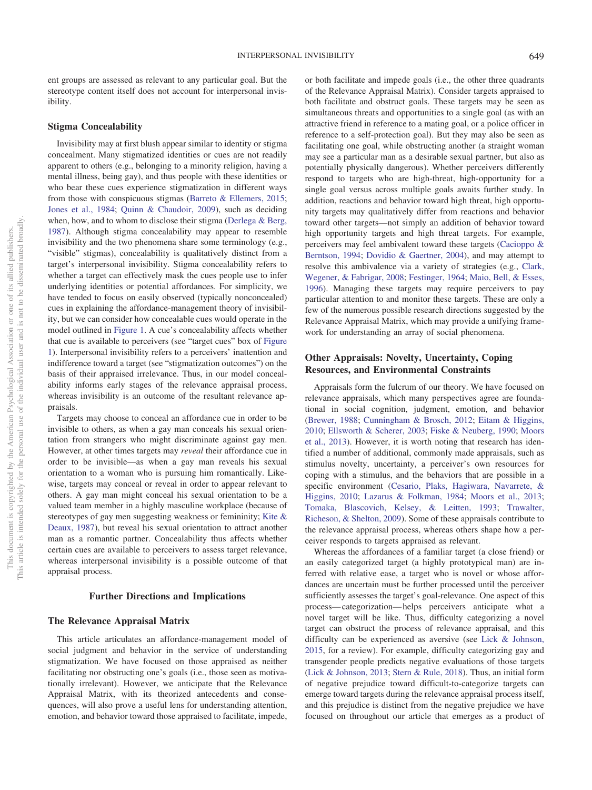ent groups are assessed as relevant to any particular goal. But the stereotype content itself does not account for interpersonal invisibility.

#### **Stigma Concealability**

Invisibility may at first blush appear similar to identity or stigma concealment. Many stigmatized identities or cues are not readily apparent to others (e.g., belonging to a minority religion, having a mental illness, being gay), and thus people with these identities or who bear these cues experience stigmatization in different ways from those with conspicuous stigmas [\(Barreto & Ellemers, 2015;](#page-17-21) [Jones et al., 1984;](#page-21-8) [Quinn & Chaudoir, 2009\)](#page-23-30), such as deciding when, how, and to whom to disclose their stigma [\(Derlega & Berg,](#page-18-29) [1987\)](#page-18-29). Although stigma concealability may appear to resemble invisibility and the two phenomena share some terminology (e.g., "visible" stigmas), concealability is qualitatively distinct from a target's interpersonal invisibility. Stigma concealability refers to whether a target can effectively mask the cues people use to infer underlying identities or potential affordances. For simplicity, we have tended to focus on easily observed (typically nonconcealed) cues in explaining the affordance-management theory of invisibility, but we can consider how concealable cues would operate in the model outlined in [Figure 1.](#page-3-0) A cue's concealability affects whether that cue is available to perceivers (see "target cues" box of [Figure](#page-3-0) [1\)](#page-3-0). Interpersonal invisibility refers to a perceivers' inattention and indifference toward a target (see "stigmatization outcomes") on the basis of their appraised irrelevance. Thus, in our model concealability informs early stages of the relevance appraisal process, whereas invisibility is an outcome of the resultant relevance appraisals.

Targets may choose to conceal an affordance cue in order to be invisible to others, as when a gay man conceals his sexual orientation from strangers who might discriminate against gay men. However, at other times targets may *reveal* their affordance cue in order to be invisible—as when a gay man reveals his sexual orientation to a woman who is pursuing him romantically. Likewise, targets may conceal or reveal in order to appear relevant to others. A gay man might conceal his sexual orientation to be a valued team member in a highly masculine workplace (because of stereotypes of gay men suggesting weakness or femininity; [Kite &](#page-21-27) [Deaux, 1987\)](#page-21-27), but reveal his sexual orientation to attract another man as a romantic partner. Concealability thus affects whether certain cues are available to perceivers to assess target relevance, whereas interpersonal invisibility is a possible outcome of that appraisal process.

#### **Further Directions and Implications**

#### **The Relevance Appraisal Matrix**

This article articulates an affordance-management model of social judgment and behavior in the service of understanding stigmatization. We have focused on those appraised as neither facilitating nor obstructing one's goals (i.e., those seen as motivationally irrelevant). However, we anticipate that the Relevance Appraisal Matrix, with its theorized antecedents and consequences, will also prove a useful lens for understanding attention, emotion, and behavior toward those appraised to facilitate, impede, or both facilitate and impede goals (i.e., the other three quadrants of the Relevance Appraisal Matrix). Consider targets appraised to both facilitate and obstruct goals. These targets may be seen as simultaneous threats and opportunities to a single goal (as with an attractive friend in reference to a mating goal, or a police officer in reference to a self-protection goal). But they may also be seen as facilitating one goal, while obstructing another (a straight woman may see a particular man as a desirable sexual partner, but also as potentially physically dangerous). Whether perceivers differently respond to targets who are high-threat, high-opportunity for a single goal versus across multiple goals awaits further study. In addition, reactions and behavior toward high threat, high opportunity targets may qualitatively differ from reactions and behavior toward other targets—not simply an addition of behavior toward high opportunity targets and high threat targets. For example, perceivers may feel ambivalent toward these targets [\(Cacioppo &](#page-18-17) [Berntson, 1994;](#page-18-17) [Dovidio & Gaertner, 2004\)](#page-18-30), and may attempt to resolve this ambivalence via a variety of strategies (e.g., [Clark,](#page-18-31) [Wegener, & Fabrigar, 2008;](#page-18-31) [Festinger, 1964;](#page-19-32) [Maio, Bell, & Esses,](#page-22-31) [1996\)](#page-22-31). Managing these targets may require perceivers to pay particular attention to and monitor these targets. These are only a few of the numerous possible research directions suggested by the Relevance Appraisal Matrix, which may provide a unifying framework for understanding an array of social phenomena.

# **Other Appraisals: Novelty, Uncertainty, Coping Resources, and Environmental Constraints**

Appraisals form the fulcrum of our theory. We have focused on relevance appraisals, which many perspectives agree are foundational in social cognition, judgment, emotion, and behavior [\(Brewer, 1988;](#page-17-4) [Cunningham & Brosch, 2012;](#page-18-4) [Eitam & Higgins,](#page-19-11) [2010;](#page-19-11) [Ellsworth & Scherer, 2003;](#page-19-7) [Fiske & Neuberg, 1990;](#page-19-10) [Moors](#page-22-5) [et al., 2013\)](#page-22-5). However, it is worth noting that research has identified a number of additional, commonly made appraisals, such as stimulus novelty, uncertainty, a perceiver's own resources for coping with a stimulus, and the behaviors that are possible in a specific environment [\(Cesario, Plaks, Hagiwara, Navarrete, &](#page-18-32) [Higgins, 2010;](#page-18-32) [Lazarus & Folkman, 1984;](#page-21-28) [Moors et al., 2013;](#page-22-5) [Tomaka, Blascovich, Kelsey, & Leitten, 1993;](#page-24-31) [Trawalter,](#page-25-23) [Richeson, & Shelton, 2009\)](#page-25-23). Some of these appraisals contribute to the relevance appraisal process, whereas others shape how a perceiver responds to targets appraised as relevant.

Whereas the affordances of a familiar target (a close friend) or an easily categorized target (a highly prototypical man) are inferred with relative ease, a target who is novel or whose affordances are uncertain must be further processed until the perceiver sufficiently assesses the target's goal-relevance. One aspect of this process— categorization— helps perceivers anticipate what a novel target will be like. Thus, difficulty categorizing a novel target can obstruct the process of relevance appraisal, and this difficulty can be experienced as aversive (see [Lick & Johnson,](#page-21-29) [2015,](#page-21-29) for a review). For example, difficulty categorizing gay and transgender people predicts negative evaluations of those targets [\(Lick & Johnson, 2013;](#page-21-30) [Stern & Rule, 2018\)](#page-24-32). Thus, an initial form of negative prejudice toward difficult-to-categorize targets can emerge toward targets during the relevance appraisal process itself, and this prejudice is distinct from the negative prejudice we have focused on throughout our article that emerges as a product of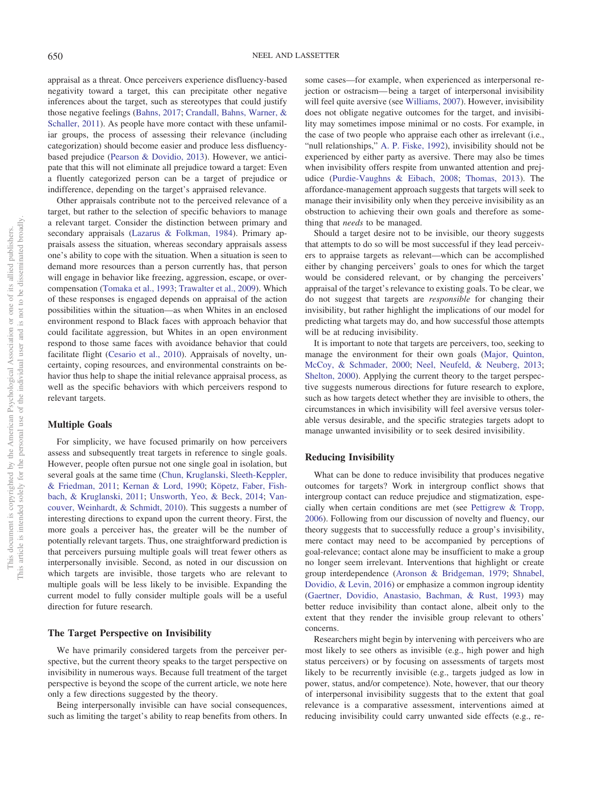appraisal as a threat. Once perceivers experience disfluency-based negativity toward a target, this can precipitate other negative inferences about the target, such as stereotypes that could justify those negative feelings [\(Bahns, 2017;](#page-17-22) [Crandall, Bahns, Warner, &](#page-18-33) [Schaller, 2011\)](#page-18-33). As people have more contact with these unfamiliar groups, the process of assessing their relevance (including categorization) should become easier and produce less disfluencybased prejudice [\(Pearson & Dovidio, 2013\)](#page-23-31). However, we anticipate that this will not eliminate all prejudice toward a target: Even a fluently categorized person can be a target of prejudice or indifference, depending on the target's appraised relevance.

Other appraisals contribute not to the perceived relevance of a target, but rather to the selection of specific behaviors to manage a relevant target. Consider the distinction between primary and secondary appraisals [\(Lazarus & Folkman, 1984\)](#page-21-28). Primary appraisals assess the situation, whereas secondary appraisals assess one's ability to cope with the situation. When a situation is seen to demand more resources than a person currently has, that person will engage in behavior like freezing, aggression, escape, or overcompensation [\(Tomaka et al., 1993;](#page-24-31) [Trawalter et al., 2009\)](#page-25-23). Which of these responses is engaged depends on appraisal of the action possibilities within the situation—as when Whites in an enclosed environment respond to Black faces with approach behavior that could facilitate aggression, but Whites in an open environment respond to those same faces with avoidance behavior that could facilitate flight [\(Cesario et al., 2010\)](#page-18-32). Appraisals of novelty, uncertainty, coping resources, and environmental constraints on behavior thus help to shape the initial relevance appraisal process, as well as the specific behaviors with which perceivers respond to relevant targets.

#### **Multiple Goals**

For simplicity, we have focused primarily on how perceivers assess and subsequently treat targets in reference to single goals. However, people often pursue not one single goal in isolation, but several goals at the same time [\(Chun, Kruglanski, Sleeth-Keppler,](#page-18-34) [& Friedman, 2011;](#page-18-34) [Kernan & Lord, 1990;](#page-21-31) [Köpetz, Faber, Fish](#page-21-32)[bach, & Kruglanski, 2011;](#page-21-32) [Unsworth, Yeo, & Beck, 2014;](#page-25-24) [Van](#page-25-25)[couver, Weinhardt, & Schmidt, 2010\)](#page-25-25). This suggests a number of interesting directions to expand upon the current theory. First, the more goals a perceiver has, the greater will be the number of potentially relevant targets. Thus, one straightforward prediction is that perceivers pursuing multiple goals will treat fewer others as interpersonally invisible. Second, as noted in our discussion on which targets are invisible, those targets who are relevant to multiple goals will be less likely to be invisible. Expanding the current model to fully consider multiple goals will be a useful direction for future research.

#### **The Target Perspective on Invisibility**

We have primarily considered targets from the perceiver perspective, but the current theory speaks to the target perspective on invisibility in numerous ways. Because full treatment of the target perspective is beyond the scope of the current article, we note here only a few directions suggested by the theory.

Being interpersonally invisible can have social consequences, such as limiting the target's ability to reap benefits from others. In some cases—for example, when experienced as interpersonal rejection or ostracism— being a target of interpersonal invisibility will feel quite aversive (see [Williams, 2007\)](#page-25-26). However, invisibility does not obligate negative outcomes for the target, and invisibility may sometimes impose minimal or no costs. For example, in the case of two people who appraise each other as irrelevant (i.e., "null relationships," [A. P. Fiske, 1992\)](#page-19-2), invisibility should not be experienced by either party as aversive. There may also be times when invisibility offers respite from unwanted attention and prejudice [\(Purdie-Vaughns & Eibach, 2008;](#page-23-0) [Thomas, 2013\)](#page-24-0). The affordance-management approach suggests that targets will seek to manage their invisibility only when they perceive invisibility as an obstruction to achieving their own goals and therefore as something that *needs* to be managed.

Should a target desire not to be invisible, our theory suggests that attempts to do so will be most successful if they lead perceivers to appraise targets as relevant—which can be accomplished either by changing perceivers' goals to ones for which the target would be considered relevant, or by changing the perceivers' appraisal of the target's relevance to existing goals. To be clear, we do not suggest that targets are *responsible* for changing their invisibility, but rather highlight the implications of our model for predicting what targets may do, and how successful those attempts will be at reducing invisibility.

It is important to note that targets are perceivers, too, seeking to manage the environment for their own goals [\(Major, Quinton,](#page-22-32) [McCoy, & Schmader, 2000;](#page-22-32) [Neel, Neufeld, & Neuberg, 2013;](#page-22-33) [Shelton, 2000\)](#page-24-33). Applying the current theory to the target perspective suggests numerous directions for future research to explore, such as how targets detect whether they are invisible to others, the circumstances in which invisibility will feel aversive versus tolerable versus desirable, and the specific strategies targets adopt to manage unwanted invisibility or to seek desired invisibility.

#### **Reducing Invisibility**

What can be done to reduce invisibility that produces negative outcomes for targets? Work in intergroup conflict shows that intergroup contact can reduce prejudice and stigmatization, especially when certain conditions are met (see [Pettigrew & Tropp,](#page-23-32) [2006\)](#page-23-32). Following from our discussion of novelty and fluency, our theory suggests that to successfully reduce a group's invisibility, mere contact may need to be accompanied by perceptions of goal-relevance; contact alone may be insufficient to make a group no longer seem irrelevant. Interventions that highlight or create group interdependence [\(Aronson & Bridgeman, 1979;](#page-17-23) [Shnabel,](#page-24-34) [Dovidio, & Levin, 2016\)](#page-24-34) or emphasize a common ingroup identity [\(Gaertner, Dovidio, Anastasio, Bachman, & Rust, 1993\)](#page-20-36) may better reduce invisibility than contact alone, albeit only to the extent that they render the invisible group relevant to others' concerns.

Researchers might begin by intervening with perceivers who are most likely to see others as invisible (e.g., high power and high status perceivers) or by focusing on assessments of targets most likely to be recurrently invisible (e.g., targets judged as low in power, status, and/or competence). Note, however, that our theory of interpersonal invisibility suggests that to the extent that goal relevance is a comparative assessment, interventions aimed at reducing invisibility could carry unwanted side effects (e.g., re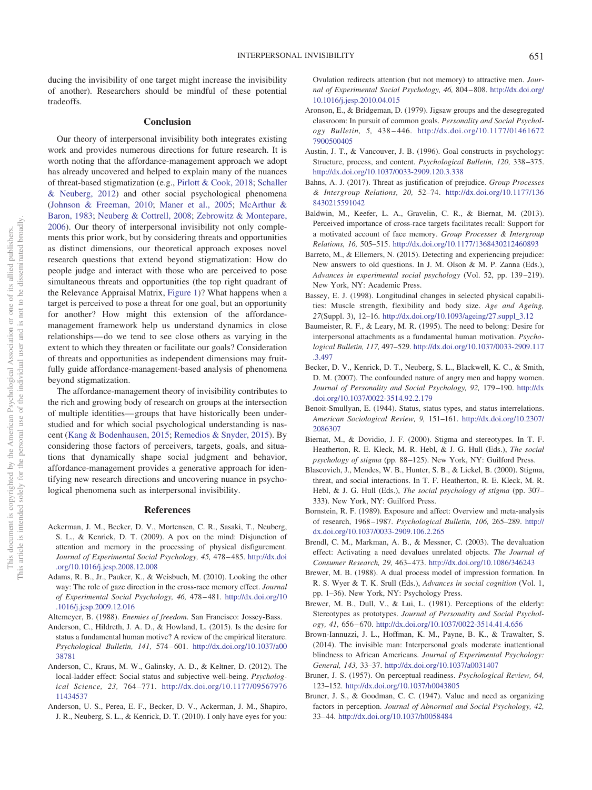ducing the invisibility of one target might increase the invisibility of another). Researchers should be mindful of these potential tradeoffs.

#### **Conclusion**

Our theory of interpersonal invisibility both integrates existing work and provides numerous directions for future research. It is worth noting that the affordance-management approach we adopt has already uncovered and helped to explain many of the nuances of threat-based stigmatization (e.g., [Pirlott & Cook, 2018;](#page-23-33) [Schaller](#page-24-16) [& Neuberg, 2012\)](#page-24-16) and other social psychological phenomena [\(Johnson & Freeman, 2010;](#page-20-6) [Maner et al., 2005;](#page-22-34) [McArthur &](#page-22-1) [Baron, 1983;](#page-22-1) [Neuberg & Cottrell, 2008;](#page-23-3) [Zebrowitz & Montepare,](#page-25-1) [2006\)](#page-25-1). Our theory of interpersonal invisibility not only complements this prior work, but by considering threats and opportunities as distinct dimensions, our theoretical approach exposes novel research questions that extend beyond stigmatization: How do people judge and interact with those who are perceived to pose simultaneous threats and opportunities (the top right quadrant of the Relevance Appraisal Matrix, [Figure 1\)](#page-3-0)? What happens when a target is perceived to pose a threat for one goal, but an opportunity for another? How might this extension of the affordancemanagement framework help us understand dynamics in close relationships— do we tend to see close others as varying in the extent to which they threaten or facilitate our goals? Consideration of threats and opportunities as independent dimensions may fruitfully guide affordance-management-based analysis of phenomena beyond stigmatization.

The affordance-management theory of invisibility contributes to the rich and growing body of research on groups at the intersection of multiple identities— groups that have historically been understudied and for which social psychological understanding is nascent [\(Kang & Bodenhausen, 2015;](#page-21-33) [Remedios & Snyder, 2015\)](#page-23-34). By considering those factors of perceivers, targets, goals, and situations that dynamically shape social judgment and behavior, affordance-management provides a generative approach for identifying new research directions and uncovering nuance in psychological phenomena such as interpersonal invisibility.

#### **References**

- <span id="page-17-14"></span>Ackerman, J. M., Becker, D. V., Mortensen, C. R., Sasaki, T., Neuberg, S. L., & Kenrick, D. T. (2009). A pox on the mind: Disjunction of attention and memory in the processing of physical disfigurement. *Journal of Experimental Social Psychology, 45,* 478 – 485. [http://dx.doi](http://dx.doi.org/10.1016/j.jesp.2008.12.008) [.org/10.1016/j.jesp.2008.12.008](http://dx.doi.org/10.1016/j.jesp.2008.12.008)
- <span id="page-17-13"></span>Adams, R. B., Jr., Pauker, K., & Weisbuch, M. (2010). Looking the other way: The role of gaze direction in the cross-race memory effect. *Journal of Experimental Social Psychology, 46,* 478 – 481. [http://dx.doi.org/10](http://dx.doi.org/10.1016/j.jesp.2009.12.016) [.1016/j.jesp.2009.12.016](http://dx.doi.org/10.1016/j.jesp.2009.12.016)
- <span id="page-17-16"></span><span id="page-17-6"></span>Altemeyer, B. (1988). *Enemies of freedom*. San Francisco: Jossey-Bass.
- Anderson, C., Hildreth, J. A. D., & Howland, L. (2015). Is the desire for status a fundamental human motive? A review of the empirical literature. *Psychological Bulletin, 141,* 574 – 601. [http://dx.doi.org/10.1037/a00](http://dx.doi.org/10.1037/a0038781) [38781](http://dx.doi.org/10.1037/a0038781)
- <span id="page-17-17"></span>Anderson, C., Kraus, M. W., Galinsky, A. D., & Keltner, D. (2012). The local-ladder effect: Social status and subjective well-being. *Psychological Science, 23,* 764 –771. [http://dx.doi.org/10.1177/09567976](http://dx.doi.org/10.1177/0956797611434537) [11434537](http://dx.doi.org/10.1177/0956797611434537)
- <span id="page-17-15"></span>Anderson, U. S., Perea, E. F., Becker, D. V., Ackerman, J. M., Shapiro, J. R., Neuberg, S. L., & Kenrick, D. T. (2010). I only have eyes for you:

Ovulation redirects attention (but not memory) to attractive men. *Journal of Experimental Social Psychology, 46,* 804 – 808. [http://dx.doi.org/](http://dx.doi.org/10.1016/j.jesp.2010.04.015) [10.1016/j.jesp.2010.04.015](http://dx.doi.org/10.1016/j.jesp.2010.04.015)

- <span id="page-17-23"></span>Aronson, E., & Bridgeman, D. (1979). Jigsaw groups and the desegregated classroom: In pursuit of common goals. *Personality and Social Psychology Bulletin, 5,* 438 – 446. [http://dx.doi.org/10.1177/01461672](http://dx.doi.org/10.1177/014616727900500405) [7900500405](http://dx.doi.org/10.1177/014616727900500405)
- <span id="page-17-5"></span>Austin, J. T., & Vancouver, J. B. (1996). Goal constructs in psychology: Structure, process, and content. *Psychological Bulletin, 120,* 338 –375. <http://dx.doi.org/10.1037/0033-2909.120.3.338>
- <span id="page-17-22"></span>Bahns, A. J. (2017). Threat as justification of prejudice. *Group Processes & Intergroup Relations, 20,* 52–74. [http://dx.doi.org/10.1177/136](http://dx.doi.org/10.1177/1368430215591042) [8430215591042](http://dx.doi.org/10.1177/1368430215591042)
- <span id="page-17-12"></span>Baldwin, M., Keefer, L. A., Gravelin, C. R., & Biernat, M. (2013). Perceived importance of cross-race targets facilitates recall: Support for a motivated account of face memory. *Group Processes & Intergroup Relations, 16,* 505–515. <http://dx.doi.org/10.1177/1368430212460893>
- <span id="page-17-21"></span>Barreto, M., & Ellemers, N. (2015). Detecting and experiencing prejudice: New answers to old questions. In J. M. Olson & M. P. Zanna (Eds.), *Advances in experimental social psychology* (Vol. 52, pp. 139 –219). New York, NY: Academic Press.
- <span id="page-17-19"></span>Bassey, E. J. (1998). Longitudinal changes in selected physical capabilities: Muscle strength, flexibility and body size. *Age and Ageing, 27*(Suppl. 3), 12–16. [http://dx.doi.org/10.1093/ageing/27.suppl\\_3.12](http://dx.doi.org/10.1093/ageing/27.suppl_3.12)
- <span id="page-17-1"></span>Baumeister, R. F., & Leary, M. R. (1995). The need to belong: Desire for interpersonal attachments as a fundamental human motivation. *Psychological Bulletin, 117,* 497–529. [http://dx.doi.org/10.1037/0033-2909.117](http://dx.doi.org/10.1037/0033-2909.117.3.497) [.3.497](http://dx.doi.org/10.1037/0033-2909.117.3.497)
- <span id="page-17-7"></span>Becker, D. V., Kenrick, D. T., Neuberg, S. L., Blackwell, K. C., & Smith, D. M. (2007). The confounded nature of angry men and happy women. *Journal of Personality and Social Psychology, 92,* 179 –190. [http://dx](http://dx.doi.org/10.1037/0022-3514.92.2.179) [.doi.org/10.1037/0022-3514.92.2.179](http://dx.doi.org/10.1037/0022-3514.92.2.179)
- <span id="page-17-18"></span>Benoit-Smullyan, E. (1944). Status, status types, and status interrelations. *American Sociological Review, 9,* 151–161. [http://dx.doi.org/10.2307/](http://dx.doi.org/10.2307/2086307) [2086307](http://dx.doi.org/10.2307/2086307)
- <span id="page-17-8"></span>Biernat, M., & Dovidio, J. F. (2000). Stigma and stereotypes. In T. F. Heatherton, R. E. Kleck, M. R. Hebl, & J. G. Hull (Eds.), *The social psychology of stigma* (pp. 88 –125). New York, NY: Guilford Press.
- <span id="page-17-10"></span>Blascovich, J., Mendes, W. B., Hunter, S. B., & Lickel, B. (2000). Stigma, threat, and social interactions. In T. F. Heatherton, R. E. Kleck, M. R. Hebl, & J. G. Hull (Eds.), *The social psychology of stigma* (pp. 307– 333). New York, NY: Guilford Press.
- <span id="page-17-11"></span>Bornstein, R. F. (1989). Exposure and affect: Overview and meta-analysis of research, 1968 –1987. *Psychological Bulletin, 106,* 265–289. [http://](http://dx.doi.org/10.1037/0033-2909.106.2.265) [dx.doi.org/10.1037/0033-2909.106.2.265](http://dx.doi.org/10.1037/0033-2909.106.2.265)
- <span id="page-17-9"></span>Brendl, C. M., Markman, A. B., & Messner, C. (2003). The devaluation effect: Activating a need devalues unrelated objects. *The Journal of Consumer Research, 29,* 463– 473. <http://dx.doi.org/10.1086/346243>
- <span id="page-17-4"></span>Brewer, M. B. (1988). A dual process model of impression formation. In R. S. Wyer & T. K. Srull (Eds.), *Advances in social cognition* (Vol. 1, pp. 1–36). New York, NY: Psychology Press.
- <span id="page-17-20"></span>Brewer, M. B., Dull, V., & Lui, L. (1981). Perceptions of the elderly: Stereotypes as prototypes. *Journal of Personality and Social Psychology, 41,* 656 – 670. <http://dx.doi.org/10.1037/0022-3514.41.4.656>
- <span id="page-17-0"></span>Brown-Iannuzzi, J. L., Hoffman, K. M., Payne, B. K., & Trawalter, S. (2014). The invisible man: Interpersonal goals moderate inattentional blindness to African Americans. *Journal of Experimental Psychology: General, 143,* 33–37. <http://dx.doi.org/10.1037/a0031407>
- <span id="page-17-2"></span>Bruner, J. S. (1957). On perceptual readiness. *Psychological Review, 64,* 123–152. <http://dx.doi.org/10.1037/h0043805>
- <span id="page-17-3"></span>Bruner, J. S., & Goodman, C. C. (1947). Value and need as organizing factors in perception. *Journal of Abnormal and Social Psychology, 42,* 33– 44. <http://dx.doi.org/10.1037/h0058484>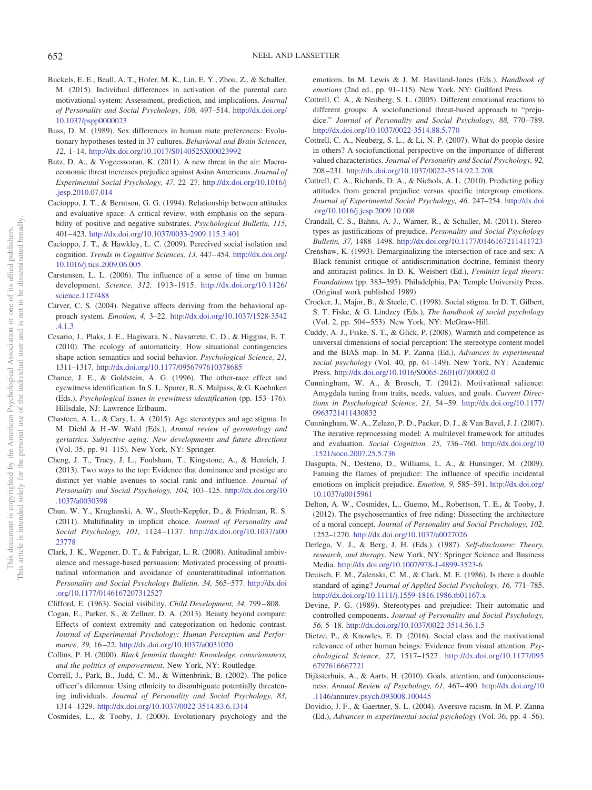- <span id="page-18-23"></span>Buckels, E. E., Beall, A. T., Hofer, M. K., Lin, E. Y., Zhou, Z., & Schaller, M. (2015). Individual differences in activation of the parental care motivational system: Assessment, prediction, and implications. *Journal of Personality and Social Psychology, 108,* 497–514. [http://dx.doi.org/](http://dx.doi.org/10.1037/pspp0000023) [10.1037/pspp0000023](http://dx.doi.org/10.1037/pspp0000023)
- <span id="page-18-26"></span>Buss, D. M. (1989). Sex differences in human mate preferences: Evolutionary hypotheses tested in 37 cultures. *Behavioral and Brain Sciences, 12,* 1–14. <http://dx.doi.org/10.1017/S0140525X00023992>
- <span id="page-18-28"></span>Butz, D. A., & Yogeeswaran, K. (2011). A new threat in the air: Macroeconomic threat increases prejudice against Asian Americans. *Journal of Experimental Social Psychology, 47,* 22–27. [http://dx.doi.org/10.1016/j](http://dx.doi.org/10.1016/j.jesp.2010.07.014) [.jesp.2010.07.014](http://dx.doi.org/10.1016/j.jesp.2010.07.014)
- <span id="page-18-17"></span>Cacioppo, J. T., & Berntson, G. G. (1994). Relationship between attitudes and evaluative space: A critical review, with emphasis on the separability of positive and negative substrates. *Psychological Bulletin, 115,* 401– 423. <http://dx.doi.org/10.1037/0033-2909.115.3.401>
- <span id="page-18-21"></span>Cacioppo, J. T., & Hawkley, L. C. (2009). Perceived social isolation and cognition. *Trends in Cognitive Sciences, 13,* 447– 454. [http://dx.doi.org/](http://dx.doi.org/10.1016/j.tics.2009.06.005) [10.1016/j.tics.2009.06.005](http://dx.doi.org/10.1016/j.tics.2009.06.005)
- <span id="page-18-20"></span>Carstensen, L. L. (2006). The influence of a sense of time on human development. *Science, 312,* 1913–1915. [http://dx.doi.org/10.1126/](http://dx.doi.org/10.1126/science.1127488) [science.1127488](http://dx.doi.org/10.1126/science.1127488)
- <span id="page-18-13"></span>Carver, C. S. (2004). Negative affects deriving from the behavioral approach system. *Emotion, 4,* 3–22. [http://dx.doi.org/10.1037/1528-3542](http://dx.doi.org/10.1037/1528-3542.4.1.3) [.4.1.3](http://dx.doi.org/10.1037/1528-3542.4.1.3)
- <span id="page-18-32"></span>Cesario, J., Plaks, J. E., Hagiwara, N., Navarrete, C. D., & Higgins, E. T. (2010). The ecology of automaticity. How situational contingencies shape action semantics and social behavior. *Psychological Science, 21,* 1311–1317. <http://dx.doi.org/10.1177/0956797610378685>
- <span id="page-18-12"></span>Chance, J. E., & Goldstein, A. G. (1996). The other-race effect and eyewitness identification. In S. L. Sporer, R. S. Malpass, & G. Koehnken (Eds.), *Psychological issues in eyewitness identification* (pp. 153–176). Hillsdale, NJ: Lawrence Erlbaum.
- <span id="page-18-24"></span>Chasteen, A. L., & Cary, L. A. (2015). Age stereotypes and age stigma. In M. Diehl & H.-W. Wahl (Eds.), *Annual review of gerontology and geriatrics. Subjective aging: New developments and future directions* (Vol. 35, pp. 91–115). New York, NY: Springer.
- <span id="page-18-19"></span>Cheng, J. T., Tracy, J. L., Foulsham, T., Kingstone, A., & Henrich, J. (2013). Two ways to the top: Evidence that dominance and prestige are distinct yet viable avenues to social rank and influence. *Journal of Personality and Social Psychology, 104,* 103–125. [http://dx.doi.org/10](http://dx.doi.org/10.1037/a0030398) [.1037/a0030398](http://dx.doi.org/10.1037/a0030398)
- <span id="page-18-34"></span>Chun, W. Y., Kruglanski, A. W., Sleeth-Keppler, D., & Friedman, R. S. (2011). Multifinality in implicit choice. *Journal of Personality and Social Psychology, 101,* 1124 –1137. [http://dx.doi.org/10.1037/a00](http://dx.doi.org/10.1037/a0023778) [23778](http://dx.doi.org/10.1037/a0023778)
- <span id="page-18-31"></span>Clark, J. K., Wegener, D. T., & Fabrigar, L. R. (2008). Attitudinal ambivalence and message-based persuasion: Motivated processing of proattitudinal information and avoidance of counterattitudinal information. *Personality and Social Psychology Bulletin, 34,* 565–577. [http://dx.doi](http://dx.doi.org/10.1177/0146167207312527) [.org/10.1177/0146167207312527](http://dx.doi.org/10.1177/0146167207312527)

<span id="page-18-8"></span><span id="page-18-0"></span>Clifford, E. (1963). Social visibility. *Child Development, 34,* 799 – 808.

- Cogan, E., Parker, S., & Zellner, D. A. (2013). Beauty beyond compare: Effects of context extremity and categorization on hedonic contrast. *Journal of Experimental Psychology: Human Perception and Performance, 39,* 16 –22. <http://dx.doi.org/10.1037/a0031020>
- <span id="page-18-22"></span>Collins, P. H. (2000). *Black feminist thought: Knowledge, consciousness, and the politics of empowerment*. New York, NY: Routledge.
- <span id="page-18-6"></span>Correll, J., Park, B., Judd, C. M., & Wittenbrink, B. (2002). The police officer's dilemma: Using ethnicity to disambiguate potentially threatening individuals. *Journal of Personality and Social Psychology, 83,* 1314 –1329. <http://dx.doi.org/10.1037/0022-3514.83.6.1314>

<span id="page-18-14"></span>Cosmides, L., & Tooby, J. (2000). Evolutionary psychology and the

emotions. In M. Lewis & J. M. Haviland-Jones (Eds.), *Handbook of emotions* (2nd ed., pp. 91–115). New York, NY: Guilford Press.

- <span id="page-18-10"></span>Cottrell, C. A., & Neuberg, S. L. (2005). Different emotional reactions to different groups: A sociofunctional threat-based approach to "prejudice." *Journal of Personality and Social Psychology, 88,* 770 –789. <http://dx.doi.org/10.1037/0022-3514.88.5.770>
- <span id="page-18-18"></span>Cottrell, C. A., Neuberg, S. L., & Li, N. P. (2007). What do people desire in others? A sociofunctional perspective on the importance of different valued characteristics. *Journal of Personality and Social Psychology, 92,* 208 –231. <http://dx.doi.org/10.1037/0022-3514.92.2.208>
- <span id="page-18-16"></span>Cottrell, C. A., Richards, D. A., & Nichols, A. L. (2010). Predicting policy attitudes from general prejudice versus specific intergroup emotions. *Journal of Experimental Social Psychology, 46,* 247–254. [http://dx.doi](http://dx.doi.org/10.1016/j.jesp.2009.10.008) [.org/10.1016/j.jesp.2009.10.008](http://dx.doi.org/10.1016/j.jesp.2009.10.008)
- <span id="page-18-33"></span>Crandall, C. S., Bahns, A. J., Warner, R., & Schaller, M. (2011). Stereotypes as justifications of prejudice. *Personality and Social Psychology Bulletin, 37,* 1488 –1498. <http://dx.doi.org/10.1177/0146167211411723>
- <span id="page-18-1"></span>Crenshaw, K. (1993). Demarginalizing the intersection of race and sex: A Black feminist critique of antidiscrimination doctrine, feminist theory and antiracist politics. In D. K. Weisbert (Ed.), *Feminist legal theory: Foundations* (pp. 383–395). Philadelphia, PA: Temple University Press. (Original work published 1989)
- <span id="page-18-9"></span>Crocker, J., Major, B., & Steele, C. (1998). Social stigma. In D. T. Gilbert, S. T. Fiske, & G. Lindzey (Eds.), *The handbook of social psychology* (Vol. 2, pp. 504 –553). New York, NY: McGraw-Hill.
- <span id="page-18-27"></span>Cuddy, A. J., Fiske, S. T., & Glick, P. (2008). Warmth and competence as universal dimensions of social perception: The stereotype content model and the BIAS map. In M. P. Zanna (Ed.), *Advances in experimental social psychology* (Vol. 40, pp. 61–149). New York, NY: Academic Press. [http://dx.doi.org/10.1016/S0065-2601\(07\)00002-0](http://dx.doi.org/10.1016/S0065-2601%2807%2900002-0)
- <span id="page-18-4"></span>Cunningham, W. A., & Brosch, T. (2012). Motivational salience: Amygdala tuning from traits, needs, values, and goals. *Current Directions in Psychological Science, 21,* 54 –59. [http://dx.doi.org/10.1177/](http://dx.doi.org/10.1177/0963721411430832) [0963721411430832](http://dx.doi.org/10.1177/0963721411430832)
- <span id="page-18-7"></span>Cunningham, W. A., Zelazo, P. D., Packer, D. J., & Van Bavel, J. J. (2007). The iterative reprocessing model: A multilevel framework for attitudes and evaluation. *Social Cognition, 25,* 736 –760. [http://dx.doi.org/10](http://dx.doi.org/10.1521/soco.2007.25.5.736) [.1521/soco.2007.25.5.736](http://dx.doi.org/10.1521/soco.2007.25.5.736)
- <span id="page-18-15"></span>Dasgupta, N., Desteno, D., Williams, L. A., & Hunsinger, M. (2009). Fanning the flames of prejudice: The influence of specific incidental emotions on implicit prejudice. *Emotion, 9,* 585–591. [http://dx.doi.org/](http://dx.doi.org/10.1037/a0015961) [10.1037/a0015961](http://dx.doi.org/10.1037/a0015961)
- <span id="page-18-2"></span>Delton, A. W., Cosmides, L., Guemo, M., Robertson, T. E., & Tooby, J. (2012). The psychosemantics of free riding: Dissecting the architecture of a moral concept. *Journal of Personality and Social Psychology, 102,* 1252–1270. <http://dx.doi.org/10.1037/a0027026>
- <span id="page-18-29"></span>Derlega, V. J., & Berg, J. H. (Eds.). (1987). *Self-disclosure: Theory, research, and therapy*. New York, NY: Springer Science and Business Media. <http://dx.doi.org/10.1007/978-1-4899-3523-6>
- <span id="page-18-25"></span>Deuisch, F. M., Zalenski, C. M., & Clark, M. E. (1986). Is there a double standard of aging? *Journal of Applied Social Psychology, 16,* 771–785. <http://dx.doi.org/10.1111/j.1559-1816.1986.tb01167.x>
- <span id="page-18-5"></span>Devine, P. G. (1989). Stereotypes and prejudice: Their automatic and controlled components. *Journal of Personality and Social Psychology, 56,* 5–18. <http://dx.doi.org/10.1037/0022-3514.56.1.5>
- <span id="page-18-3"></span>Dietze, P., & Knowles, E. D. (2016). Social class and the motivational relevance of other human beings: Evidence from visual attention. *Psychological Science, 27,* 1517–1527. [http://dx.doi.org/10.1177/095](http://dx.doi.org/10.1177/0956797616667721) [6797616667721](http://dx.doi.org/10.1177/0956797616667721)
- <span id="page-18-11"></span>Dijksterhuis, A., & Aarts, H. (2010). Goals, attention, and (un)consciousness. *Annual Review of Psychology, 61,* 467– 490. [http://dx.doi.org/10](http://dx.doi.org/10.1146/annurev.psych.093008.100445) [.1146/annurev.psych.093008.100445](http://dx.doi.org/10.1146/annurev.psych.093008.100445)
- <span id="page-18-30"></span>Dovidio, J. F., & Gaertner, S. L. (2004). Aversive racism. In M. P. Zanna (Ed.), *Advances in experimental social psychology* (Vol. 36, pp. 4 –56).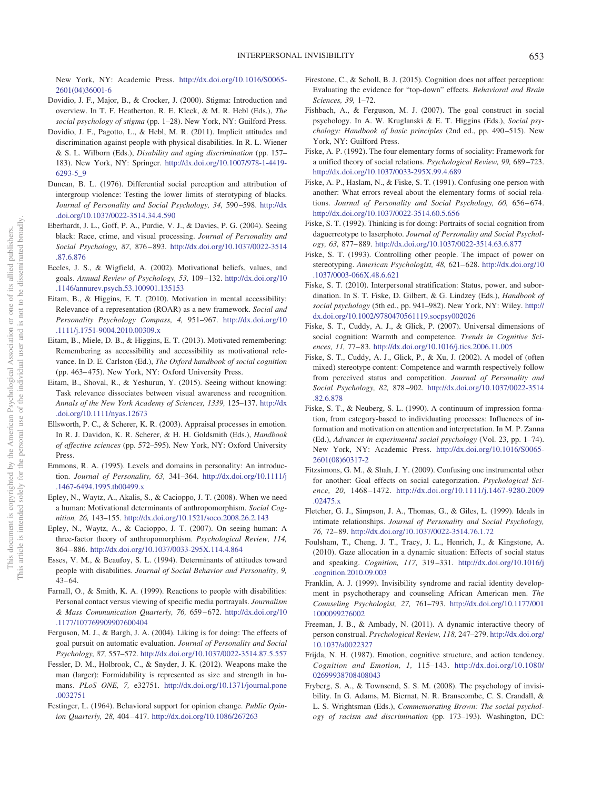New York, NY: Academic Press. [http://dx.doi.org/10.1016/S0065-](http://dx.doi.org/10.1016/S0065-2601%2804%2936001-6) [2601\(04\)36001-6](http://dx.doi.org/10.1016/S0065-2601%2804%2936001-6)

- <span id="page-19-17"></span>Dovidio, J. F., Major, B., & Crocker, J. (2000). Stigma: Introduction and overview. In T. F. Heatherton, R. E. Kleck, & M. R. Hebl (Eds.), *The social psychology of stigma* (pp. 1–28). New York, NY: Guilford Press.
- <span id="page-19-30"></span>Dovidio, J. F., Pagotto, L., & Hebl, M. R. (2011). Implicit attitudes and discrimination against people with physical disabilities. In R. L. Wiener & S. L. Wilborn (Eds.), *Disability and aging discrimination* (pp. 157– 183). New York, NY: Springer. [http://dx.doi.org/10.1007/978-1-4419-](http://dx.doi.org/10.1007/978-1-4419-6293-5_9) [6293-5\\_9](http://dx.doi.org/10.1007/978-1-4419-6293-5_9)
- <span id="page-19-14"></span>Duncan, B. L. (1976). Differential social perception and attribution of intergroup violence: Testing the lower limits of sterotyping of blacks. *Journal of Personality and Social Psychology, 34,* 590 –598. [http://dx](http://dx.doi.org/10.1037/0022-3514.34.4.590) [.doi.org/10.1037/0022-3514.34.4.590](http://dx.doi.org/10.1037/0022-3514.34.4.590)
- <span id="page-19-18"></span>Eberhardt, J. L., Goff, P. A., Purdie, V. J., & Davies, P. G. (2004). Seeing black: Race, crime, and visual processing. *Journal of Personality and Social Psychology, 87,* 876 – 893. [http://dx.doi.org/10.1037/0022-3514](http://dx.doi.org/10.1037/0022-3514.87.6.876) [.87.6.876](http://dx.doi.org/10.1037/0022-3514.87.6.876)
- <span id="page-19-26"></span>Eccles, J. S., & Wigfield, A. (2002). Motivational beliefs, values, and goals. *Annual Review of Psychology, 53,* 109 –132. [http://dx.doi.org/10](http://dx.doi.org/10.1146/annurev.psych.53.100901.135153) [.1146/annurev.psych.53.100901.135153](http://dx.doi.org/10.1146/annurev.psych.53.100901.135153)
- <span id="page-19-11"></span>Eitam, B., & Higgins, E. T. (2010). Motivation in mental accessibility: Relevance of a representation (ROAR) as a new framework. *Social and Personality Psychology Compass, 4,* 951–967. [http://dx.doi.org/10](http://dx.doi.org/10.1111/j.1751-9004.2010.00309.x) [.1111/j.1751-9004.2010.00309.x](http://dx.doi.org/10.1111/j.1751-9004.2010.00309.x)
- <span id="page-19-5"></span>Eitam, B., Miele, D. B., & Higgins, E. T. (2013). Motivated remembering: Remembering as accessibility and accessibility as motivational relevance. In D. E. Carlston (Ed.), *The Oxford handbook of social cognition* (pp. 463– 475). New York, NY: Oxford University Press.
- <span id="page-19-19"></span>Eitam, B., Shoval, R., & Yeshurun, Y. (2015). Seeing without knowing: Task relevance dissociates between visual awareness and recognition. *Annals of the New York Academy of Sciences, 1339,* 125–137. [http://dx](http://dx.doi.org/10.1111/nyas.12673) [.doi.org/10.1111/nyas.12673](http://dx.doi.org/10.1111/nyas.12673)
- <span id="page-19-7"></span>Ellsworth, P. C., & Scherer, K. R. (2003). Appraisal processes in emotion. In R. J. Davidon, K. R. Scherer, & H. H. Goldsmith (Eds.), *Handbook of affective sciences* (pp. 572–595). New York, NY: Oxford University Press.
- <span id="page-19-13"></span>Emmons, R. A. (1995). Levels and domains in personality: An introduction. *Journal of Personality, 63,* 341–364. [http://dx.doi.org/10.1111/j](http://dx.doi.org/10.1111/j.1467-6494.1995.tb00499.x) [.1467-6494.1995.tb00499.x](http://dx.doi.org/10.1111/j.1467-6494.1995.tb00499.x)
- <span id="page-19-24"></span>Epley, N., Waytz, A., Akalis, S., & Cacioppo, J. T. (2008). When we need a human: Motivational determinants of anthropomorphism. *Social Cognition, 26,* 143–155. <http://dx.doi.org/10.1521/soco.2008.26.2.143>
- <span id="page-19-25"></span>Epley, N., Waytz, A., & Cacioppo, J. T. (2007). On seeing human: A three-factor theory of anthropomorphism. *Psychological Review, 114,* 864 – 886. <http://dx.doi.org/10.1037/0033-295X.114.4.864>
- <span id="page-19-28"></span>Esses, V. M., & Beaufoy, S. L. (1994). Determinants of attitudes toward people with disabilities. *Journal of Social Behavior and Personality, 9,*  $43 - 64.$
- <span id="page-19-29"></span>Farnall, O., & Smith, K. A. (1999). Reactions to people with disabilities: Personal contact versus viewing of specific media portrayals. *Journalism & Mass Communication Quarterly, 76,* 659 – 672. [http://dx.doi.org/10](http://dx.doi.org/10.1177/107769909907600404) [.1177/107769909907600404](http://dx.doi.org/10.1177/107769909907600404)
- <span id="page-19-3"></span>Ferguson, M. J., & Bargh, J. A. (2004). Liking is for doing: The effects of goal pursuit on automatic evaluation. *Journal of Personality and Social Psychology, 87,* 557–572. <http://dx.doi.org/10.1037/0022-3514.87.5.557>
- <span id="page-19-15"></span>Fessler, D. M., Holbrook, C., & Snyder, J. K. (2012). Weapons make the man (larger): Formidability is represented as size and strength in humans. *PLoS ONE, 7,* e32751. [http://dx.doi.org/10.1371/journal.pone](http://dx.doi.org/10.1371/journal.pone.0032751) [.0032751](http://dx.doi.org/10.1371/journal.pone.0032751)
- <span id="page-19-32"></span>Festinger, L. (1964). Behavioral support for opinion change. *Public Opinion Quarterly, 28,* 404 – 417. <http://dx.doi.org/10.1086/267263>
- <span id="page-19-9"></span>Firestone, C., & Scholl, B. J. (2015). Cognition does not affect perception: Evaluating the evidence for "top-down" effects. *Behavioral and Brain Sciences, 39,* 1–72.
- <span id="page-19-4"></span>Fishbach, A., & Ferguson, M. J. (2007). The goal construct in social psychology. In A. W. Kruglanski & E. T. Higgins (Eds.), *Social psychology: Handbook of basic principles* (2nd ed., pp. 490 –515). New York, NY: Guilford Press.
- <span id="page-19-2"></span>Fiske, A. P. (1992). The four elementary forms of sociality: Framework for a unified theory of social relations. *Psychological Review, 99,* 689 –723. <http://dx.doi.org/10.1037/0033-295X.99.4.689>
- <span id="page-19-20"></span>Fiske, A. P., Haslam, N., & Fiske, S. T. (1991). Confusing one person with another: What errors reveal about the elementary forms of social relations. *Journal of Personality and Social Psychology, 60, 656-674.* <http://dx.doi.org/10.1037/0022-3514.60.5.656>
- Fiske, S. T. (1992). Thinking is for doing: Portraits of social cognition from daguerreotype to laserphoto. *Journal of Personality and Social Psychology, 63,* 877– 889. <http://dx.doi.org/10.1037/0022-3514.63.6.877>
- <span id="page-19-21"></span>Fiske, S. T. (1993). Controlling other people. The impact of power on stereotyping. *American Psychologist, 48,* 621– 628. [http://dx.doi.org/10](http://dx.doi.org/10.1037/0003-066X.48.6.621) [.1037/0003-066X.48.6.621](http://dx.doi.org/10.1037/0003-066X.48.6.621)
- <span id="page-19-22"></span>Fiske, S. T. (2010). Interpersonal stratification: Status, power, and subordination. In S. T. Fiske, D. Gilbert, & G. Lindzey (Eds.), *Handbook of social psychology* (5th ed., pp. 941–982). New York, NY: Wiley. [http://](http://dx.doi.org/10.1002/9780470561119.socpsy002026) [dx.doi.org/10.1002/9780470561119.socpsy002026](http://dx.doi.org/10.1002/9780470561119.socpsy002026)
- <span id="page-19-31"></span>Fiske, S. T., Cuddy, A. J., & Glick, P. (2007). Universal dimensions of social cognition: Warmth and competence. *Trends in Cognitive Sciences, 11,* 77– 83. <http://dx.doi.org/10.1016/j.tics.2006.11.005>
- <span id="page-19-12"></span>Fiske, S. T., Cuddy, A. J., Glick, P., & Xu, J. (2002). A model of (often mixed) stereotype content: Competence and warmth respectively follow from perceived status and competition. *Journal of Personality and Social Psychology, 82,* 878 –902. [http://dx.doi.org/10.1037/0022-3514](http://dx.doi.org/10.1037/0022-3514.82.6.878) [.82.6.878](http://dx.doi.org/10.1037/0022-3514.82.6.878)
- <span id="page-19-10"></span>Fiske, S. T., & Neuberg, S. L. (1990). A continuum of impression formation, from category-based to individuating processes: Influences of information and motivation on attention and interpretation. In M. P. Zanna (Ed.), *Advances in experimental social psychology* (Vol. 23, pp. 1–74). New York, NY: Academic Press. [http://dx.doi.org/10.1016/S0065-](http://dx.doi.org/10.1016/S0065-2601%2808%2960317-2) [2601\(08\)60317-2](http://dx.doi.org/10.1016/S0065-2601%2808%2960317-2)
- <span id="page-19-6"></span>Fitzsimons, G. M., & Shah, J. Y. (2009). Confusing one instrumental other for another: Goal effects on social categorization. *Psychological Science, 20,* 1468 –1472. [http://dx.doi.org/10.1111/j.1467-9280.2009](http://dx.doi.org/10.1111/j.1467-9280.2009.02475.x) [.02475.x](http://dx.doi.org/10.1111/j.1467-9280.2009.02475.x)
- <span id="page-19-27"></span>Fletcher, G. J., Simpson, J. A., Thomas, G., & Giles, L. (1999). Ideals in intimate relationships. *Journal of Personality and Social Psychology, 76,* 72– 89. <http://dx.doi.org/10.1037/0022-3514.76.1.72>
- <span id="page-19-23"></span>Foulsham, T., Cheng, J. T., Tracy, J. L., Henrich, J., & Kingstone, A. (2010). Gaze allocation in a dynamic situation: Effects of social status and speaking. *Cognition, 117,* 319 –331. [http://dx.doi.org/10.1016/j](http://dx.doi.org/10.1016/j.cognition.2010.09.003) [.cognition.2010.09.003](http://dx.doi.org/10.1016/j.cognition.2010.09.003)
- <span id="page-19-1"></span>Franklin, A. J. (1999). Invisibility syndrome and racial identity development in psychotherapy and counseling African American men. *The Counseling Psychologist, 27,* 761–793. [http://dx.doi.org/10.1177/001](http://dx.doi.org/10.1177/0011000099276002) [1000099276002](http://dx.doi.org/10.1177/0011000099276002)
- <span id="page-19-16"></span>Freeman, J. B., & Ambady, N. (2011). A dynamic interactive theory of person construal. *Psychological Review, 118,* 247–279. [http://dx.doi.org/](http://dx.doi.org/10.1037/a0022327) [10.1037/a0022327](http://dx.doi.org/10.1037/a0022327)
- <span id="page-19-8"></span>Frijda, N. H. (1987). Emotion, cognitive structure, and action tendency. *Cognition and Emotion, 1,* 115–143. [http://dx.doi.org/10.1080/](http://dx.doi.org/10.1080/02699938708408043) [02699938708408043](http://dx.doi.org/10.1080/02699938708408043)
- <span id="page-19-0"></span>Fryberg, S. A., & Townsend, S. S. M. (2008). The psychology of invisibility. In G. Adams, M. Biernat, N. R. Branscombe, C. S. Crandall, & L. S. Wrightsman (Eds.), *Commemorating Brown: The social psychology of racism and discrimination* (pp. 173–193). Washington, DC: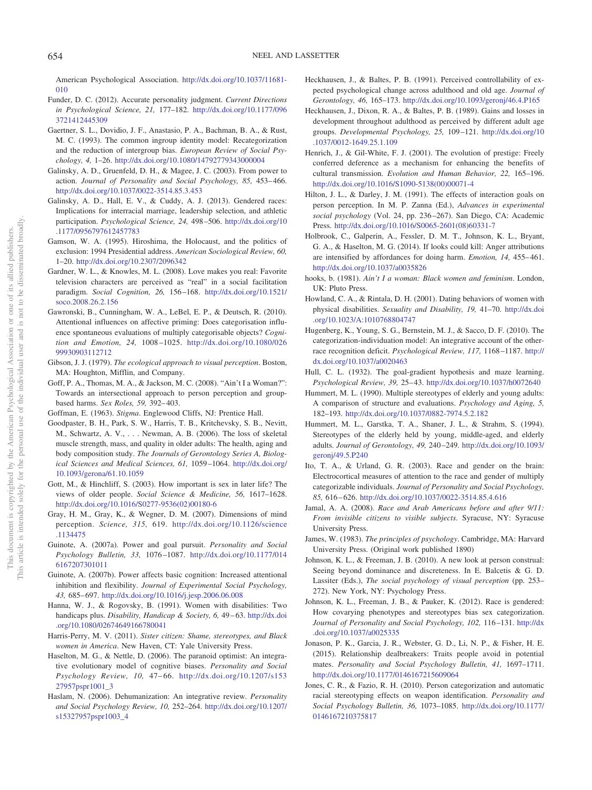American Psychological Association. [http://dx.doi.org/10.1037/11681-](http://dx.doi.org/10.1037/11681-010) [010](http://dx.doi.org/10.1037/11681-010)

- <span id="page-20-7"></span>Funder, D. C. (2012). Accurate personality judgment. *Current Directions in Psychological Science, 21,* 177–182. [http://dx.doi.org/10.1177/096](http://dx.doi.org/10.1177/0963721412445309) [3721412445309](http://dx.doi.org/10.1177/0963721412445309)
- <span id="page-20-36"></span>Gaertner, S. L., Dovidio, J. F., Anastasio, P. A., Bachman, B. A., & Rust, M. C. (1993). The common ingroup identity model: Recategorization and the reduction of intergroup bias. *European Review of Social Psychology, 4,* 1–26. <http://dx.doi.org/10.1080/14792779343000004>
- <span id="page-20-18"></span>Galinsky, A. D., Gruenfeld, D. H., & Magee, J. C. (2003). From power to action. *Journal of Personality and Social Psychology, 85,* 453– 466. <http://dx.doi.org/10.1037/0022-3514.85.3.453>
- <span id="page-20-25"></span>Galinsky, A. D., Hall, E. V., & Cuddy, A. J. (2013). Gendered races: Implications for interracial marriage, leadership selection, and athletic participation. *Psychological Science, 24,* 498 –506. [http://dx.doi.org/10](http://dx.doi.org/10.1177/0956797612457783) [.1177/0956797612457783](http://dx.doi.org/10.1177/0956797612457783)
- <span id="page-20-9"></span>Gamson, W. A. (1995). Hiroshima, the Holocaust, and the politics of exclusion: 1994 Presidential address. *American Sociological Review, 60,* 1–20. <http://dx.doi.org/10.2307/2096342>
- <span id="page-20-21"></span>Gardner, W. L., & Knowles, M. L. (2008). Love makes you real: Favorite television characters are perceived as "real" in a social facilitation paradigm. *Social Cognition, 26,* 156 –168. [http://dx.doi.org/10.1521/](http://dx.doi.org/10.1521/soco.2008.26.2.156) [soco.2008.26.2.156](http://dx.doi.org/10.1521/soco.2008.26.2.156)
- <span id="page-20-8"></span>Gawronski, B., Cunningham, W. A., LeBel, E. P., & Deutsch, R. (2010). Attentional influences on affective priming: Does categorisation influence spontaneous evaluations of multiply categorisable objects? *Cognition and Emotion, 24,* 1008 –1025. [http://dx.doi.org/10.1080/026](http://dx.doi.org/10.1080/02699930903112712) [99930903112712](http://dx.doi.org/10.1080/02699930903112712)
- <span id="page-20-2"></span>Gibson, J. J. (1979). *The ecological approach to visual perception*. Boston, MA: Houghton, Mifflin, and Company.
- <span id="page-20-26"></span>Goff, P. A., Thomas, M. A., & Jackson, M. C. (2008). "Ain't I a Woman?": Towards an intersectional approach to person perception and groupbased harms. *Sex Roles, 59,* 392– 403.

<span id="page-20-32"></span><span id="page-20-10"></span>Goffman, E. (1963). *Stigma*. Englewood Cliffs, NJ: Prentice Hall.

- Goodpaster, B. H., Park, S. W., Harris, T. B., Kritchevsky, S. B., Nevitt, M., Schwartz, A. V.,... Newman, A. B. (2006). The loss of skeletal muscle strength, mass, and quality in older adults: The health, aging and body composition study. *The Journals of Gerontology Series A, Biological Sciences and Medical Sciences, 61,* 1059 –1064. [http://dx.doi.org/](http://dx.doi.org/10.1093/gerona/61.10.1059) [10.1093/gerona/61.10.1059](http://dx.doi.org/10.1093/gerona/61.10.1059)
- <span id="page-20-31"></span>Gott, M., & Hinchliff, S. (2003). How important is sex in later life? The views of older people. *Social Science & Medicine, 56,* 1617–1628. [http://dx.doi.org/10.1016/S0277-9536\(02\)00180-6](http://dx.doi.org/10.1016/S0277-9536%2802%2900180-6)
- <span id="page-20-34"></span>Gray, H. M., Gray, K., & Wegner, D. M. (2007). Dimensions of mind perception. *Science, 315,* 619. [http://dx.doi.org/10.1126/science](http://dx.doi.org/10.1126/science.1134475) [.1134475](http://dx.doi.org/10.1126/science.1134475)
- <span id="page-20-19"></span>Guinote, A. (2007a). Power and goal pursuit. *Personality and Social Psychology Bulletin, 33,* 1076 –1087. [http://dx.doi.org/10.1177/014](http://dx.doi.org/10.1177/0146167207301011) [6167207301011](http://dx.doi.org/10.1177/0146167207301011)
- <span id="page-20-20"></span>Guinote, A. (2007b). Power affects basic cognition: Increased attentional inhibition and flexibility. *Journal of Experimental Social Psychology, 43,* 685– 697. <http://dx.doi.org/10.1016/j.jesp.2006.06.008>
- <span id="page-20-13"></span>Hanna, W. J., & Rogovsky, B. (1991). Women with disabilities: Two handicaps plus. *Disability, Handicap & Society, 6, 49-63. [http://dx.doi](http://dx.doi.org/10.1080/02674649166780041)* [.org/10.1080/02674649166780041](http://dx.doi.org/10.1080/02674649166780041)
- <span id="page-20-23"></span>Harris-Perry, M. V. (2011). *Sister citizen: Shame, stereotypes, and Black women in America*. New Haven, CT: Yale University Press.
- <span id="page-20-1"></span>Haselton, M. G., & Nettle, D. (2006). The paranoid optimist: An integrative evolutionary model of cognitive biases. *Personality and Social Psychology Review, 10,* 47– 66. [http://dx.doi.org/10.1207/s153](http://dx.doi.org/10.1207/s15327957pspr1001_3) [27957pspr1001\\_3](http://dx.doi.org/10.1207/s15327957pspr1001_3)
- <span id="page-20-35"></span>Haslam, N. (2006). Dehumanization: An integrative review. *Personality and Social Psychology Review, 10,* 252–264. [http://dx.doi.org/10.1207/](http://dx.doi.org/10.1207/s15327957pspr1003_4) [s15327957pspr1003\\_4](http://dx.doi.org/10.1207/s15327957pspr1003_4)
- <span id="page-20-29"></span>Heckhausen, J., & Baltes, P. B. (1991). Perceived controllability of expected psychological change across adulthood and old age. *Journal of Gerontology, 46,* 165–173. <http://dx.doi.org/10.1093/geronj/46.4.P165>
- <span id="page-20-30"></span>Heckhausen, J., Dixon, R. A., & Baltes, P. B. (1989). Gains and losses in development throughout adulthood as perceived by different adult age groups. *Developmental Psychology, 25,* 109 –121. [http://dx.doi.org/10](http://dx.doi.org/10.1037/0012-1649.25.1.109) [.1037/0012-1649.25.1.109](http://dx.doi.org/10.1037/0012-1649.25.1.109)
- <span id="page-20-15"></span>Henrich, J., & Gil-White, F. J. (2001). The evolution of prestige: Freely conferred deference as a mechanism for enhancing the benefits of cultural transmission. *Evolution and Human Behavior, 22,* 165–196. [http://dx.doi.org/10.1016/S1090-5138\(00\)00071-4](http://dx.doi.org/10.1016/S1090-5138%2800%2900071-4)
- <span id="page-20-4"></span>Hilton, J. L., & Darley, J. M. (1991). The effects of interaction goals on person perception. In M. P. Zanna (Ed.), *Advances in experimental social psychology* (Vol. 24, pp. 236 –267). San Diego, CA: Academic Press. [http://dx.doi.org/10.1016/S0065-2601\(08\)60331-7](http://dx.doi.org/10.1016/S0065-2601%2808%2960331-7)
- <span id="page-20-5"></span>Holbrook, C., Galperin, A., Fessler, D. M. T., Johnson, K. L., Bryant, G. A., & Haselton, M. G. (2014). If looks could kill: Anger attributions are intensified by affordances for doing harm. *Emotion, 14,* 455– 461. <http://dx.doi.org/10.1037/a0035826>
- <span id="page-20-0"></span>hooks, b. (1981). *Ain't I a woman: Black women and feminism*. London, UK: Pluto Press.
- <span id="page-20-14"></span>Howland, C. A., & Rintala, D. H. (2001). Dating behaviors of women with physical disabilities. *Sexuality and Disability, 19,* 41–70. [http://dx.doi](http://dx.doi.org/10.1023/A:1010768804747) [.org/10.1023/A:1010768804747](http://dx.doi.org/10.1023/A:1010768804747)
- <span id="page-20-12"></span>Hugenberg, K., Young, S. G., Bernstein, M. J., & Sacco, D. F. (2010). The categorization-individuation model: An integrative account of the otherrace recognition deficit. *Psychological Review, 117,* 1168 –1187. [http://](http://dx.doi.org/10.1037/a0020463) [dx.doi.org/10.1037/a0020463](http://dx.doi.org/10.1037/a0020463)
- <span id="page-20-22"></span>Hull, C. L. (1932). The goal-gradient hypothesis and maze learning. *Psychological Review, 39,* 25– 43. <http://dx.doi.org/10.1037/h0072640>
- <span id="page-20-33"></span>Hummert, M. L. (1990). Multiple stereotypes of elderly and young adults: A comparison of structure and evaluations. *Psychology and Aging, 5,* 182–193. <http://dx.doi.org/10.1037/0882-7974.5.2.182>
- <span id="page-20-16"></span>Hummert, M. L., Garstka, T. A., Shaner, J. L., & Strahm, S. (1994). Stereotypes of the elderly held by young, middle-aged, and elderly adults. *Journal of Gerontology, 49,* 240 –249. [http://dx.doi.org/10.1093/](http://dx.doi.org/10.1093/geronj/49.5.P240) [geronj/49.5.P240](http://dx.doi.org/10.1093/geronj/49.5.P240)
- <span id="page-20-11"></span>Ito, T. A., & Urland, G. R. (2003). Race and gender on the brain: Electrocortical measures of attention to the race and gender of multiply categorizable individuals. *Journal of Personality and Social Psychology, 85,* 616 – 626. <http://dx.doi.org/10.1037/0022-3514.85.4.616>
- <span id="page-20-17"></span>Jamal, A. A. (2008). *Race and Arab Americans before and after 9/11: From invisible citizens to visible subjects*. Syracuse, NY: Syracuse University Press.
- <span id="page-20-3"></span>James, W. (1983). *The principles of psychology*. Cambridge, MA: Harvard University Press. (Original work published 1890)
- <span id="page-20-6"></span>Johnson, K. L., & Freeman, J. B. (2010). A new look at person construal: Seeing beyond dominance and discreteness. In E. Balcetis & G. D. Lassiter (Eds.), *The social psychology of visual perception* (pp. 253– 272). New York, NY: Psychology Press.
- <span id="page-20-27"></span>Johnson, K. L., Freeman, J. B., & Pauker, K. (2012). Race is gendered: How covarying phenotypes and stereotypes bias sex categorization. *Journal of Personality and Social Psychology, 102,* 116 –131. [http://dx](http://dx.doi.org/10.1037/a0025335) [.doi.org/10.1037/a0025335](http://dx.doi.org/10.1037/a0025335)
- <span id="page-20-24"></span>Jonason, P. K., Garcia, J. R., Webster, G. D., Li, N. P., & Fisher, H. E. (2015). Relationship dealbreakers: Traits people avoid in potential mates. *Personality and Social Psychology Bulletin, 41,* 1697–1711. <http://dx.doi.org/10.1177/0146167215609064>
- <span id="page-20-28"></span>Jones, C. R., & Fazio, R. H. (2010). Person categorization and automatic racial stereotyping effects on weapon identification. *Personality and Social Psychology Bulletin, 36,* 1073–1085. [http://dx.doi.org/10.1177/](http://dx.doi.org/10.1177/0146167210375817) [0146167210375817](http://dx.doi.org/10.1177/0146167210375817)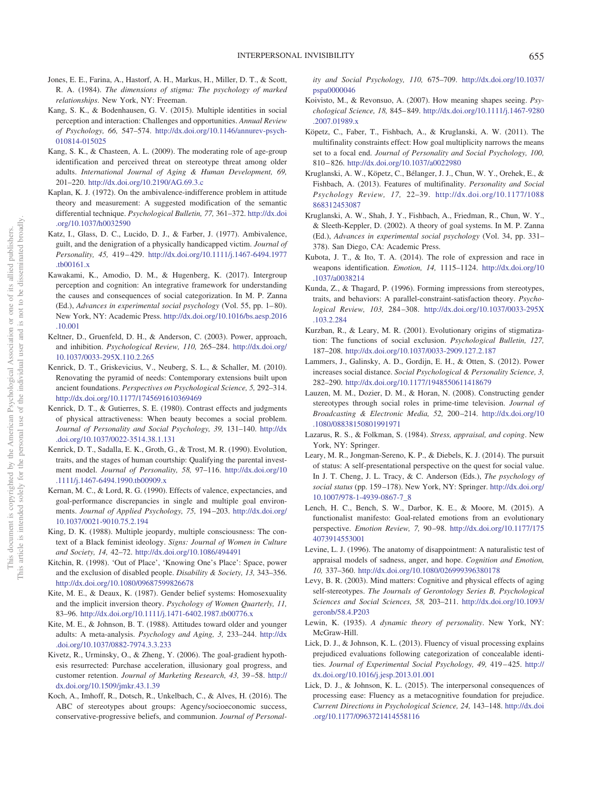- <span id="page-21-8"></span>Jones, E. E., Farina, A., Hastorf, A. H., Markus, H., Miller, D. T., & Scott, R. A. (1984). *The dimensions of stigma: The psychology of marked relationships*. New York, NY: Freeman.
- <span id="page-21-33"></span>Kang, S. K., & Bodenhausen, G. V. (2015). Multiple identities in social perception and interaction: Challenges and opportunities. *Annual Review of Psychology, 66,* 547–574. [http://dx.doi.org/10.1146/annurev-psych-](http://dx.doi.org/10.1146/annurev-psych-010814-015025)[010814-015025](http://dx.doi.org/10.1146/annurev-psych-010814-015025)
- <span id="page-21-23"></span>Kang, S. K., & Chasteen, A. L. (2009). The moderating role of age-group identification and perceived threat on stereotype threat among older adults. *International Journal of Aging & Human Development, 69,* 201–220. <http://dx.doi.org/10.2190/AG.69.3.c>
- <span id="page-21-13"></span>Kaplan, K. J. (1972). On the ambivalence-indifference problem in attitude theory and measurement: A suggested modification of the semantic differential technique. *Psychological Bulletin, 77,* 361–372. [http://dx.doi](http://dx.doi.org/10.1037/h0032590) [.org/10.1037/h0032590](http://dx.doi.org/10.1037/h0032590)
- <span id="page-21-20"></span>Katz, I., Glass, D. C., Lucido, D. J., & Farber, J. (1977). Ambivalence, guilt, and the denigration of a physically handicapped victim. *Journal of Personality, 45,* 419 – 429. [http://dx.doi.org/10.1111/j.1467-6494.1977](http://dx.doi.org/10.1111/j.1467-6494.1977.tb00161.x) [.tb00161.x](http://dx.doi.org/10.1111/j.1467-6494.1977.tb00161.x)
- <span id="page-21-5"></span>Kawakami, K., Amodio, D. M., & Hugenberg, K. (2017). Intergroup perception and cognition: An integrative framework for understanding the causes and consequences of social categorization. In M. P. Zanna (Ed.), *Advances in experimental social psychology* (Vol. 55, pp. 1– 80). New York, NY: Academic Press. [http://dx.doi.org/10.1016/bs.aesp.2016](http://dx.doi.org/10.1016/bs.aesp.2016.10.001) [.10.001](http://dx.doi.org/10.1016/bs.aesp.2016.10.001)
- <span id="page-21-15"></span>Keltner, D., Gruenfeld, D. H., & Anderson, C. (2003). Power, approach, and inhibition. *Psychological Review, 110,* 265–284. [http://dx.doi.org/](http://dx.doi.org/10.1037/0033-295X.110.2.265) [10.1037/0033-295X.110.2.265](http://dx.doi.org/10.1037/0033-295X.110.2.265)
- <span id="page-21-1"></span>Kenrick, D. T., Griskevicius, V., Neuberg, S. L., & Schaller, M. (2010). Renovating the pyramid of needs: Contemporary extensions built upon ancient foundations. *Perspectives on Psychological Science, 5,* 292–314. <http://dx.doi.org/10.1177/1745691610369469>
- <span id="page-21-7"></span>Kenrick, D. T., & Gutierres, S. E. (1980). Contrast effects and judgments of physical attractiveness: When beauty becomes a social problem. *Journal of Personality and Social Psychology, 39,* 131–140. [http://dx](http://dx.doi.org/10.1037/0022-3514.38.1.131) [.doi.org/10.1037/0022-3514.38.1.131](http://dx.doi.org/10.1037/0022-3514.38.1.131)
- <span id="page-21-24"></span>Kenrick, D. T., Sadalla, E. K., Groth, G., & Trost, M. R. (1990). Evolution, traits, and the stages of human courtship: Qualifying the parental investment model. *Journal of Personality, 58,* 97–116. [http://dx.doi.org/10](http://dx.doi.org/10.1111/j.1467-6494.1990.tb00909.x) [.1111/j.1467-6494.1990.tb00909.x](http://dx.doi.org/10.1111/j.1467-6494.1990.tb00909.x)
- <span id="page-21-31"></span>Kernan, M. C., & Lord, R. G. (1990). Effects of valence, expectancies, and goal-performance discrepancies in single and multiple goal environments. *Journal of Applied Psychology, 75,* 194 –203. [http://dx.doi.org/](http://dx.doi.org/10.1037/0021-9010.75.2.194) [10.1037/0021-9010.75.2.194](http://dx.doi.org/10.1037/0021-9010.75.2.194)
- <span id="page-21-0"></span>King, D. K. (1988). Multiple jeopardy, multiple consciousness: The context of a Black feminist ideology. *Signs: Journal of Women in Culture and Society, 14,* 42–72. <http://dx.doi.org/10.1086/494491>
- <span id="page-21-19"></span>Kitchin, R. (1998). 'Out of Place', 'Knowing One's Place': Space, power and the exclusion of disabled people. *Disability & Society, 13,* 343–356. <http://dx.doi.org/10.1080/09687599826678>
- <span id="page-21-27"></span>Kite, M. E., & Deaux, K. (1987). Gender belief systems: Homosexuality and the implicit inversion theory. *Psychology of Women Quarterly, 11,* 83–96. <http://dx.doi.org/10.1111/j.1471-6402.1987.tb00776.x>
- <span id="page-21-21"></span>Kite, M. E., & Johnson, B. T. (1988). Attitudes toward older and younger adults: A meta-analysis. *Psychology and Aging, 3,* 233–244. [http://dx](http://dx.doi.org/10.1037/0882-7974.3.3.233) [.doi.org/10.1037/0882-7974.3.3.233](http://dx.doi.org/10.1037/0882-7974.3.3.233)
- <span id="page-21-18"></span>Kivetz, R., Urminsky, O., & Zheng, Y. (2006). The goal-gradient hypothesis resurrected: Purchase acceleration, illusionary goal progress, and customer retention. *Journal of Marketing Research, 43,* 39 –58. [http://](http://dx.doi.org/10.1509/jmkr.43.1.39) [dx.doi.org/10.1509/jmkr.43.1.39](http://dx.doi.org/10.1509/jmkr.43.1.39)
- <span id="page-21-26"></span>Koch, A., Imhoff, R., Dotsch, R., Unkelbach, C., & Alves, H. (2016). The ABC of stereotypes about groups: Agency/socioeconomic success, conservative-progressive beliefs, and communion. *Journal of Personal-*

*ity and Social Psychology, 110,* 675–709. [http://dx.doi.org/10.1037/](http://dx.doi.org/10.1037/pspa0000046) [pspa0000046](http://dx.doi.org/10.1037/pspa0000046)

- <span id="page-21-10"></span>Koivisto, M., & Revonsuo, A. (2007). How meaning shapes seeing. *Psychological Science, 18,* 845– 849. [http://dx.doi.org/10.1111/j.1467-9280](http://dx.doi.org/10.1111/j.1467-9280.2007.01989.x) [.2007.01989.x](http://dx.doi.org/10.1111/j.1467-9280.2007.01989.x)
- <span id="page-21-32"></span>Köpetz, C., Faber, T., Fishbach, A., & Kruglanski, A. W. (2011). The multifinality constraints effect: How goal multiplicity narrows the means set to a focal end. *Journal of Personality and Social Psychology, 100,* 810 – 826. <http://dx.doi.org/10.1037/a0022980>
- <span id="page-21-17"></span>Kruglanski, A. W., Köpetz, C., Bélanger, J. J., Chun, W. Y., Orehek, E., & Fishbach, A. (2013). Features of multifinality. *Personality and Social Psychology Review, 17,* 22–39. [http://dx.doi.org/10.1177/1088](http://dx.doi.org/10.1177/1088868312453087) [868312453087](http://dx.doi.org/10.1177/1088868312453087)
- <span id="page-21-3"></span>Kruglanski, A. W., Shah, J. Y., Fishbach, A., Friedman, R., Chun, W. Y., & Sleeth-Keppler, D. (2002). A theory of goal systems. In M. P. Zanna (Ed.), *Advances in experimental social psychology* (Vol. 34, pp. 331– 378). San Diego, CA: Academic Press.
- <span id="page-21-4"></span>Kubota, J. T., & Ito, T. A. (2014). The role of expression and race in weapons identification. *Emotion, 14,* 1115–1124. [http://dx.doi.org/10](http://dx.doi.org/10.1037/a0038214) [.1037/a0038214](http://dx.doi.org/10.1037/a0038214)
- <span id="page-21-6"></span>Kunda, Z., & Thagard, P. (1996). Forming impressions from stereotypes, traits, and behaviors: A parallel-constraint-satisfaction theory. *Psychological Review, 103,* 284 –308. [http://dx.doi.org/10.1037/0033-295X](http://dx.doi.org/10.1037/0033-295X.103.2.284) [.103.2.284](http://dx.doi.org/10.1037/0033-295X.103.2.284)
- <span id="page-21-9"></span>Kurzban, R., & Leary, M. R. (2001). Evolutionary origins of stigmatization: The functions of social exclusion. *Psychological Bulletin, 127,* 187–208. <http://dx.doi.org/10.1037/0033-2909.127.2.187>
- <span id="page-21-16"></span>Lammers, J., Galinsky, A. D., Gordijn, E. H., & Otten, S. (2012). Power increases social distance. *Social Psychological & Personality Science, 3,* 282–290. <http://dx.doi.org/10.1177/1948550611418679>
- <span id="page-21-25"></span>Lauzen, M. M., Dozier, D. M., & Horan, N. (2008). Constructing gender stereotypes through social roles in prime-time television. *Journal of Broadcasting & Electronic Media, 52,* 200 –214. [http://dx.doi.org/10](http://dx.doi.org/10.1080/08838150801991971) [.1080/08838150801991971](http://dx.doi.org/10.1080/08838150801991971)
- <span id="page-21-28"></span>Lazarus, R. S., & Folkman, S. (1984). *Stress, appraisal, and coping*. New York, NY: Springer.
- <span id="page-21-14"></span>Leary, M. R., Jongman-Sereno, K. P., & Diebels, K. J. (2014). The pursuit of status: A self-presentational perspective on the quest for social value. In J. T. Cheng, J. L. Tracy, & C. Anderson (Eds.), *The psychology of social status* (pp. 159 –178). New York, NY: Springer. [http://dx.doi.org/](http://dx.doi.org/10.1007/978-1-4939-0867-7_8) [10.1007/978-1-4939-0867-7\\_8](http://dx.doi.org/10.1007/978-1-4939-0867-7_8)
- <span id="page-21-11"></span>Lench, H. C., Bench, S. W., Darbor, K. E., & Moore, M. (2015). A functionalist manifesto: Goal-related emotions from an evolutionary perspective. *Emotion Review, 7,* 90 –98. [http://dx.doi.org/10.1177/175](http://dx.doi.org/10.1177/1754073914553001) [4073914553001](http://dx.doi.org/10.1177/1754073914553001)
- <span id="page-21-12"></span>Levine, L. J. (1996). The anatomy of disappointment: A naturalistic test of appraisal models of sadness, anger, and hope. *Cognition and Emotion, 10,* 337–360. <http://dx.doi.org/10.1080/026999396380178>
- <span id="page-21-22"></span>Levy, B. R. (2003). Mind matters: Cognitive and physical effects of aging self-stereotypes. *The Journals of Gerontology Series B, Psychological Sciences and Social Sciences, 58,* 203–211. [http://dx.doi.org/10.1093/](http://dx.doi.org/10.1093/geronb/58.4.P203) [geronb/58.4.P203](http://dx.doi.org/10.1093/geronb/58.4.P203)
- <span id="page-21-2"></span>Lewin, K. (1935). *A dynamic theory of personality*. New York, NY: McGraw-Hill.
- <span id="page-21-30"></span>Lick, D. J., & Johnson, K. L. (2013). Fluency of visual processing explains prejudiced evaluations following categorization of concealable identities. *Journal of Experimental Social Psychology, 49,* 419 – 425. [http://](http://dx.doi.org/10.1016/j.jesp.2013.01.001) [dx.doi.org/10.1016/j.jesp.2013.01.001](http://dx.doi.org/10.1016/j.jesp.2013.01.001)
- <span id="page-21-29"></span>Lick, D. J., & Johnson, K. L. (2015). The interpersonal consequences of processing ease: Fluency as a metacognitive foundation for prejudice. *Current Directions in Psychological Science, 24,* 143–148. [http://dx.doi](http://dx.doi.org/10.1177/0963721414558116) [.org/10.1177/0963721414558116](http://dx.doi.org/10.1177/0963721414558116)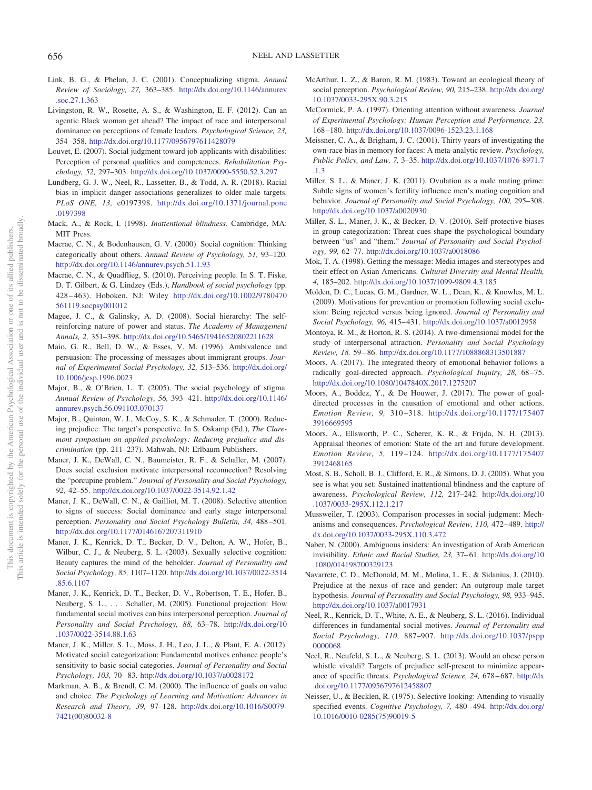- <span id="page-22-13"></span>Link, B. G., & Phelan, J. C. (2001). Conceptualizing stigma. *Annual Review of Sociology, 27,* 363–385. [http://dx.doi.org/10.1146/annurev](http://dx.doi.org/10.1146/annurev.soc.27.1.363) [.soc.27.1.363](http://dx.doi.org/10.1146/annurev.soc.27.1.363)
- <span id="page-22-26"></span>Livingston, R. W., Rosette, A. S., & Washington, E. F. (2012). Can an agentic Black woman get ahead? The impact of race and interpersonal dominance on perceptions of female leaders. *Psychological Science, 23,* 354 –358. <http://dx.doi.org/10.1177/0956797611428079>
- <span id="page-22-27"></span>Louvet, E. (2007). Social judgment toward job applicants with disabilities: Perception of personal qualities and competences. *Rehabilitation Psychology, 52,* 297–303. <http://dx.doi.org/10.1037/0090-5550.52.3.297>
- <span id="page-22-28"></span>Lundberg, G. J. W., Neel, R., Lassetter, B., & Todd, A. R. (2018). Racial bias in implicit danger associations generalizes to older male targets. *PLoS ONE, 13,* e0197398. [http://dx.doi.org/10.1371/journal.pone](http://dx.doi.org/10.1371/journal.pone.0197398) [.0197398](http://dx.doi.org/10.1371/journal.pone.0197398)
- <span id="page-22-16"></span>Mack, A., & Rock, I. (1998). *Inattentional blindness*. Cambridge, MA: MIT Press.
- <span id="page-22-10"></span>Macrae, C. N., & Bodenhausen, G. V. (2000). Social cognition: Thinking categorically about others. *Annual Review of Psychology, 51,* 93–120. <http://dx.doi.org/10.1146/annurev.psych.51.1.93>
- <span id="page-22-18"></span>Macrae, C. N., & Quadflieg, S. (2010). Perceiving people. In S. T. Fiske, D. T. Gilbert, & G. Lindzey (Eds.), *Handbook of social psychology* (pp. 428 – 463). Hoboken, NJ: Wiley [http://dx.doi.org/10.1002/9780470](http://dx.doi.org/10.1002/9780470561119.socpsy001012) [561119.socpsy001012](http://dx.doi.org/10.1002/9780470561119.socpsy001012)
- <span id="page-22-23"></span>Magee, J. C., & Galinsky, A. D. (2008). Social hierarchy: The selfreinforcing nature of power and status. *The Academy of Management Annals, 2,* 351–398. <http://dx.doi.org/10.5465/19416520802211628>
- <span id="page-22-31"></span>Maio, G. R., Bell, D. W., & Esses, V. M. (1996). Ambivalence and persuasion: The processing of messages about immigrant groups. *Journal of Experimental Social Psychology, 32,* 513–536. [http://dx.doi.org/](http://dx.doi.org/10.1006/jesp.1996.0023) [10.1006/jesp.1996.0023](http://dx.doi.org/10.1006/jesp.1996.0023)
- <span id="page-22-22"></span>Major, B., & O'Brien, L. T. (2005). The social psychology of stigma. *Annual Review of Psychology, 56,* 393– 421. [http://dx.doi.org/10.1146/](http://dx.doi.org/10.1146/annurev.psych.56.091103.070137) [annurev.psych.56.091103.070137](http://dx.doi.org/10.1146/annurev.psych.56.091103.070137)
- <span id="page-22-32"></span>Major, B., Quinton, W. J., McCoy, S. K., & Schmader, T. (2000). Reducing prejudice: The target's perspective. In S. Oskamp (Ed.), *The Claremont symposium on applied psychology: Reducing prejudice and discrimination* (pp. 211–237). Mahwah, NJ: Erlbaum Publishers.
- <span id="page-22-0"></span>Maner, J. K., DeWall, C. N., Baumeister, R. F., & Schaller, M. (2007). Does social exclusion motivate interpersonal reconnection? Resolving the "porcupine problem." *Journal of Personality and Social Psychology, 92,* 42–55. <http://dx.doi.org/10.1037/0022-3514.92.1.42>
- <span id="page-22-24"></span>Maner, J. K., DeWall, C. N., & Gailliot, M. T. (2008). Selective attention to signs of success: Social dominance and early stage interpersonal perception. *Personality and Social Psychology Bulletin, 34,* 488 –501. <http://dx.doi.org/10.1177/0146167207311910>
- <span id="page-22-3"></span>Maner, J. K., Kenrick, D. T., Becker, D. V., Delton, A. W., Hofer, B., Wilbur, C. J., & Neuberg, S. L. (2003). Sexually selective cognition: Beauty captures the mind of the beholder. *Journal of Personality and Social Psychology, 85,* 1107–1120. [http://dx.doi.org/10.1037/0022-3514](http://dx.doi.org/10.1037/0022-3514.85.6.1107) [.85.6.1107](http://dx.doi.org/10.1037/0022-3514.85.6.1107)
- <span id="page-22-34"></span>Maner, J. K., Kenrick, D. T., Becker, D. V., Robertson, T. E., Hofer, B., Neuberg, S. L.,... Schaller, M. (2005). Functional projection: How fundamental social motives can bias interpersonal perception. *Journal of Personality and Social Psychology, 88,* 63–78. [http://dx.doi.org/10](http://dx.doi.org/10.1037/0022-3514.88.1.63) [.1037/0022-3514.88.1.63](http://dx.doi.org/10.1037/0022-3514.88.1.63)
- <span id="page-22-4"></span>Maner, J. K., Miller, S. L., Moss, J. H., Leo, J. L., & Plant, E. A. (2012). Motivated social categorization: Fundamental motives enhance people's sensitivity to basic social categories. *Journal of Personality and Social Psychology, 103,* 70 – 83. <http://dx.doi.org/10.1037/a0028172>
- <span id="page-22-2"></span>Markman, A. B., & Brendl, C. M. (2000). The influence of goals on value and choice. *The Psychology of Learning and Motivation: Advances in Research and Theory, 39,* 97–128. [http://dx.doi.org/10.1016/S0079-](http://dx.doi.org/10.1016/S0079-7421%2800%2980032-8) [7421\(00\)80032-8](http://dx.doi.org/10.1016/S0079-7421%2800%2980032-8)
- <span id="page-22-1"></span>McArthur, L. Z., & Baron, R. M. (1983). Toward an ecological theory of social perception. *Psychological Review, 90,* 215–238. [http://dx.doi.org/](http://dx.doi.org/10.1037/0033-295X.90.3.215) [10.1037/0033-295X.90.3.215](http://dx.doi.org/10.1037/0033-295X.90.3.215)
- <span id="page-22-12"></span>McCormick, P. A. (1997). Orienting attention without awareness. *Journal of Experimental Psychology: Human Perception and Performance, 23,* 168 –180. <http://dx.doi.org/10.1037/0096-1523.23.1.168>
- <span id="page-22-19"></span>Meissner, C. A., & Brigham, J. C. (2001). Thirty years of investigating the own-race bias in memory for faces: A meta-analytic review. *Psychology, Public Policy, and Law, 7,* 3–35. [http://dx.doi.org/10.1037/1076-8971.7](http://dx.doi.org/10.1037/1076-8971.7.1.3) [.1.3](http://dx.doi.org/10.1037/1076-8971.7.1.3)
- <span id="page-22-7"></span>Miller, S. L., & Maner, J. K. (2011). Ovulation as a male mating prime: Subtle signs of women's fertility influence men's mating cognition and behavior. *Journal of Personality and Social Psychology, 100,* 295–308. <http://dx.doi.org/10.1037/a0020930>
- <span id="page-22-9"></span>Miller, S. L., Maner, J. K., & Becker, D. V. (2010). Self-protective biases in group categorization: Threat cues shape the psychological boundary between "us" and "them." *Journal of Personality and Social Psychology, 99,* 62–77. <http://dx.doi.org/10.1037/a0018086>
- <span id="page-22-29"></span>Mok, T. A. (1998). Getting the message: Media images and stereotypes and their effect on Asian Americans. *Cultural Diversity and Mental Health, 4,* 185–202. <http://dx.doi.org/10.1037/1099-9809.4.3.185>
- <span id="page-22-14"></span>Molden, D. C., Lucas, G. M., Gardner, W. L., Dean, K., & Knowles, M. L. (2009). Motivations for prevention or promotion following social exclusion: Being rejected versus being ignored. *Journal of Personality and Social Psychology, 96,* 415– 431. <http://dx.doi.org/10.1037/a0012958>
- <span id="page-22-30"></span>Montoya, R. M., & Horton, R. S. (2014). A two-dimensional model for the study of interpersonal attraction. *Personality and Social Psychology Review, 18,* 59 – 86. <http://dx.doi.org/10.1177/1088868313501887>
- <span id="page-22-20"></span>Moors, A. (2017). The integrated theory of emotional behavior follows a radically goal-directed approach. *Psychological Inquiry, 28,* 68 –75. <http://dx.doi.org/10.1080/1047840X.2017.1275207>
- <span id="page-22-21"></span>Moors, A., Boddez, Y., & De Houwer, J. (2017). The power of goaldirected processes in the causation of emotional and other actions. *Emotion Review, 9,* 310 –318. [http://dx.doi.org/10.1177/175407](http://dx.doi.org/10.1177/1754073916669595) [3916669595](http://dx.doi.org/10.1177/1754073916669595)
- <span id="page-22-5"></span>Moors, A., Ellsworth, P. C., Scherer, K. R., & Frijda, N. H. (2013). Appraisal theories of emotion: State of the art and future development. *Emotion Review, 5,* 119 –124. [http://dx.doi.org/10.1177/175407](http://dx.doi.org/10.1177/1754073912468165) [3912468165](http://dx.doi.org/10.1177/1754073912468165)
- <span id="page-22-15"></span>Most, S. B., Scholl, B. J., Clifford, E. R., & Simons, D. J. (2005). What you see is what you set: Sustained inattentional blindness and the capture of awareness. *Psychological Review, 112,* 217–242. [http://dx.doi.org/10](http://dx.doi.org/10.1037/0033-295X.112.1.217) [.1037/0033-295X.112.1.217](http://dx.doi.org/10.1037/0033-295X.112.1.217)
- <span id="page-22-11"></span>Mussweiler, T. (2003). Comparison processes in social judgment: Mechanisms and consequences. *Psychological Review, 110,* 472– 489. [http://](http://dx.doi.org/10.1037/0033-295X.110.3.472) [dx.doi.org/10.1037/0033-295X.110.3.472](http://dx.doi.org/10.1037/0033-295X.110.3.472)
- <span id="page-22-25"></span>Naber, N. (2000). Ambiguous insiders: An investigation of Arab American invisibility. *Ethnic and Racial Studies, 23,* 37– 61. [http://dx.doi.org/10](http://dx.doi.org/10.1080/014198700329123) [.1080/014198700329123](http://dx.doi.org/10.1080/014198700329123)
- <span id="page-22-8"></span>Navarrete, C. D., McDonald, M. M., Molina, L. E., & Sidanius, J. (2010). Prejudice at the nexus of race and gender: An outgroup male target hypothesis. *Journal of Personality and Social Psychology, 98,* 933–945. <http://dx.doi.org/10.1037/a0017931>
- <span id="page-22-6"></span>Neel, R., Kenrick, D. T., White, A. E., & Neuberg, S. L. (2016). Individual differences in fundamental social motives. *Journal of Personality and Social Psychology, 110,* 887–907. [http://dx.doi.org/10.1037/pspp](http://dx.doi.org/10.1037/pspp0000068) [0000068](http://dx.doi.org/10.1037/pspp0000068)
- <span id="page-22-33"></span>Neel, R., Neufeld, S. L., & Neuberg, S. L. (2013). Would an obese person whistle vivaldi? Targets of prejudice self-present to minimize appearance of specific threats. *Psychological Science, 24,* 678 – 687. [http://dx](http://dx.doi.org/10.1177/0956797612458807) [.doi.org/10.1177/0956797612458807](http://dx.doi.org/10.1177/0956797612458807)
- <span id="page-22-17"></span>Neisser, U., & Becklen, R. (1975). Selective looking: Attending to visually specified events. *Cognitive Psychology, 7, 480-494*. [http://dx.doi.org/](http://dx.doi.org/10.1016/0010-0285%2875%2990019-5) [10.1016/0010-0285\(75\)90019-5](http://dx.doi.org/10.1016/0010-0285%2875%2990019-5)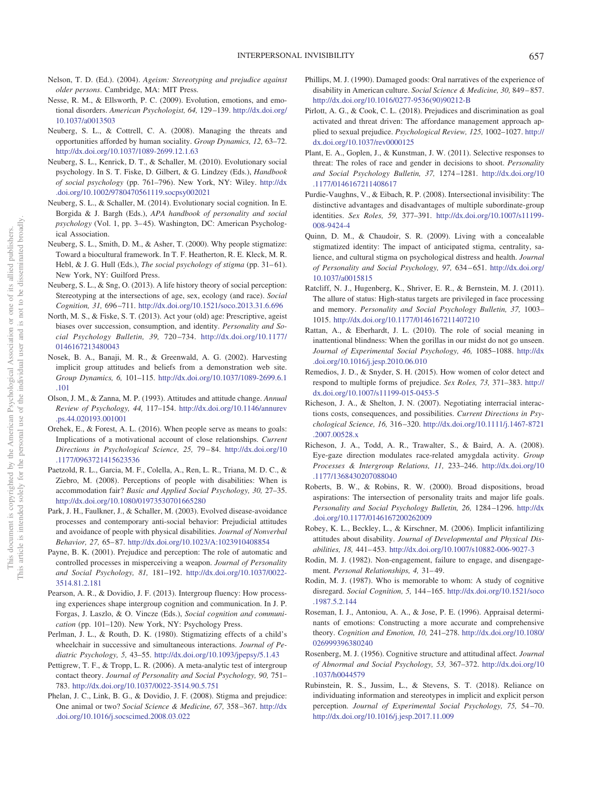- <span id="page-23-26"></span>Nelson, T. D. (Ed.). (2004). *Ageism: Stereotyping and prejudice against older persons*. Cambridge, MA: MIT Press.
- <span id="page-23-17"></span>Nesse, R. M., & Ellsworth, P. C. (2009). Evolution, emotions, and emotional disorders. *American Psychologist, 64,* 129 –139. [http://dx.doi.org/](http://dx.doi.org/10.1037/a0013503) [10.1037/a0013503](http://dx.doi.org/10.1037/a0013503)
- <span id="page-23-3"></span>Neuberg, S. L., & Cottrell, C. A. (2008). Managing the threats and opportunities afforded by human sociality. *Group Dynamics, 12,* 63–72. <http://dx.doi.org/10.1037/1089-2699.12.1.63>
- <span id="page-23-4"></span>Neuberg, S. L., Kenrick, D. T., & Schaller, M. (2010). Evolutionary social psychology. In S. T. Fiske, D. Gilbert, & G. Lindzey (Eds.), *Handbook of social psychology* (pp. 761–796). New York, NY: Wiley. [http://dx](http://dx.doi.org/10.1002/9780470561119.socpsy002021) [.doi.org/10.1002/9780470561119.socpsy002021](http://dx.doi.org/10.1002/9780470561119.socpsy002021)
- <span id="page-23-5"></span>Neuberg, S. L., & Schaller, M. (2014). Evolutionary social cognition. In E. Borgida & J. Bargh (Eds.), *APA handbook of personality and social psychology* (Vol. 1, pp. 3–45). Washington, DC: American Psychological Association.
- <span id="page-23-11"></span>Neuberg, S. L., Smith, D. M., & Asher, T. (2000). Why people stigmatize: Toward a biocultural framework. In T. F. Heatherton, R. E. Kleck, M. R. Hebl, & J. G. Hull (Eds.), *The social psychology of stigma* (pp. 31–61). New York, NY: Guilford Press.
- <span id="page-23-14"></span>Neuberg, S. L., & Sng, O. (2013). A life history theory of social perception: Stereotyping at the intersections of age, sex, ecology (and race). *Social Cognition, 31,* 696 –711. <http://dx.doi.org/10.1521/soco.2013.31.6.696>
- <span id="page-23-27"></span>North, M. S., & Fiske, S. T. (2013). Act your (old) age: Prescriptive, ageist biases over succession, consumption, and identity. *Personality and Social Psychology Bulletin, 39,* 720 –734. [http://dx.doi.org/10.1177/](http://dx.doi.org/10.1177/0146167213480043) [0146167213480043](http://dx.doi.org/10.1177/0146167213480043)
- <span id="page-23-29"></span>Nosek, B. A., Banaji, M. R., & Greenwald, A. G. (2002). Harvesting implicit group attitudes and beliefs from a demonstration web site. *Group Dynamics, 6,* 101–115. [http://dx.doi.org/10.1037/1089-2699.6.1](http://dx.doi.org/10.1037/1089-2699.6.1.101) [.101](http://dx.doi.org/10.1037/1089-2699.6.1.101)
- <span id="page-23-18"></span>Olson, J. M., & Zanna, M. P. (1993). Attitudes and attitude change. *Annual Review of Psychology, 44,* 117–154. [http://dx.doi.org/10.1146/annurev](http://dx.doi.org/10.1146/annurev.ps.44.020193.001001) [.ps.44.020193.001001](http://dx.doi.org/10.1146/annurev.ps.44.020193.001001)
- <span id="page-23-6"></span>Orehek, E., & Forest, A. L. (2016). When people serve as means to goals: Implications of a motivational account of close relationships. *Current Directions in Psychological Science, 25,* 79 – 84. [http://dx.doi.org/10](http://dx.doi.org/10.1177/0963721415623536) [.1177/0963721415623536](http://dx.doi.org/10.1177/0963721415623536)
- <span id="page-23-23"></span>Paetzold, R. L., Garcia, M. F., Colella, A., Ren, L. R., Triana, M. D. C., & Ziebro, M. (2008). Perceptions of people with disabilities: When is accommodation fair? *Basic and Applied Social Psychology, 30,* 27–35. <http://dx.doi.org/10.1080/01973530701665280>
- <span id="page-23-24"></span>Park, J. H., Faulkner, J., & Schaller, M. (2003). Evolved disease-avoidance processes and contemporary anti-social behavior: Prejudicial attitudes and avoidance of people with physical disabilities. *Journal of Nonverbal Behavior, 27,* 65– 87. <http://dx.doi.org/10.1023/A:1023910408854>
- <span id="page-23-7"></span>Payne, B. K. (2001). Prejudice and perception: The role of automatic and controlled processes in misperceiving a weapon. *Journal of Personality and Social Psychology, 81,* 181–192. [http://dx.doi.org/10.1037/0022-](http://dx.doi.org/10.1037/0022-3514.81.2.181) [3514.81.2.181](http://dx.doi.org/10.1037/0022-3514.81.2.181)
- <span id="page-23-31"></span>Pearson, A. R., & Dovidio, J. F. (2013). Intergroup fluency: How processing experiences shape intergroup cognition and communication. In J. P. Forgas, J. Laszlo, & O. Vincze (Eds.), *Social cognition and communication* (pp. 101–120). New York, NY: Psychology Press.
- <span id="page-23-22"></span>Perlman, J. L., & Routh, D. K. (1980). Stigmatizing effects of a child's wheelchair in successive and simultaneous interactions. *Journal of Pediatric Psychology, 5,* 43–55. <http://dx.doi.org/10.1093/jpepsy/5.1.43>
- <span id="page-23-32"></span>Pettigrew, T. F., & Tropp, L. R. (2006). A meta-analytic test of intergroup contact theory. *Journal of Personality and Social Psychology, 90,* 751– 783. <http://dx.doi.org/10.1037/0022-3514.90.5.751>
- <span id="page-23-12"></span>Phelan, J. C., Link, B. G., & Dovidio, J. F. (2008). Stigma and prejudice: One animal or two? *Social Science & Medicine, 67,* 358 –367. [http://dx](http://dx.doi.org/10.1016/j.socscimed.2008.03.022) [.doi.org/10.1016/j.socscimed.2008.03.022](http://dx.doi.org/10.1016/j.socscimed.2008.03.022)
- <span id="page-23-19"></span>Phillips, M. J. (1990). Damaged goods: Oral narratives of the experience of disability in American culture. *Social Science & Medicine, 30,* 849 – 857. [http://dx.doi.org/10.1016/0277-9536\(90\)90212-B](http://dx.doi.org/10.1016/0277-9536%2890%2990212-B)
- <span id="page-23-33"></span>Pirlott, A. G., & Cook, C. L. (2018). Prejudices and discrimination as goal activated and threat driven: The affordance management approach applied to sexual prejudice. *Psychological Review, 125,* 1002–1027. [http://](http://dx.doi.org/10.1037/rev0000125) [dx.doi.org/10.1037/rev0000125](http://dx.doi.org/10.1037/rev0000125)
- <span id="page-23-8"></span>Plant, E. A., Goplen, J., & Kunstman, J. W. (2011). Selective responses to threat: The roles of race and gender in decisions to shoot. *Personality and Social Psychology Bulletin, 37,* 1274 –1281. [http://dx.doi.org/10](http://dx.doi.org/10.1177/0146167211408617) [.1177/0146167211408617](http://dx.doi.org/10.1177/0146167211408617)
- <span id="page-23-0"></span>Purdie-Vaughns, V., & Eibach, R. P. (2008). Intersectional invisibility: The distinctive advantages and disadvantages of multiple subordinate-group identities. *Sex Roles, 59,* 377–391. [http://dx.doi.org/10.1007/s11199-](http://dx.doi.org/10.1007/s11199-008-9424-4) [008-9424-4](http://dx.doi.org/10.1007/s11199-008-9424-4)
- <span id="page-23-30"></span>Quinn, D. M., & Chaudoir, S. R. (2009). Living with a concealable stigmatized identity: The impact of anticipated stigma, centrality, salience, and cultural stigma on psychological distress and health. *Journal of Personality and Social Psychology, 97,* 634 – 651. [http://dx.doi.org/](http://dx.doi.org/10.1037/a0015815) [10.1037/a0015815](http://dx.doi.org/10.1037/a0015815)
- <span id="page-23-20"></span>Ratcliff, N. J., Hugenberg, K., Shriver, E. R., & Bernstein, M. J. (2011). The allure of status: High-status targets are privileged in face processing and memory. *Personality and Social Psychology Bulletin, 37,* 1003– 1015. <http://dx.doi.org/10.1177/0146167211407210>
- <span id="page-23-15"></span>Rattan, A., & Eberhardt, J. L. (2010). The role of social meaning in inattentional blindness: When the gorillas in our midst do not go unseen. *Journal of Experimental Social Psychology, 46,* 1085–1088. [http://dx](http://dx.doi.org/10.1016/j.jesp.2010.06.010) [.doi.org/10.1016/j.jesp.2010.06.010](http://dx.doi.org/10.1016/j.jesp.2010.06.010)
- <span id="page-23-34"></span>Remedios, J. D., & Snyder, S. H. (2015). How women of color detect and respond to multiple forms of prejudice. *Sex Roles, 73,* 371–383. [http://](http://dx.doi.org/10.1007/s11199-015-0453-5) [dx.doi.org/10.1007/s11199-015-0453-5](http://dx.doi.org/10.1007/s11199-015-0453-5)
- <span id="page-23-28"></span>Richeson, J. A., & Shelton, J. N. (2007). Negotiating interracial interactions costs, consequences, and possibilities. *Current Directions in Psychological Science, 16,* 316 –320. [http://dx.doi.org/10.1111/j.1467-8721](http://dx.doi.org/10.1111/j.1467-8721.2007.00528.x) [.2007.00528.x](http://dx.doi.org/10.1111/j.1467-8721.2007.00528.x)
- <span id="page-23-9"></span>Richeson, J. A., Todd, A. R., Trawalter, S., & Baird, A. A. (2008). Eye-gaze direction modulates race-related amygdala activity. *Group Processes & Intergroup Relations, 11,* 233–246. [http://dx.doi.org/10](http://dx.doi.org/10.1177/1368430207088040) [.1177/1368430207088040](http://dx.doi.org/10.1177/1368430207088040)
- <span id="page-23-21"></span>Roberts, B. W., & Robins, R. W. (2000). Broad dispositions, broad aspirations: The intersection of personality traits and major life goals. *Personality and Social Psychology Bulletin, 26,* 1284 –1296. [http://dx](http://dx.doi.org/10.1177/0146167200262009) [.doi.org/10.1177/0146167200262009](http://dx.doi.org/10.1177/0146167200262009)
- <span id="page-23-25"></span>Robey, K. L., Beckley, L., & Kirschner, M. (2006). Implicit infantilizing attitudes about disability. *Journal of Developmental and Physical Disabilities, 18,* 441– 453. <http://dx.doi.org/10.1007/s10882-006-9027-3>
- <span id="page-23-13"></span>Rodin, M. J. (1982). Non-engagement, failure to engage, and disengagement. *Personal Relationships, 4,* 31– 49.
- <span id="page-23-1"></span>Rodin, M. J. (1987). Who is memorable to whom: A study of cognitive disregard. *Social Cognition, 5,* 144 –165. [http://dx.doi.org/10.1521/soco](http://dx.doi.org/10.1521/soco.1987.5.2.144) [.1987.5.2.144](http://dx.doi.org/10.1521/soco.1987.5.2.144)
- <span id="page-23-16"></span>Roseman, I. J., Antoniou, A. A., & Jose, P. E. (1996). Appraisal determinants of emotions: Constructing a more accurate and comprehensive theory. *Cognition and Emotion, 10,* 241–278. [http://dx.doi.org/10.1080/](http://dx.doi.org/10.1080/026999396380240) [026999396380240](http://dx.doi.org/10.1080/026999396380240)
- <span id="page-23-2"></span>Rosenberg, M. J. (1956). Cognitive structure and attitudinal affect. *Journal of Abnormal and Social Psychology, 53,* 367–372. [http://dx.doi.org/10](http://dx.doi.org/10.1037/h0044579) [.1037/h0044579](http://dx.doi.org/10.1037/h0044579)
- <span id="page-23-10"></span>Rubinstein, R. S., Jussim, L., & Stevens, S. T. (2018). Reliance on individuating information and stereotypes in implicit and explicit person perception. *Journal of Experimental Social Psychology, 75,* 54 –70. <http://dx.doi.org/10.1016/j.jesp.2017.11.009>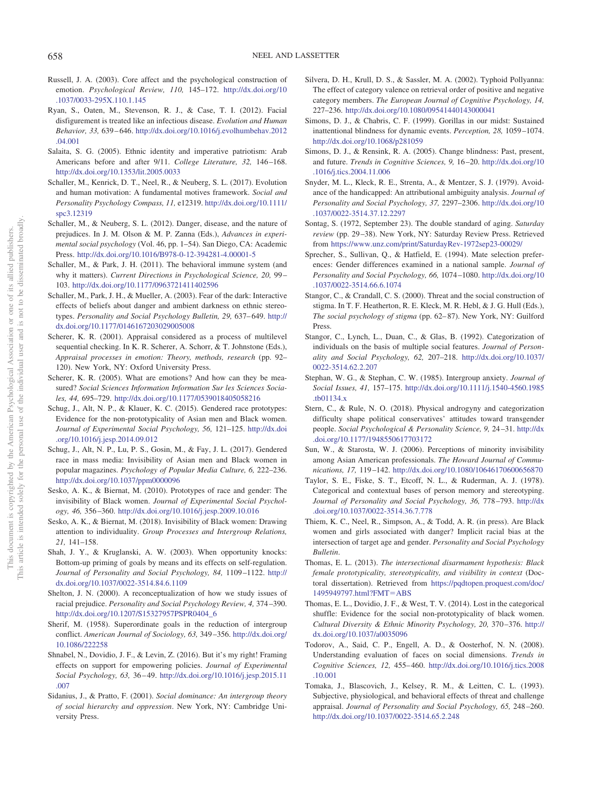- <span id="page-24-22"></span>Russell, J. A. (2003). Core affect and the psychological construction of emotion. *Psychological Review, 110,* 145–172. [http://dx.doi.org/10](http://dx.doi.org/10.1037/0033-295X.110.1.145) [.1037/0033-295X.110.1.145](http://dx.doi.org/10.1037/0033-295X.110.1.145)
- <span id="page-24-20"></span>Ryan, S., Oaten, M., Stevenson, R. J., & Case, T. I. (2012). Facial disfigurement is treated like an infectious disease. *Evolution and Human Behavior, 33,* 639 – 646. [http://dx.doi.org/10.1016/j.evolhumbehav.2012](http://dx.doi.org/10.1016/j.evolhumbehav.2012.04.001) [.04.001](http://dx.doi.org/10.1016/j.evolhumbehav.2012.04.001)
- <span id="page-24-24"></span>Salaita, S. G. (2005). Ethnic identity and imperative patriotism: Arab Americans before and after 9/11. *College Literature, 32,* 146 –168. <http://dx.doi.org/10.1353/lit.2005.0033>
- <span id="page-24-9"></span>Schaller, M., Kenrick, D. T., Neel, R., & Neuberg, S. L. (2017). Evolution and human motivation: A fundamental motives framework. *Social and Personality Psychology Compass, 11,* e12319. [http://dx.doi.org/10.1111/](http://dx.doi.org/10.1111/spc3.12319) [spc3.12319](http://dx.doi.org/10.1111/spc3.12319)
- <span id="page-24-16"></span>Schaller, M., & Neuberg, S. L. (2012). Danger, disease, and the nature of prejudices. In J. M. Olson & M. P. Zanna (Eds.), *Advances in experimental social psychology* (Vol. 46, pp. 1–54). San Diego, CA: Academic Press. <http://dx.doi.org/10.1016/B978-0-12-394281-4.00001-5>
- <span id="page-24-7"></span>Schaller, M., & Park, J. H. (2011). The behavioral immune system (and why it matters). *Current Directions in Psychological Science, 20,* 99 – 103. <http://dx.doi.org/10.1177/0963721411402596>
- <span id="page-24-10"></span>Schaller, M., Park, J. H., & Mueller, A. (2003). Fear of the dark: Interactive effects of beliefs about danger and ambient darkness on ethnic stereotypes. *Personality and Social Psychology Bulletin, 29,* 637– 649. [http://](http://dx.doi.org/10.1177/0146167203029005008) [dx.doi.org/10.1177/0146167203029005008](http://dx.doi.org/10.1177/0146167203029005008)
- <span id="page-24-8"></span>Scherer, K. R. (2001). Appraisal considered as a process of multilevel sequential checking. In K. R. Scherer, A. Schorr, & T. Johnstone (Eds.), *Appraisal processes in emotion: Theory, methods, research* (pp. 92– 120). New York, NY: Oxford University Press.
- <span id="page-24-21"></span>Scherer, K. R. (2005). What are emotions? And how can they be measured? *Social Sciences Information Information Sur les Sciences Sociales, 44,* 695–729. <http://dx.doi.org/10.1177/0539018405058216>
- <span id="page-24-1"></span>Schug, J., Alt, N. P., & Klauer, K. C. (2015). Gendered race prototypes: Evidence for the non-prototypicality of Asian men and Black women. *Journal of Experimental Social Psychology, 56,* 121–125. [http://dx.doi](http://dx.doi.org/10.1016/j.jesp.2014.09.012) [.org/10.1016/j.jesp.2014.09.012](http://dx.doi.org/10.1016/j.jesp.2014.09.012)
- <span id="page-24-4"></span>Schug, J., Alt, N. P., Lu, P. S., Gosin, M., & Fay, J. L. (2017). Gendered race in mass media: Invisibility of Asian men and Black women in popular magazines. *Psychology of Popular Media Culture, 6,* 222–236. <http://dx.doi.org/10.1037/ppm0000096>
- <span id="page-24-2"></span>Sesko, A. K., & Biernat, M. (2010). Prototypes of race and gender: The invisibility of Black women. *Journal of Experimental Social Psychology, 46,* 356 –360. <http://dx.doi.org/10.1016/j.jesp.2009.10.016>
- <span id="page-24-6"></span>Sesko, A. K., & Biernat, M. (2018). Invisibility of Black women: Drawing attention to individuality. *Group Processes and Intergroup Relations, 21,* 141–158.
- <span id="page-24-11"></span>Shah, J. Y., & Kruglanski, A. W. (2003). When opportunity knocks: Bottom-up priming of goals by means and its effects on self-regulation. *Journal of Personality and Social Psychology, 84,* 1109 –1122. [http://](http://dx.doi.org/10.1037/0022-3514.84.6.1109) [dx.doi.org/10.1037/0022-3514.84.6.1109](http://dx.doi.org/10.1037/0022-3514.84.6.1109)
- <span id="page-24-33"></span>Shelton, J. N. (2000). A reconceptualization of how we study issues of racial prejudice. *Personality and Social Psychology Review, 4,* 374 –390. [http://dx.doi.org/10.1207/S15327957PSPR0404\\_6](http://dx.doi.org/10.1207/S15327957PSPR0404_6)
- <span id="page-24-13"></span>Sherif, M. (1958). Superordinate goals in the reduction of intergroup conflict. *American Journal of Sociology, 63,* 349 –356. [http://dx.doi.org/](http://dx.doi.org/10.1086/222258) [10.1086/222258](http://dx.doi.org/10.1086/222258)
- <span id="page-24-34"></span>Shnabel, N., Dovidio, J. F., & Levin, Z. (2016). But it's my right! Framing effects on support for empowering policies. *Journal of Experimental Social Psychology, 63,* 36 – 49. [http://dx.doi.org/10.1016/j.jesp.2015.11](http://dx.doi.org/10.1016/j.jesp.2015.11.007) [.007](http://dx.doi.org/10.1016/j.jesp.2015.11.007)
- <span id="page-24-23"></span>Sidanius, J., & Pratto, F. (2001). *Social dominance: An intergroup theory of social hierarchy and oppression*. New York, NY: Cambridge University Press.
- <span id="page-24-29"></span>Silvera, D. H., Krull, D. S., & Sassler, M. A. (2002). Typhoid Pollyanna: The effect of category valence on retrieval order of positive and negative category members. *The European Journal of Cognitive Psychology, 14,* 227–236. <http://dx.doi.org/10.1080/09541440143000041>
- <span id="page-24-17"></span>Simons, D. J., & Chabris, C. F. (1999). Gorillas in our midst: Sustained inattentional blindness for dynamic events. *Perception, 28,* 1059 –1074. <http://dx.doi.org/10.1068/p281059>
- <span id="page-24-12"></span>Simons, D. J., & Rensink, R. A. (2005). Change blindness: Past, present, and future. *Trends in Cognitive Sciences, 9,* 16 –20. [http://dx.doi.org/10](http://dx.doi.org/10.1016/j.tics.2004.11.006) [.1016/j.tics.2004.11.006](http://dx.doi.org/10.1016/j.tics.2004.11.006)
- <span id="page-24-27"></span>Snyder, M. L., Kleck, R. E., Strenta, A., & Mentzer, S. J. (1979). Avoidance of the handicapped: An attributional ambiguity analysis. *Journal of Personality and Social Psychology, 37,* 2297–2306. [http://dx.doi.org/10](http://dx.doi.org/10.1037/0022-3514.37.12.2297) [.1037/0022-3514.37.12.2297](http://dx.doi.org/10.1037/0022-3514.37.12.2297)
- <span id="page-24-28"></span>Sontag, S. (1972, September 23). The double standard of aging. *Saturday review* (pp. 29 –38). New York, NY: Saturday Review Press. Retrieved from <https://www.unz.com/print/SaturdayRev-1972sep23-00029/>
- <span id="page-24-26"></span>Sprecher, S., Sullivan, Q., & Hatfield, E. (1994). Mate selection preferences: Gender differences examined in a national sample. *Journal of Personality and Social Psychology, 66,* 1074 –1080. [http://dx.doi.org/10](http://dx.doi.org/10.1037/0022-3514.66.6.1074) [.1037/0022-3514.66.6.1074](http://dx.doi.org/10.1037/0022-3514.66.6.1074)
- <span id="page-24-14"></span>Stangor, C., & Crandall, C. S. (2000). Threat and the social construction of stigma. In T. F. Heatherton, R. E. Kleck, M. R. Hebl, & J. G. Hull (Eds.), *The social psychology of stigma* (pp. 62– 87). New York, NY: Guilford Press.
- <span id="page-24-18"></span>Stangor, C., Lynch, L., Duan, C., & Glas, B. (1992). Categorization of individuals on the basis of multiple social features. *Journal of Personality and Social Psychology, 62,* 207–218. [http://dx.doi.org/10.1037/](http://dx.doi.org/10.1037/0022-3514.62.2.207) [0022-3514.62.2.207](http://dx.doi.org/10.1037/0022-3514.62.2.207)
- <span id="page-24-15"></span>Stephan, W. G., & Stephan, C. W. (1985). Intergroup anxiety. *Journal of Social Issues, 41,* 157–175. [http://dx.doi.org/10.1111/j.1540-4560.1985](http://dx.doi.org/10.1111/j.1540-4560.1985.tb01134.x) [.tb01134.x](http://dx.doi.org/10.1111/j.1540-4560.1985.tb01134.x)
- <span id="page-24-32"></span>Stern, C., & Rule, N. O. (2018). Physical androgyny and categorization difficulty shape political conservatives' attitudes toward transgender people. *Social Psychological & Personality Science, 9,* 24 –31. [http://dx](http://dx.doi.org/10.1177/1948550617703172) [.doi.org/10.1177/1948550617703172](http://dx.doi.org/10.1177/1948550617703172)
- <span id="page-24-3"></span>Sun, W., & Starosta, W. J. (2006). Perceptions of minority invisibility among Asian American professionals. *The Howard Journal of Communications, 17,* 119 –142. <http://dx.doi.org/10.1080/10646170600656870>
- <span id="page-24-19"></span>Taylor, S. E., Fiske, S. T., Etcoff, N. L., & Ruderman, A. J. (1978). Categorical and contextual bases of person memory and stereotyping. *Journal of Personality and Social Psychology, 36,* 778 –793. [http://dx](http://dx.doi.org/10.1037/0022-3514.36.7.778) [.doi.org/10.1037/0022-3514.36.7.778](http://dx.doi.org/10.1037/0022-3514.36.7.778)
- <span id="page-24-25"></span>Thiem, K. C., Neel, R., Simpson, A., & Todd, A. R. (in press). Are Black women and girls associated with danger? Implicit racial bias at the intersection of target age and gender. *Personality and Social Psychology Bulletin*.
- <span id="page-24-0"></span>Thomas, E. L. (2013). *The intersectional disarmament hypothesis: Black female prototypicality, stereotypicality, and visibility in context* (Doctoral dissertation). Retrieved from [https://pqdtopen.proquest.com/doc/](https://pqdtopen.proquest.com/doc/1495949797.html?FMT=ABS) [1495949797.html?FMT](https://pqdtopen.proquest.com/doc/1495949797.html?FMT=ABS)-ABS
- <span id="page-24-5"></span>Thomas, E. L., Dovidio, J. F., & West, T. V. (2014). Lost in the categorical shuffle: Evidence for the social non-prototypicality of black women. *Cultural Diversity & Ethnic Minority Psychology, 20,* 370 –376. [http://](http://dx.doi.org/10.1037/a0035096) [dx.doi.org/10.1037/a0035096](http://dx.doi.org/10.1037/a0035096)
- <span id="page-24-30"></span>Todorov, A., Said, C. P., Engell, A. D., & Oosterhof, N. N. (2008). Understanding evaluation of faces on social dimensions. *Trends in Cognitive Sciences, 12,* 455– 460. [http://dx.doi.org/10.1016/j.tics.2008](http://dx.doi.org/10.1016/j.tics.2008.10.001) [.10.001](http://dx.doi.org/10.1016/j.tics.2008.10.001)
- <span id="page-24-31"></span>Tomaka, J., Blascovich, J., Kelsey, R. M., & Leitten, C. L. (1993). Subjective, physiological, and behavioral effects of threat and challenge appraisal. *Journal of Personality and Social Psychology, 65,* 248 –260. <http://dx.doi.org/10.1037/0022-3514.65.2.248>